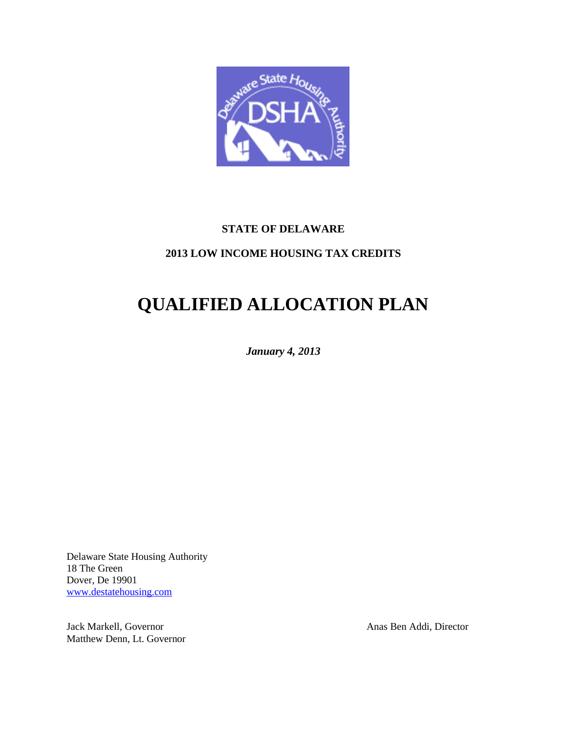

# **STATE OF DELAWARE**

# **2013 LOW INCOME HOUSING TAX CREDITS**

# **QUALIFIED ALLOCATION PLAN**

*January 4, 2013*

Delaware State Housing Authority 18 The Green Dover, De 19901 [www.destatehousing.com](http://www.destatehousing.com/)

Jack Markell, Governor Anas Ben Addi, Director Matthew Denn, Lt. Governor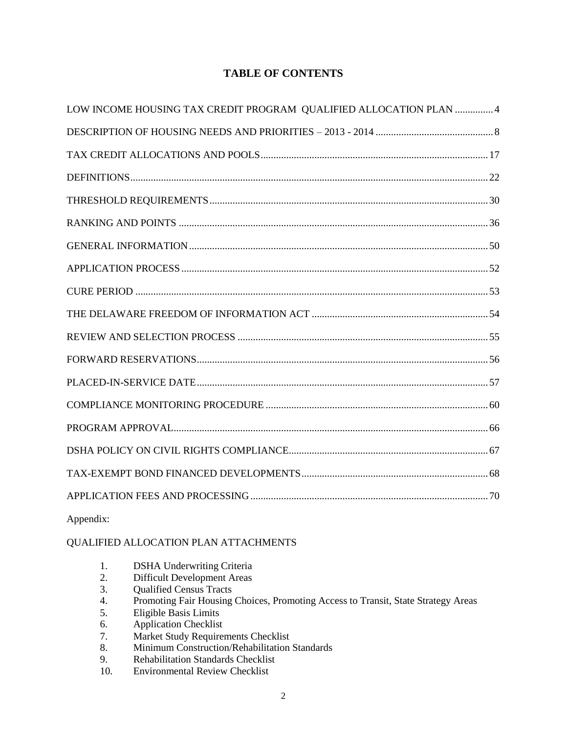# **TABLE OF CONTENTS**

| LOW INCOME HOUSING TAX CREDIT PROGRAM QUALIFIED ALLOCATION PLAN 4 |
|-------------------------------------------------------------------|
|                                                                   |
|                                                                   |
|                                                                   |
|                                                                   |
|                                                                   |
|                                                                   |
|                                                                   |
|                                                                   |
|                                                                   |
|                                                                   |
|                                                                   |
|                                                                   |
|                                                                   |
|                                                                   |
|                                                                   |
|                                                                   |
|                                                                   |
|                                                                   |

Appendix:

# QUALIFIED ALLOCATION PLAN ATTACHMENTS

- 1. DSHA Underwriting Criteria
- 2. Difficult Development Areas
- 3. Qualified Census Tracts
- 4. Promoting Fair Housing Choices, Promoting Access to Transit, State Strategy Areas<br>5. Eligible Basis Limits
- 5. Eligible Basis Limits
- 6. Application Checklist
- 7. Market Study Requirements Checklist<br>8. Minimum Construction/Rehabilitation
- Minimum Construction/Rehabilitation Standards
- 9. Rehabilitation Standards Checklist
- 10. Environmental Review Checklist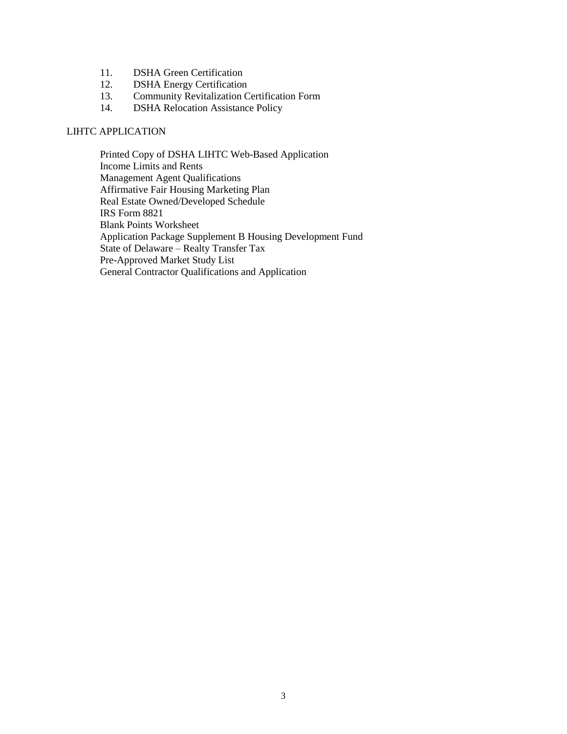- 11. DSHA Green Certification
- 12. DSHA Energy Certification
- 13. Community Revitalization Certification Form
- 14. DSHA Relocation Assistance Policy

#### LIHTC APPLICATION

Printed Copy of DSHA LIHTC Web-Based Application Income Limits and Rents Management Agent Qualifications Affirmative Fair Housing Marketing Plan Real Estate Owned/Developed Schedule IRS Form 8821 Blank Points Worksheet Application Package Supplement B Housing Development Fund State of Delaware – Realty Transfer Tax Pre-Approved Market Study List General Contractor Qualifications and Application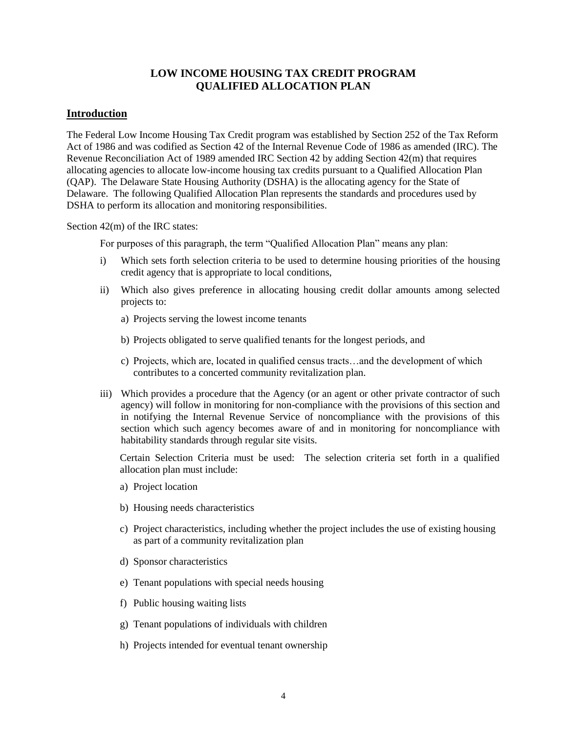# **LOW INCOME HOUSING TAX CREDIT PROGRAM QUALIFIED ALLOCATION PLAN**

### <span id="page-3-0"></span>**Introduction**

The Federal Low Income Housing Tax Credit program was established by Section 252 of the Tax Reform Act of 1986 and was codified as Section 42 of the Internal Revenue Code of 1986 as amended (IRC). The Revenue Reconciliation Act of 1989 amended IRC Section 42 by adding Section 42(m) that requires allocating agencies to allocate low-income housing tax credits pursuant to a Qualified Allocation Plan (QAP). The Delaware State Housing Authority (DSHA) is the allocating agency for the State of Delaware. The following Qualified Allocation Plan represents the standards and procedures used by DSHA to perform its allocation and monitoring responsibilities.

Section 42(m) of the IRC states:

For purposes of this paragraph, the term "Qualified Allocation Plan" means any plan:

- i) Which sets forth selection criteria to be used to determine housing priorities of the housing credit agency that is appropriate to local conditions,
- ii) Which also gives preference in allocating housing credit dollar amounts among selected projects to:
	- a) Projects serving the lowest income tenants
	- b) Projects obligated to serve qualified tenants for the longest periods, and
	- c) Projects, which are, located in qualified census tracts…and the development of which contributes to a concerted community revitalization plan.
- iii) Which provides a procedure that the Agency (or an agent or other private contractor of such agency) will follow in monitoring for non-compliance with the provisions of this section and in notifying the Internal Revenue Service of noncompliance with the provisions of this section which such agency becomes aware of and in monitoring for noncompliance with habitability standards through regular site visits.

Certain Selection Criteria must be used: The selection criteria set forth in a qualified allocation plan must include:

- a) Project location
- b) Housing needs characteristics
- c) Project characteristics, including whether the project includes the use of existing housing as part of a community revitalization plan
- d) Sponsor characteristics
- e) Tenant populations with special needs housing
- f) Public housing waiting lists
- g) Tenant populations of individuals with children
- h) Projects intended for eventual tenant ownership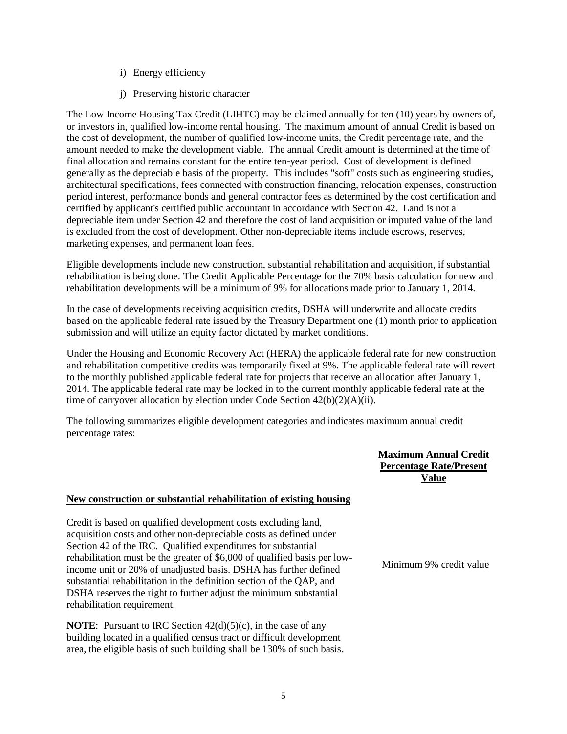- i) Energy efficiency
- j) Preserving historic character

The Low Income Housing Tax Credit (LIHTC) may be claimed annually for ten (10) years by owners of, or investors in, qualified low-income rental housing. The maximum amount of annual Credit is based on the cost of development, the number of qualified low-income units, the Credit percentage rate, and the amount needed to make the development viable. The annual Credit amount is determined at the time of final allocation and remains constant for the entire ten-year period. Cost of development is defined generally as the depreciable basis of the property. This includes "soft" costs such as engineering studies, architectural specifications, fees connected with construction financing, relocation expenses, construction period interest, performance bonds and general contractor fees as determined by the cost certification and certified by applicant's certified public accountant in accordance with Section 42. Land is not a depreciable item under Section 42 and therefore the cost of land acquisition or imputed value of the land is excluded from the cost of development. Other non-depreciable items include escrows, reserves, marketing expenses, and permanent loan fees.

Eligible developments include new construction, substantial rehabilitation and acquisition, if substantial rehabilitation is being done. The Credit Applicable Percentage for the 70% basis calculation for new and rehabilitation developments will be a minimum of 9% for allocations made prior to January 1, 2014.

In the case of developments receiving acquisition credits, DSHA will underwrite and allocate credits based on the applicable federal rate issued by the Treasury Department one (1) month prior to application submission and will utilize an equity factor dictated by market conditions.

Under the Housing and Economic Recovery Act (HERA) the applicable federal rate for new construction and rehabilitation competitive credits was temporarily fixed at 9%. The applicable federal rate will revert to the monthly published applicable federal rate for projects that receive an allocation after January 1, 2014. The applicable federal rate may be locked in to the current monthly applicable federal rate at the time of carryover allocation by election under Code Section 42(b)(2)(A)(ii).

The following summarizes eligible development categories and indicates maximum annual credit percentage rates:

> **Maximum Annual Credit Percentage Rate/Present Value**

### **New construction or substantial rehabilitation of existing housing**

Credit is based on qualified development costs excluding land, acquisition costs and other non-depreciable costs as defined under Section 42 of the IRC. Qualified expenditures for substantial rehabilitation must be the greater of \$6,000 of qualified basis per lowincome unit or 20% of unadjusted basis. DSHA has further defined substantial rehabilitation in the definition section of the QAP, and DSHA reserves the right to further adjust the minimum substantial rehabilitation requirement.

**NOTE:** Pursuant to IRC Section  $42(d)(5)(c)$ , in the case of any building located in a qualified census tract or difficult development area, the eligible basis of such building shall be 130% of such basis. Minimum 9% credit value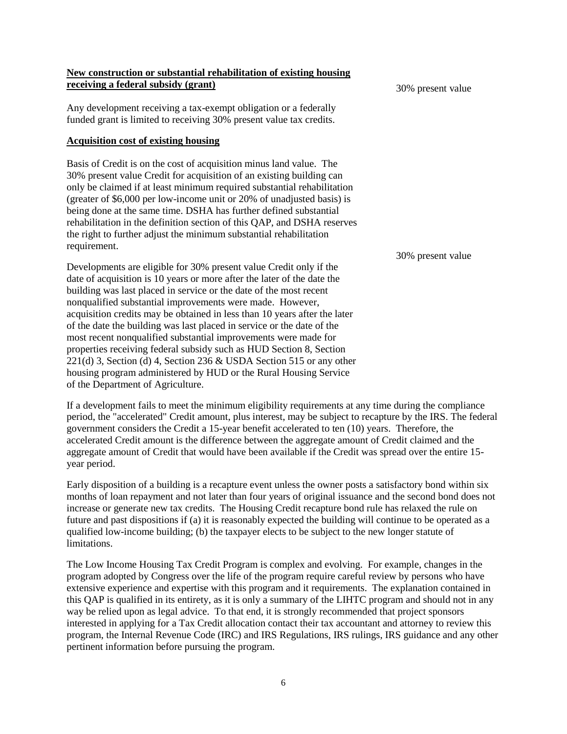#### **New construction or substantial rehabilitation of existing housing receiving a federal subsidy (grant)**

Any development receiving a tax-exempt obligation or a federally funded grant is limited to receiving 30% present value tax credits.

#### **Acquisition cost of existing housing**

Basis of Credit is on the cost of acquisition minus land value. The 30% present value Credit for acquisition of an existing building can only be claimed if at least minimum required substantial rehabilitation (greater of \$6,000 per low-income unit or 20% of unadjusted basis) is being done at the same time. DSHA has further defined substantial rehabilitation in the definition section of this QAP, and DSHA reserves the right to further adjust the minimum substantial rehabilitation requirement.

Developments are eligible for 30% present value Credit only if the date of acquisition is 10 years or more after the later of the date the building was last placed in service or the date of the most recent nonqualified substantial improvements were made. However, acquisition credits may be obtained in less than 10 years after the later of the date the building was last placed in service or the date of the most recent nonqualified substantial improvements were made for properties receiving federal subsidy such as HUD Section 8, Section 221(d) 3, Section (d) 4, Section 236 & USDA Section 515 or any other housing program administered by HUD or the Rural Housing Service of the Department of Agriculture.

If a development fails to meet the minimum eligibility requirements at any time during the compliance period, the "accelerated" Credit amount, plus interest, may be subject to recapture by the IRS. The federal government considers the Credit a 15-year benefit accelerated to ten (10) years. Therefore, the accelerated Credit amount is the difference between the aggregate amount of Credit claimed and the aggregate amount of Credit that would have been available if the Credit was spread over the entire 15 year period.

Early disposition of a building is a recapture event unless the owner posts a satisfactory bond within six months of loan repayment and not later than four years of original issuance and the second bond does not increase or generate new tax credits. The Housing Credit recapture bond rule has relaxed the rule on future and past dispositions if (a) it is reasonably expected the building will continue to be operated as a qualified low-income building; (b) the taxpayer elects to be subject to the new longer statute of limitations.

The Low Income Housing Tax Credit Program is complex and evolving. For example, changes in the program adopted by Congress over the life of the program require careful review by persons who have extensive experience and expertise with this program and it requirements. The explanation contained in this QAP is qualified in its entirety, as it is only a summary of the LIHTC program and should not in any way be relied upon as legal advice. To that end, it is strongly recommended that project sponsors interested in applying for a Tax Credit allocation contact their tax accountant and attorney to review this program, the Internal Revenue Code (IRC) and IRS Regulations, IRS rulings, IRS guidance and any other pertinent information before pursuing the program.

30% present value

#### 30% present value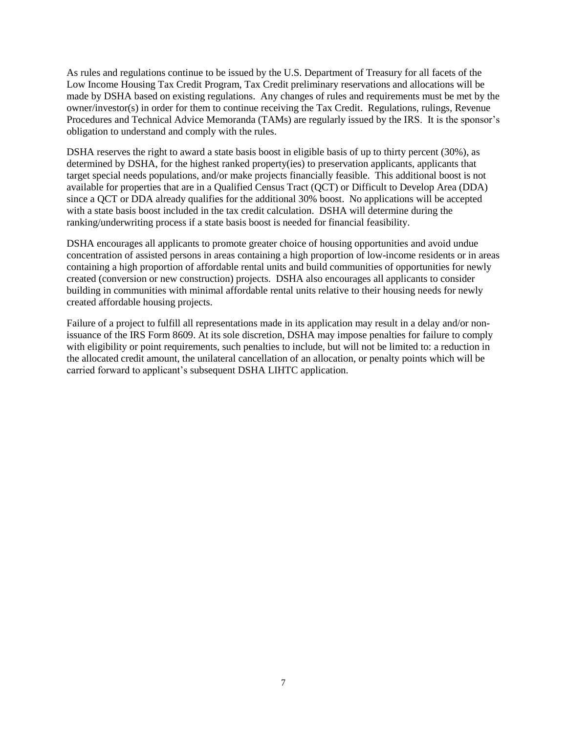As rules and regulations continue to be issued by the U.S. Department of Treasury for all facets of the Low Income Housing Tax Credit Program, Tax Credit preliminary reservations and allocations will be made by DSHA based on existing regulations. Any changes of rules and requirements must be met by the owner/investor(s) in order for them to continue receiving the Tax Credit. Regulations, rulings, Revenue Procedures and Technical Advice Memoranda (TAMs) are regularly issued by the IRS. It is the sponsor's obligation to understand and comply with the rules.

DSHA reserves the right to award a state basis boost in eligible basis of up to thirty percent (30%), as determined by DSHA, for the highest ranked property(ies) to preservation applicants, applicants that target special needs populations, and/or make projects financially feasible. This additional boost is not available for properties that are in a Qualified Census Tract (QCT) or Difficult to Develop Area (DDA) since a QCT or DDA already qualifies for the additional 30% boost. No applications will be accepted with a state basis boost included in the tax credit calculation. DSHA will determine during the ranking/underwriting process if a state basis boost is needed for financial feasibility.

DSHA encourages all applicants to promote greater choice of housing opportunities and avoid undue concentration of assisted persons in areas containing a high proportion of low-income residents or in areas containing a high proportion of affordable rental units and build communities of opportunities for newly created (conversion or new construction) projects. DSHA also encourages all applicants to consider building in communities with minimal affordable rental units relative to their housing needs for newly created affordable housing projects.

Failure of a project to fulfill all representations made in its application may result in a delay and/or nonissuance of the IRS Form 8609. At its sole discretion, DSHA may impose penalties for failure to comply with eligibility or point requirements, such penalties to include, but will not be limited to: a reduction in the allocated credit amount, the unilateral cancellation of an allocation, or penalty points which will be carried forward to applicant's subsequent DSHA LIHTC application.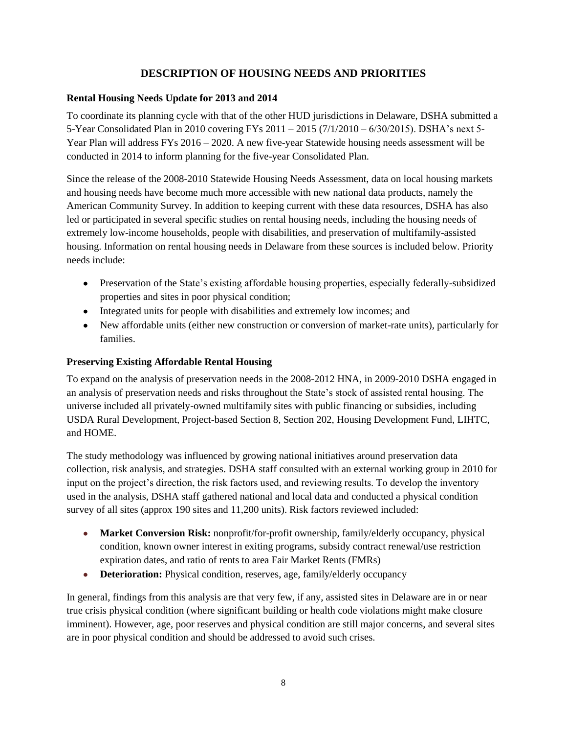# **DESCRIPTION OF HOUSING NEEDS AND PRIORITIES**

# <span id="page-7-0"></span>**Rental Housing Needs Update for 2013 and 2014**

To coordinate its planning cycle with that of the other HUD jurisdictions in Delaware, DSHA submitted a 5-Year Consolidated Plan in 2010 covering FYs 2011 – 2015 (7/1/2010 – 6/30/2015). DSHA's next 5- Year Plan will address FYs 2016 – 2020. A new five-year Statewide housing needs assessment will be conducted in 2014 to inform planning for the five-year Consolidated Plan.

Since the release of the 2008-2010 Statewide Housing Needs Assessment, data on local housing markets and housing needs have become much more accessible with new national data products, namely the American Community Survey. In addition to keeping current with these data resources, DSHA has also led or participated in several specific studies on rental housing needs, including the housing needs of extremely low-income households, people with disabilities, and preservation of multifamily-assisted housing. Information on rental housing needs in Delaware from these sources is included below. Priority needs include:

- Preservation of the State's existing affordable housing properties, especially federally-subsidized properties and sites in poor physical condition;
- Integrated units for people with disabilities and extremely low incomes; and
- New affordable units (either new construction or conversion of market-rate units), particularly for families.

# **Preserving Existing Affordable Rental Housing**

To expand on the analysis of preservation needs in the 2008-2012 HNA, in 2009-2010 DSHA engaged in an analysis of preservation needs and risks throughout the State's stock of assisted rental housing. The universe included all privately-owned multifamily sites with public financing or subsidies, including USDA Rural Development, Project-based Section 8, Section 202, Housing Development Fund, LIHTC, and HOME.

The study methodology was influenced by growing national initiatives around preservation data collection, risk analysis, and strategies. DSHA staff consulted with an external working group in 2010 for input on the project's direction, the risk factors used, and reviewing results. To develop the inventory used in the analysis, DSHA staff gathered national and local data and conducted a physical condition survey of all sites (approx 190 sites and 11,200 units). Risk factors reviewed included:

- **Market Conversion Risk:** nonprofit/for-profit ownership, family/elderly occupancy, physical condition, known owner interest in exiting programs, subsidy contract renewal/use restriction expiration dates, and ratio of rents to area Fair Market Rents (FMRs)
- **Deterioration:** Physical condition, reserves, age, family/elderly occupancy  $\bullet$

In general, findings from this analysis are that very few, if any, assisted sites in Delaware are in or near true crisis physical condition (where significant building or health code violations might make closure imminent). However, age, poor reserves and physical condition are still major concerns, and several sites are in poor physical condition and should be addressed to avoid such crises.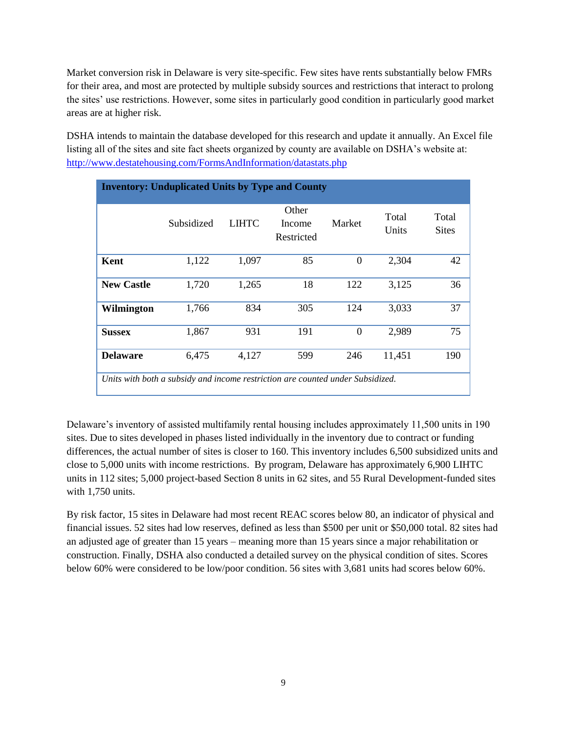Market conversion risk in Delaware is very site-specific. Few sites have rents substantially below FMRs for their area, and most are protected by multiple subsidy sources and restrictions that interact to prolong the sites' use restrictions. However, some sites in particularly good condition in particularly good market areas are at higher risk.

DSHA intends to maintain the database developed for this research and update it annually. An Excel file listing all of the sites and site fact sheets organized by county are available on DSHA's website at: <http://www.destatehousing.com/FormsAndInformation/datastats.php>

| <b>Inventory: Unduplicated Units by Type and County</b>                        |            |       |                               |          |                |                       |  |  |
|--------------------------------------------------------------------------------|------------|-------|-------------------------------|----------|----------------|-----------------------|--|--|
|                                                                                | Subsidized | LIHTC | Other<br>Income<br>Restricted | Market   | Total<br>Units | Total<br><b>Sites</b> |  |  |
| Kent                                                                           | 1,122      | 1,097 | 85                            | $\theta$ | 2,304          | 42                    |  |  |
| <b>New Castle</b>                                                              | 1,720      | 1,265 | 18                            | 122      | 3,125          | 36                    |  |  |
| Wilmington                                                                     | 1,766      | 834   | 305                           | 124      | 3,033          | 37                    |  |  |
| <b>Sussex</b>                                                                  | 1,867      | 931   | 191                           | $\theta$ | 2,989          | 75                    |  |  |
| <b>Delaware</b>                                                                | 6,475      | 4,127 | 599                           | 246      | 11,451         | 190                   |  |  |
| Units with both a subsidy and income restriction are counted under Subsidized. |            |       |                               |          |                |                       |  |  |

Delaware's inventory of assisted multifamily rental housing includes approximately 11,500 units in 190 sites. Due to sites developed in phases listed individually in the inventory due to contract or funding differences, the actual number of sites is closer to 160. This inventory includes 6,500 subsidized units and close to 5,000 units with income restrictions. By program, Delaware has approximately 6,900 LIHTC units in 112 sites; 5,000 project-based Section 8 units in 62 sites, and 55 Rural Development-funded sites with 1,750 units.

By risk factor, 15 sites in Delaware had most recent REAC scores below 80, an indicator of physical and financial issues. 52 sites had low reserves, defined as less than \$500 per unit or \$50,000 total. 82 sites had an adjusted age of greater than 15 years – meaning more than 15 years since a major rehabilitation or construction. Finally, DSHA also conducted a detailed survey on the physical condition of sites. Scores below 60% were considered to be low/poor condition. 56 sites with 3,681 units had scores below 60%.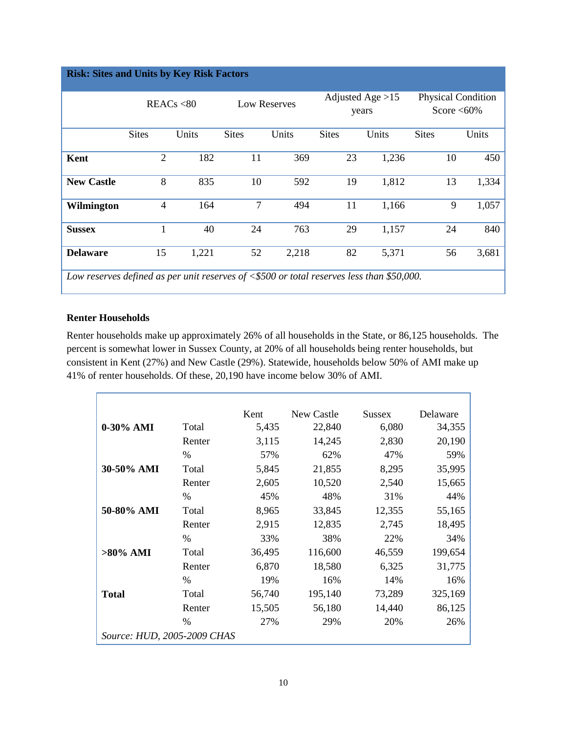| <b>Risk: Sites and Units by Key Risk Factors</b>                                            |                |            |              |                     |              |                             |              |                                            |  |
|---------------------------------------------------------------------------------------------|----------------|------------|--------------|---------------------|--------------|-----------------------------|--------------|--------------------------------------------|--|
|                                                                                             |                | REACs < 80 |              | <b>Low Reserves</b> |              | Adjusted Age $>15$<br>years |              | <b>Physical Condition</b><br>Score $<60\%$ |  |
|                                                                                             | <b>Sites</b>   | Units      | <b>Sites</b> | Units               | <b>Sites</b> | Units                       | <b>Sites</b> | Units                                      |  |
| Kent                                                                                        | $\overline{2}$ | 182        | 11           | 369                 | 23           | 1,236                       | 10           | 450                                        |  |
| <b>New Castle</b>                                                                           | 8              | 835        | 10           | 592                 | 19           | 1,812                       | 13           | 1,334                                      |  |
| Wilmington                                                                                  | $\overline{4}$ | 164        | 7            | 494                 | 11           | 1,166                       | 9            | 1,057                                      |  |
| <b>Sussex</b>                                                                               |                | 40         | 24           | 763                 | 29           | 1,157                       | 24           | 840                                        |  |
| <b>Delaware</b>                                                                             | 15             | 1,221      | 52           | 2,218               | 82           | 5,371                       | 56           | 3,681                                      |  |
| Low reserves defined as per unit reserves of $< $500$ or total reserves less than \$50,000. |                |            |              |                     |              |                             |              |                                            |  |

# **Renter Households**

Renter households make up approximately 26% of all households in the State, or 86,125 households. The percent is somewhat lower in Sussex County, at 20% of all households being renter households, but consistent in Kent (27%) and New Castle (29%). Statewide, households below 50% of AMI make up 41% of renter households. Of these, 20,190 have income below 30% of AMI.

|                             |        | Kent   | New Castle | <b>Sussex</b> | Delaware |
|-----------------------------|--------|--------|------------|---------------|----------|
| 0-30% AMI                   | Total  | 5,435  | 22,840     | 6,080         | 34,355   |
|                             | Renter | 3,115  | 14,245     | 2,830         | 20,190   |
|                             | %      | 57%    | 62%        | 47%           | 59%      |
| 30-50% AMI                  | Total  | 5,845  | 21,855     | 8,295         | 35,995   |
|                             | Renter | 2,605  | 10,520     | 2,540         | 15,665   |
|                             | $\%$   | 45%    | 48%        | 31%           | 44%      |
| 50-80% AMI                  | Total  | 8,965  | 33,845     | 12,355        | 55,165   |
|                             | Renter | 2,915  | 12,835     | 2,745         | 18,495   |
|                             | %      | 33%    | 38%        | 22%           | 34%      |
| $>80\%$ AMI                 | Total  | 36,495 | 116,600    | 46,559        | 199,654  |
|                             | Renter | 6,870  | 18,580     | 6,325         | 31,775   |
|                             | $\%$   | 19%    | 16%        | 14%           | 16%      |
| <b>Total</b>                | Total  | 56,740 | 195,140    | 73,289        | 325,169  |
|                             | Renter | 15,505 | 56,180     | 14,440        | 86,125   |
|                             | %      | 27%    | 29%        | 20%           | 26%      |
| Source: HUD, 2005-2009 CHAS |        |        |            |               |          |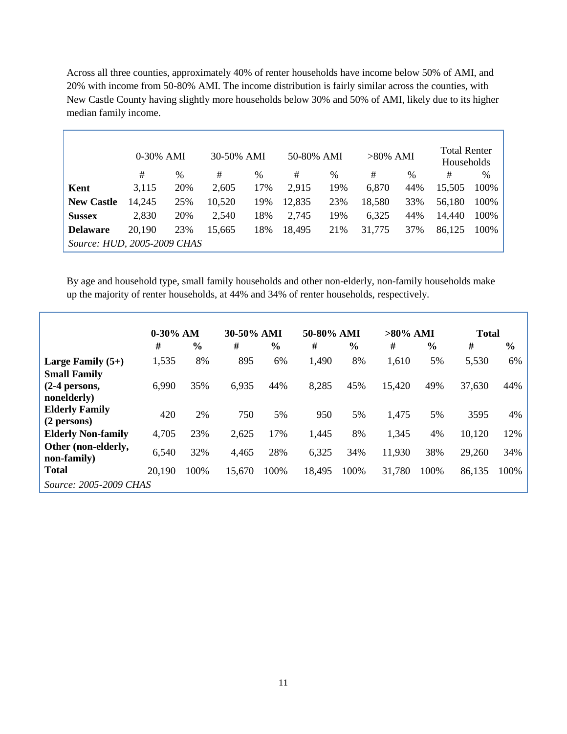Across all three counties, approximately 40% of renter households have income below 50% of AMI, and 20% with income from 50-80% AMI. The income distribution is fairly similar across the counties, with New Castle County having slightly more households below 30% and 50% of AMI, likely due to its higher median family income.

|                             | $0-30\%$ AMI |      | 30-50% AMI |      | 50-80% AMI |     | $>80\%$ AMI |               | <b>Total Renter</b><br>Households |      |
|-----------------------------|--------------|------|------------|------|------------|-----|-------------|---------------|-----------------------------------|------|
|                             | #            | $\%$ | #          | $\%$ | #          | %   | #           | $\frac{0}{0}$ | #                                 | $\%$ |
| Kent                        | 3,115        | 20%  | 2,605      | 17%  | 2,915      | 19% | 6,870       | 44%           | 15,505                            | 100% |
| <b>New Castle</b>           | 14,245       | 25%  | 10,520     | 19%  | 12,835     | 23% | 18,580      | 33%           | 56,180                            | 100% |
| <b>Sussex</b>               | 2,830        | 20%  | 2,540      | 18%  | 2,745      | 19% | 6,325       | 44%           | 14,440                            | 100% |
| <b>Delaware</b>             | 20,190       | 23%  | 15,665     | 18%  | 18,495     | 21% | 31,775      | 37%           | 86,125                            | 100% |
| Source: HUD, 2005-2009 CHAS |              |      |            |      |            |     |             |               |                                   |      |

By age and household type, small family households and other non-elderly, non-family households make up the majority of renter households, at 44% and 34% of renter households, respectively.

|                                      | $0-30\%$ AM |               | 30-50% AMI |               | 50-80% AMI |               | $>80\%$ AMI |               | <b>Total</b> |               |
|--------------------------------------|-------------|---------------|------------|---------------|------------|---------------|-------------|---------------|--------------|---------------|
|                                      | #           | $\frac{6}{9}$ | #          | $\frac{6}{6}$ | #          | $\frac{6}{6}$ | #           | $\frac{6}{9}$ | #            | $\frac{6}{6}$ |
| Large Family $(5+)$                  | 1,535       | 8%            | 895        | 6%            | 1,490      | 8%            | 1,610       | 5%            | 5,530        | 6%            |
| <b>Small Family</b>                  |             |               |            |               |            |               |             |               |              |               |
| $(2-4$ persons,                      | 6,990       | 35%           | 6,935      | 44%           | 8,285      | 45%           | 15,420      | 49%           | 37,630       | 44%           |
| nonelderly)                          |             |               |            |               |            |               |             |               |              |               |
| <b>Elderly Family</b><br>(2 persons) | 420         | 2%            | 750        | 5%            | 950        | 5%            | 1,475       | 5%            | 3595         | 4%            |
| <b>Elderly Non-family</b>            | 4,705       | 23%           | 2,625      | 17%           | 1,445      | 8%            | 1,345       | 4%            | 10,120       | 12%           |
| Other (non-elderly,<br>non-family)   | 6,540       | 32%           | 4,465      | 28%           | 6,325      | 34%           | 11,930      | 38%           | 29,260       | 34%           |
| <b>Total</b>                         | 20,190      | 100%          | 15,670     | 100%          | 18,495     | 100%          | 31,780      | 100%          | 86,135       | 100%          |
| <i>Source: 2005-2009 CHAS</i>        |             |               |            |               |            |               |             |               |              |               |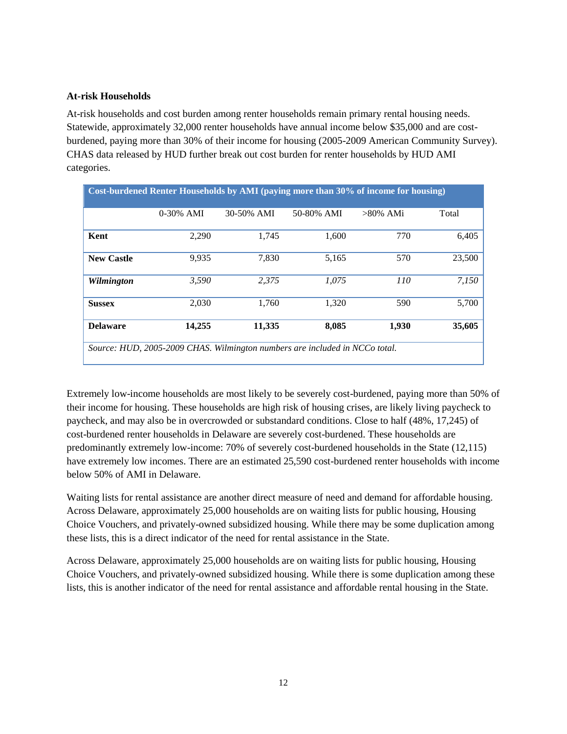### **At-risk Households**

At-risk households and cost burden among renter households remain primary rental housing needs. Statewide, approximately 32,000 renter households have annual income below \$35,000 and are costburdened, paying more than 30% of their income for housing (2005-2009 American Community Survey). CHAS data released by HUD further break out cost burden for renter households by HUD AMI categories.

| <b>Cost-burdened Renter Households by AMI (paying more than 30% of income for housing)</b> |                                                                             |            |            |             |        |  |  |
|--------------------------------------------------------------------------------------------|-----------------------------------------------------------------------------|------------|------------|-------------|--------|--|--|
|                                                                                            | $0-30\%$ AMI                                                                | 30-50% AMI | 50-80% AMI | $>80\%$ AMi | Total  |  |  |
| Kent                                                                                       | 2,290                                                                       | 1,745      | 1,600      | 770         | 6,405  |  |  |
| <b>New Castle</b>                                                                          | 9,935                                                                       | 7.830      | 5,165      | 570         | 23,500 |  |  |
| Wilmington                                                                                 | 3.590                                                                       | 2.375      | 1.075      | <i>110</i>  | 7.150  |  |  |
| <b>Sussex</b>                                                                              | 2,030                                                                       | 1,760      | 1,320      | 590         | 5,700  |  |  |
| <b>Delaware</b>                                                                            | 14,255                                                                      | 11,335     | 8,085      | 1,930       | 35,605 |  |  |
|                                                                                            | Source: HUD, 2005-2009 CHAS. Wilmington numbers are included in NCCo total. |            |            |             |        |  |  |

Extremely low-income households are most likely to be severely cost-burdened, paying more than 50% of their income for housing. These households are high risk of housing crises, are likely living paycheck to paycheck, and may also be in overcrowded or substandard conditions. Close to half (48%, 17,245) of cost-burdened renter households in Delaware are severely cost-burdened. These households are predominantly extremely low-income: 70% of severely cost-burdened households in the State (12,115) have extremely low incomes. There are an estimated 25,590 cost-burdened renter households with income below 50% of AMI in Delaware.

Waiting lists for rental assistance are another direct measure of need and demand for affordable housing. Across Delaware, approximately 25,000 households are on waiting lists for public housing, Housing Choice Vouchers, and privately-owned subsidized housing. While there may be some duplication among these lists, this is a direct indicator of the need for rental assistance in the State.

Across Delaware, approximately 25,000 households are on waiting lists for public housing, Housing Choice Vouchers, and privately-owned subsidized housing. While there is some duplication among these lists, this is another indicator of the need for rental assistance and affordable rental housing in the State.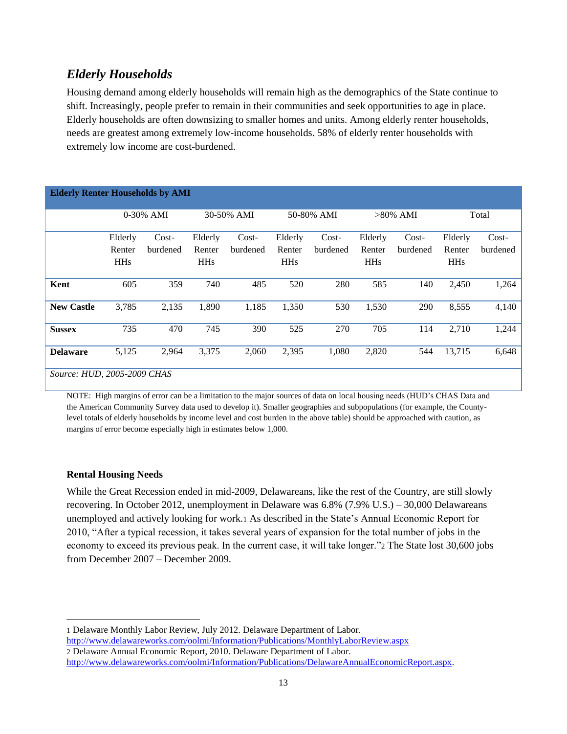# *Elderly Households*

Housing demand among elderly households will remain high as the demographics of the State continue to shift. Increasingly, people prefer to remain in their communities and seek opportunities to age in place. Elderly households are often downsizing to smaller homes and units. Among elderly renter households, needs are greatest among extremely low-income households. 58% of elderly renter households with extremely low income are cost-burdened.

| <b>Elderly Renter Households by AMI</b> |                                 |                   |                                 |                     |                                            |                     |                                 |                     |                                 |                     |  |
|-----------------------------------------|---------------------------------|-------------------|---------------------------------|---------------------|--------------------------------------------|---------------------|---------------------------------|---------------------|---------------------------------|---------------------|--|
|                                         |                                 | $0-30\%$ AMI      |                                 | 30-50% AMI          |                                            | 50-80% AMI          |                                 | $>80\%$ AMI         |                                 | Total               |  |
|                                         | Elderly<br>Renter<br><b>HHs</b> | Cost-<br>burdened | Elderly<br>Renter<br><b>HHs</b> | $Cost-$<br>burdened | Elderly<br>Renter<br><b>HH<sub>s</sub></b> | $Cost-$<br>burdened | Elderly<br>Renter<br><b>HHs</b> | $Cost-$<br>burdened | Elderly<br>Renter<br><b>HHs</b> | $Cost-$<br>burdened |  |
| Kent                                    | 605                             | 359               | 740                             | 485                 | 520                                        | 280                 | 585                             | 140                 | 2,450                           | 1,264               |  |
| <b>New Castle</b>                       | 3,785                           | 2,135             | 1,890                           | 1,185               | 1,350                                      | 530                 | 1,530                           | 290                 | 8,555                           | 4,140               |  |
| <b>Sussex</b>                           | 735                             | 470               | 745                             | 390                 | 525                                        | 270                 | 705                             | 114                 | 2,710                           | 1,244               |  |
| <b>Delaware</b>                         | 5,125                           | 2,964             | 3,375                           | 2,060               | 2,395                                      | 1,080               | 2,820                           | 544                 | 13,715                          | 6,648               |  |
| Source: HUD, 2005-2009 CHAS             |                                 |                   |                                 |                     |                                            |                     |                                 |                     |                                 |                     |  |

NOTE: High margins of error can be a limitation to the major sources of data on local housing needs (HUD's CHAS Data and the American Community Survey data used to develop it). Smaller geographies and subpopulations (for example, the Countylevel totals of elderly households by income level and cost burden in the above table) should be approached with caution, as margins of error become especially high in estimates below 1,000.

# **Rental Housing Needs**

 $\overline{\phantom{a}}$ 

While the Great Recession ended in mid-2009, Delawareans, like the rest of the Country, are still slowly recovering. In October 2012, unemployment in Delaware was 6.8% (7.9% U.S.) – 30,000 Delawareans unemployed and actively looking for work.1 As described in the State's Annual Economic Report for 2010, "After a typical recession, it takes several years of expansion for the total number of jobs in the economy to exceed its previous peak. In the current case, it will take longer."2 The State lost 30,600 jobs from December 2007 – December 2009.

<http://www.delawareworks.com/oolmi/Information/Publications/MonthlyLaborReview.aspx> 2 Delaware Annual Economic Report, 2010. Delaware Department of Labor.

<sup>1</sup> Delaware Monthly Labor Review, July 2012. Delaware Department of Labor.

[http://www.delawareworks.com/oolmi/Information/Publications/DelawareAnnualEconomicReport.aspx.](http://www.delawareworks.com/oolmi/Information/Publications/DelawareAnnualEconomicReport.aspx)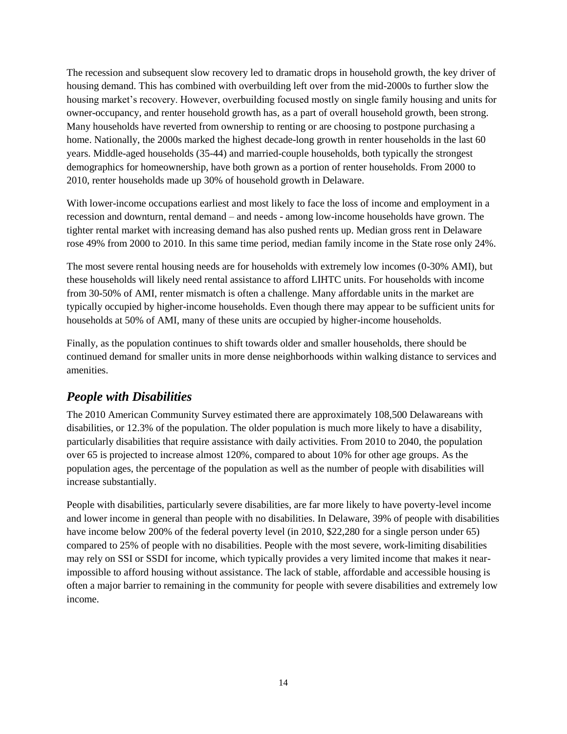The recession and subsequent slow recovery led to dramatic drops in household growth, the key driver of housing demand. This has combined with overbuilding left over from the mid-2000s to further slow the housing market's recovery. However, overbuilding focused mostly on single family housing and units for owner-occupancy, and renter household growth has, as a part of overall household growth, been strong. Many households have reverted from ownership to renting or are choosing to postpone purchasing a home. Nationally, the 2000s marked the highest decade-long growth in renter households in the last 60 years. Middle-aged households (35-44) and married-couple households, both typically the strongest demographics for homeownership, have both grown as a portion of renter households. From 2000 to 2010, renter households made up 30% of household growth in Delaware.

With lower-income occupations earliest and most likely to face the loss of income and employment in a recession and downturn, rental demand – and needs - among low-income households have grown. The tighter rental market with increasing demand has also pushed rents up. Median gross rent in Delaware rose 49% from 2000 to 2010. In this same time period, median family income in the State rose only 24%.

The most severe rental housing needs are for households with extremely low incomes (0-30% AMI), but these households will likely need rental assistance to afford LIHTC units. For households with income from 30-50% of AMI, renter mismatch is often a challenge. Many affordable units in the market are typically occupied by higher-income households. Even though there may appear to be sufficient units for households at 50% of AMI, many of these units are occupied by higher-income households.

Finally, as the population continues to shift towards older and smaller households, there should be continued demand for smaller units in more dense neighborhoods within walking distance to services and amenities.

# *People with Disabilities*

The 2010 American Community Survey estimated there are approximately 108,500 Delawareans with disabilities, or 12.3% of the population. The older population is much more likely to have a disability, particularly disabilities that require assistance with daily activities. From 2010 to 2040, the population over 65 is projected to increase almost 120%, compared to about 10% for other age groups. As the population ages, the percentage of the population as well as the number of people with disabilities will increase substantially.

People with disabilities, particularly severe disabilities, are far more likely to have poverty-level income and lower income in general than people with no disabilities. In Delaware, 39% of people with disabilities have income below 200% of the federal poverty level (in 2010, \$22,280 for a single person under 65) compared to 25% of people with no disabilities. People with the most severe, work-limiting disabilities may rely on SSI or SSDI for income, which typically provides a very limited income that makes it nearimpossible to afford housing without assistance. The lack of stable, affordable and accessible housing is often a major barrier to remaining in the community for people with severe disabilities and extremely low income.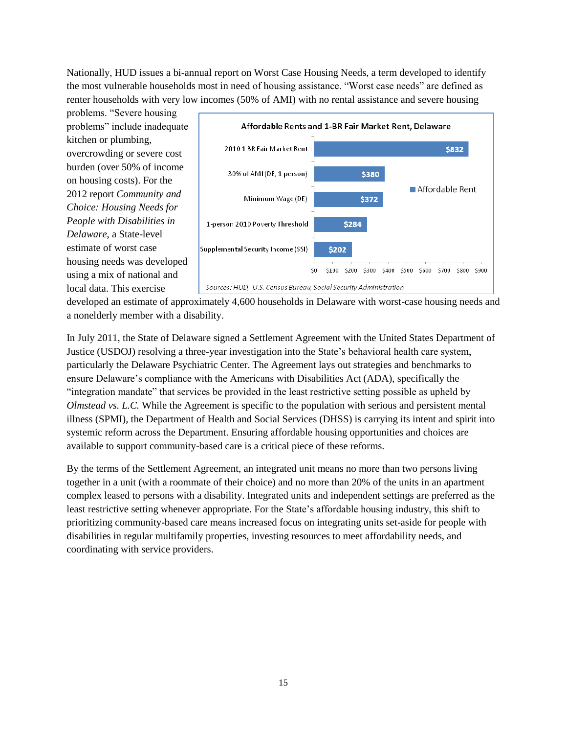Nationally, HUD issues a bi-annual report on Worst Case Housing Needs, a term developed to identify the most vulnerable households most in need of housing assistance. "Worst case needs" are defined as renter households with very low incomes (50% of AMI) with no rental assistance and severe housing

problems. "Severe housing problems" include inadequate kitchen or plumbing, overcrowding or severe cost burden (over 50% of income on housing costs). For the 2012 report *Community and Choice: Housing Needs for People with Disabilities in Delaware*, a State-level estimate of worst case housing needs was developed using a mix of national and local data. This exercise



developed an estimate of approximately 4,600 households in Delaware with worst-case housing needs and a nonelderly member with a disability.

In July 2011, the State of Delaware signed a Settlement Agreement with the United States Department of Justice (USDOJ) resolving a three-year investigation into the State's behavioral health care system, particularly the Delaware Psychiatric Center. The Agreement lays out strategies and benchmarks to ensure Delaware's compliance with the Americans with Disabilities Act (ADA), specifically the "integration mandate" that services be provided in the least restrictive setting possible as upheld by *Olmstead vs. L.C.* While the Agreement is specific to the population with serious and persistent mental illness (SPMI), the Department of Health and Social Services (DHSS) is carrying its intent and spirit into systemic reform across the Department. Ensuring affordable housing opportunities and choices are available to support community-based care is a critical piece of these reforms.

By the terms of the Settlement Agreement, an integrated unit means no more than two persons living together in a unit (with a roommate of their choice) and no more than 20% of the units in an apartment complex leased to persons with a disability. Integrated units and independent settings are preferred as the least restrictive setting whenever appropriate. For the State's affordable housing industry, this shift to prioritizing community-based care means increased focus on integrating units set-aside for people with disabilities in regular multifamily properties, investing resources to meet affordability needs, and coordinating with service providers.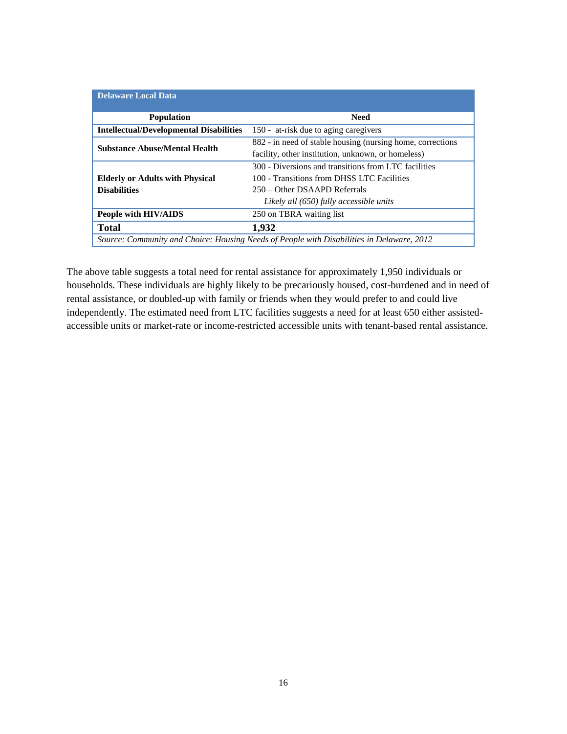| <b>Delaware Local Data</b>                                                                |                                                             |  |  |  |
|-------------------------------------------------------------------------------------------|-------------------------------------------------------------|--|--|--|
| <b>Population</b>                                                                         | <b>Need</b>                                                 |  |  |  |
| <b>Intellectual/Developmental Disabilities</b>                                            | 150 - at-risk due to aging caregivers                       |  |  |  |
| <b>Substance Abuse/Mental Health</b>                                                      | 882 - in need of stable housing (nursing home, corrections) |  |  |  |
|                                                                                           | facility, other institution, unknown, or homeless)          |  |  |  |
|                                                                                           | 300 - Diversions and transitions from LTC facilities        |  |  |  |
| <b>Elderly or Adults with Physical</b>                                                    | 100 - Transitions from DHSS LTC Facilities                  |  |  |  |
| <b>Disabilities</b>                                                                       | 250 – Other DSAAPD Referrals                                |  |  |  |
|                                                                                           | Likely all (650) fully accessible units                     |  |  |  |
| People with HIV/AIDS                                                                      | 250 on TBRA waiting list                                    |  |  |  |
| <b>Total</b>                                                                              | 1,932                                                       |  |  |  |
| Source: Community and Choice: Housing Needs of People with Disabilities in Delaware, 2012 |                                                             |  |  |  |

<span id="page-15-0"></span>The above table suggests a total need for rental assistance for approximately 1,950 individuals or households. These individuals are highly likely to be precariously housed, cost-burdened and in need of rental assistance, or doubled-up with family or friends when they would prefer to and could live independently. The estimated need from LTC facilities suggests a need for at least 650 either assistedaccessible units or market-rate or income-restricted accessible units with tenant-based rental assistance.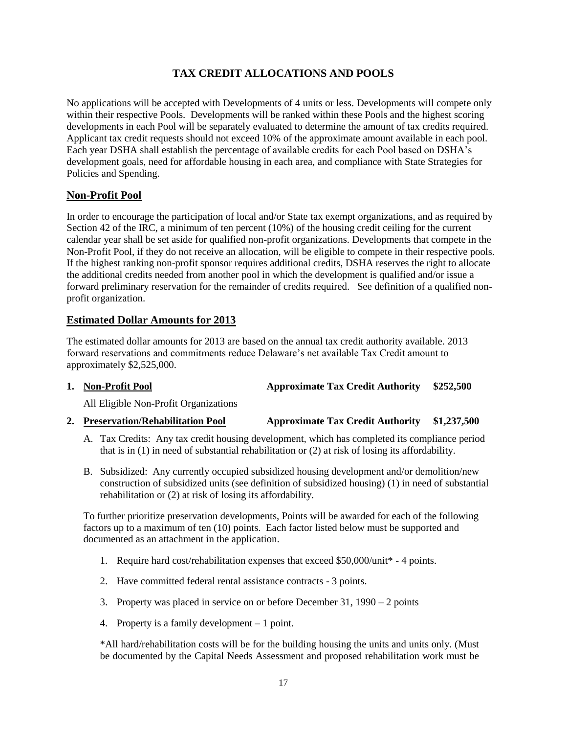# **TAX CREDIT ALLOCATIONS AND POOLS**

No applications will be accepted with Developments of 4 units or less. Developments will compete only within their respective Pools. Developments will be ranked within these Pools and the highest scoring developments in each Pool will be separately evaluated to determine the amount of tax credits required. Applicant tax credit requests should not exceed 10% of the approximate amount available in each pool. Each year DSHA shall establish the percentage of available credits for each Pool based on DSHA's development goals, need for affordable housing in each area, and compliance with State Strategies for Policies and Spending.

# **Non-Profit Pool**

In order to encourage the participation of local and/or State tax exempt organizations, and as required by Section 42 of the IRC, a minimum of ten percent (10%) of the housing credit ceiling for the current calendar year shall be set aside for qualified non-profit organizations. Developments that compete in the Non-Profit Pool, if they do not receive an allocation, will be eligible to compete in their respective pools. If the highest ranking non-profit sponsor requires additional credits, DSHA reserves the right to allocate the additional credits needed from another pool in which the development is qualified and/or issue a forward preliminary reservation for the remainder of credits required. See definition of a qualified nonprofit organization.

# **Estimated Dollar Amounts for 2013**

The estimated dollar amounts for 2013 are based on the annual tax credit authority available. 2013 forward reservations and commitments reduce Delaware's net available Tax Credit amount to approximately \$2,525,000.

# **1. Non-Profit Pool Approximate Tax Credit Authority \$252,500**

All Eligible Non-Profit Organizations

# **2. Preservation/Rehabilitation Pool Approximate Tax Credit Authority \$1,237,500**

- A. Tax Credits: Any tax credit housing development, which has completed its compliance period that is in (1) in need of substantial rehabilitation or (2) at risk of losing its affordability.
- B. Subsidized: Any currently occupied subsidized housing development and/or demolition/new construction of subsidized units (see definition of subsidized housing) (1) in need of substantial rehabilitation or (2) at risk of losing its affordability.

To further prioritize preservation developments, Points will be awarded for each of the following factors up to a maximum of ten (10) points. Each factor listed below must be supported and documented as an attachment in the application.

- 1. Require hard cost/rehabilitation expenses that exceed \$50,000/unit\* 4 points.
- 2. Have committed federal rental assistance contracts 3 points.
- 3. Property was placed in service on or before December 31, 1990 2 points
- 4. Property is a family development 1 point.

\*All hard/rehabilitation costs will be for the building housing the units and units only. (Must be documented by the Capital Needs Assessment and proposed rehabilitation work must be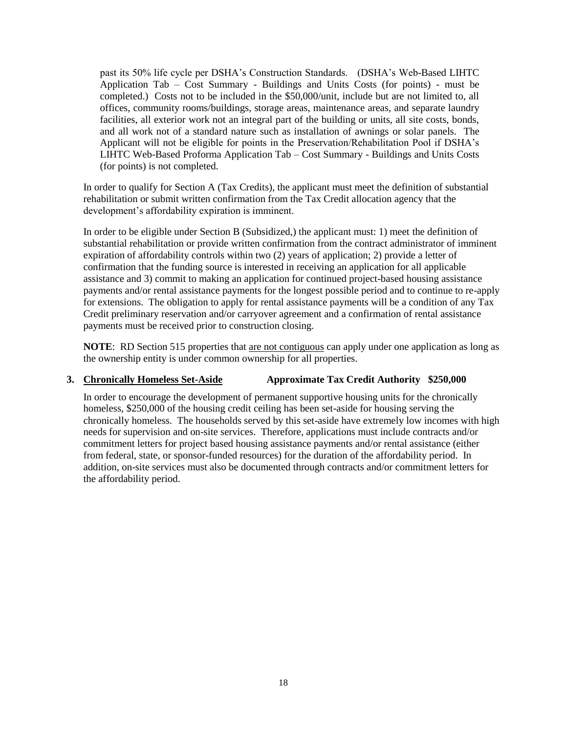past its 50% life cycle per DSHA's Construction Standards. (DSHA's Web-Based LIHTC Application Tab – Cost Summary - Buildings and Units Costs (for points) - must be completed.) Costs not to be included in the \$50,000/unit, include but are not limited to, all offices, community rooms/buildings, storage areas, maintenance areas, and separate laundry facilities, all exterior work not an integral part of the building or units, all site costs, bonds, and all work not of a standard nature such as installation of awnings or solar panels. The Applicant will not be eligible for points in the Preservation/Rehabilitation Pool if DSHA's LIHTC Web-Based Proforma Application Tab – Cost Summary - Buildings and Units Costs (for points) is not completed.

In order to qualify for Section A (Tax Credits), the applicant must meet the definition of substantial rehabilitation or submit written confirmation from the Tax Credit allocation agency that the development's affordability expiration is imminent.

In order to be eligible under Section B (Subsidized,) the applicant must: 1) meet the definition of substantial rehabilitation or provide written confirmation from the contract administrator of imminent expiration of affordability controls within two (2) years of application; 2) provide a letter of confirmation that the funding source is interested in receiving an application for all applicable assistance and 3) commit to making an application for continued project-based housing assistance payments and/or rental assistance payments for the longest possible period and to continue to re-apply for extensions. The obligation to apply for rental assistance payments will be a condition of any Tax Credit preliminary reservation and/or carryover agreement and a confirmation of rental assistance payments must be received prior to construction closing.

**NOTE**: RD Section 515 properties that are not contiguous can apply under one application as long as the ownership entity is under common ownership for all properties.

### **3. Chronically Homeless Set-Aside Approximate Tax Credit Authority \$250,000**

In order to encourage the development of permanent supportive housing units for the chronically homeless, \$250,000 of the housing credit ceiling has been set-aside for housing serving the chronically homeless. The households served by this set-aside have extremely low incomes with high needs for supervision and on-site services. Therefore, applications must include contracts and/or commitment letters for project based housing assistance payments and/or rental assistance (either from federal, state, or sponsor-funded resources) for the duration of the affordability period. In addition, on-site services must also be documented through contracts and/or commitment letters for the affordability period.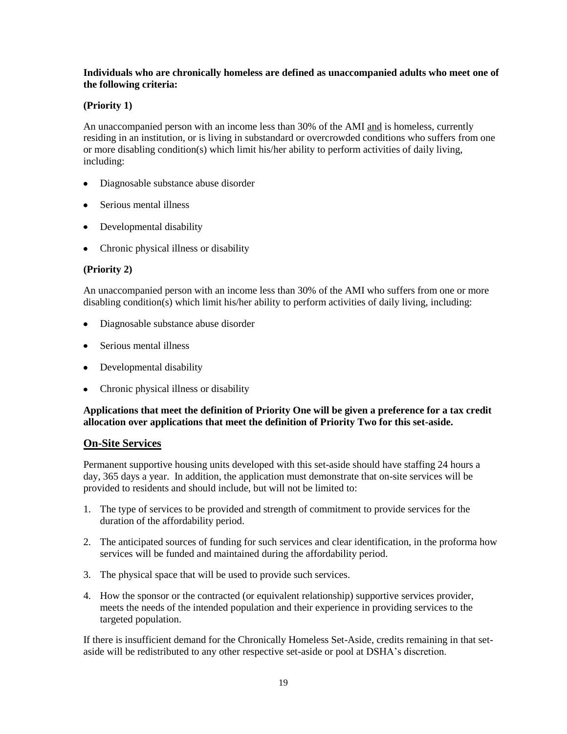#### **Individuals who are chronically homeless are defined as unaccompanied adults who meet one of the following criteria:**

### **(Priority 1)**

An unaccompanied person with an income less than 30% of the AMI and is homeless, currently residing in an institution, or is living in substandard or overcrowded conditions who suffers from one or more disabling condition(s) which limit his/her ability to perform activities of daily living, including:

- Diagnosable substance abuse disorder
- Serious mental illness
- Developmental disability
- Chronic physical illness or disability

### **(Priority 2)**

An unaccompanied person with an income less than 30% of the AMI who suffers from one or more disabling condition(s) which limit his/her ability to perform activities of daily living, including:

- Diagnosable substance abuse disorder  $\bullet$
- Serious mental illness
- Developmental disability  $\bullet$
- $\bullet$ Chronic physical illness or disability

### **Applications that meet the definition of Priority One will be given a preference for a tax credit allocation over applications that meet the definition of Priority Two for this set-aside.**

### **On-Site Services**

Permanent supportive housing units developed with this set-aside should have staffing 24 hours a day, 365 days a year. In addition, the application must demonstrate that on-site services will be provided to residents and should include, but will not be limited to:

- 1. The type of services to be provided and strength of commitment to provide services for the duration of the affordability period.
- 2. The anticipated sources of funding for such services and clear identification, in the proforma how services will be funded and maintained during the affordability period.
- 3. The physical space that will be used to provide such services.
- 4. How the sponsor or the contracted (or equivalent relationship) supportive services provider, meets the needs of the intended population and their experience in providing services to the targeted population.

If there is insufficient demand for the Chronically Homeless Set-Aside, credits remaining in that setaside will be redistributed to any other respective set-aside or pool at DSHA's discretion.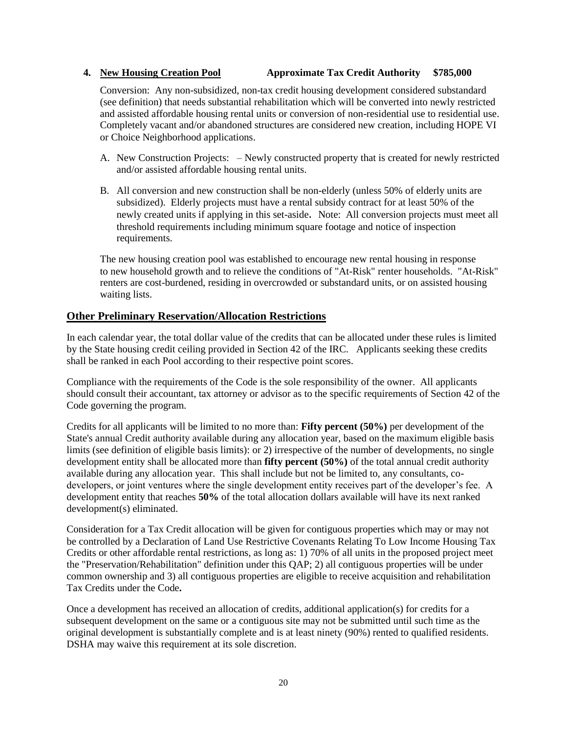### **4. New Housing Creation Pool Approximate Tax Credit Authority \$785,000**

Conversion: Any non-subsidized, non-tax credit housing development considered substandard (see definition) that needs substantial rehabilitation which will be converted into newly restricted and assisted affordable housing rental units or conversion of non-residential use to residential use. Completely vacant and/or abandoned structures are considered new creation, including HOPE VI or Choice Neighborhood applications.

- A. New Construction Projects: Newly constructed property that is created for newly restricted and/or assisted affordable housing rental units.
- B. All conversion and new construction shall be non-elderly (unless 50% of elderly units are subsidized). Elderly projects must have a rental subsidy contract for at least 50% of the newly created units if applying in this set-aside. Note: All conversion projects must meet all threshold requirements including minimum square footage and notice of inspection requirements.

The new housing creation pool was established to encourage new rental housing in response to new household growth and to relieve the conditions of "At-Risk" renter households. "At-Risk" renters are cost-burdened, residing in overcrowded or substandard units, or on assisted housing waiting lists.

# **Other Preliminary Reservation/Allocation Restrictions**

In each calendar year, the total dollar value of the credits that can be allocated under these rules is limited by the State housing credit ceiling provided in Section 42 of the IRC. Applicants seeking these credits shall be ranked in each Pool according to their respective point scores.

Compliance with the requirements of the Code is the sole responsibility of the owner. All applicants should consult their accountant, tax attorney or advisor as to the specific requirements of Section 42 of the Code governing the program.

Credits for all applicants will be limited to no more than: **Fifty percent (50%)** per development of the State's annual Credit authority available during any allocation year, based on the maximum eligible basis limits (see definition of eligible basis limits): or 2) irrespective of the number of developments, no single development entity shall be allocated more than **fifty percent (50%)** of the total annual credit authority available during any allocation year. This shall include but not be limited to, any consultants, codevelopers, or joint ventures where the single development entity receives part of the developer's fee. A development entity that reaches **50%** of the total allocation dollars available will have its next ranked development(s) eliminated.

Consideration for a Tax Credit allocation will be given for contiguous properties which may or may not be controlled by a Declaration of Land Use Restrictive Covenants Relating To Low Income Housing Tax Credits or other affordable rental restrictions, as long as: 1) 70% of all units in the proposed project meet the "Preservation/Rehabilitation" definition under this QAP; 2) all contiguous properties will be under common ownership and 3) all contiguous properties are eligible to receive acquisition and rehabilitation Tax Credits under the Code**.**

Once a development has received an allocation of credits, additional application(s) for credits for a subsequent development on the same or a contiguous site may not be submitted until such time as the original development is substantially complete and is at least ninety (90%) rented to qualified residents. DSHA may waive this requirement at its sole discretion.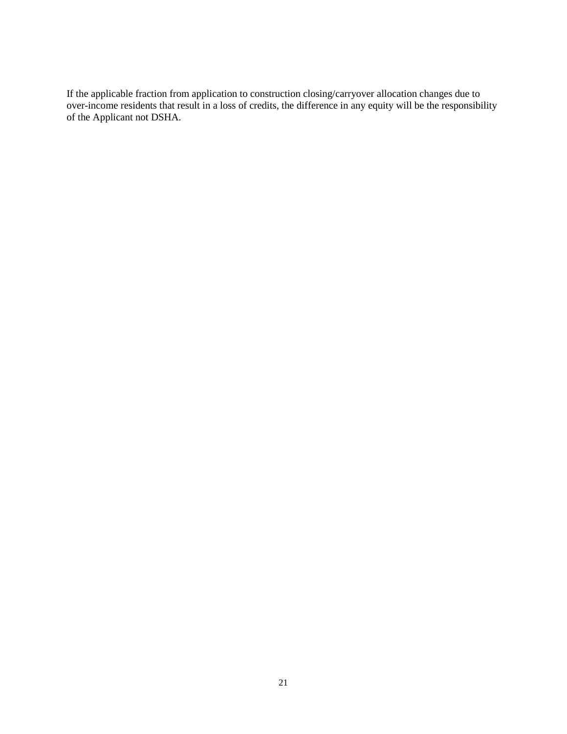If the applicable fraction from application to construction closing/carryover allocation changes due to over-income residents that result in a loss of credits, the difference in any equity will be the responsibility of the Applicant not DSHA.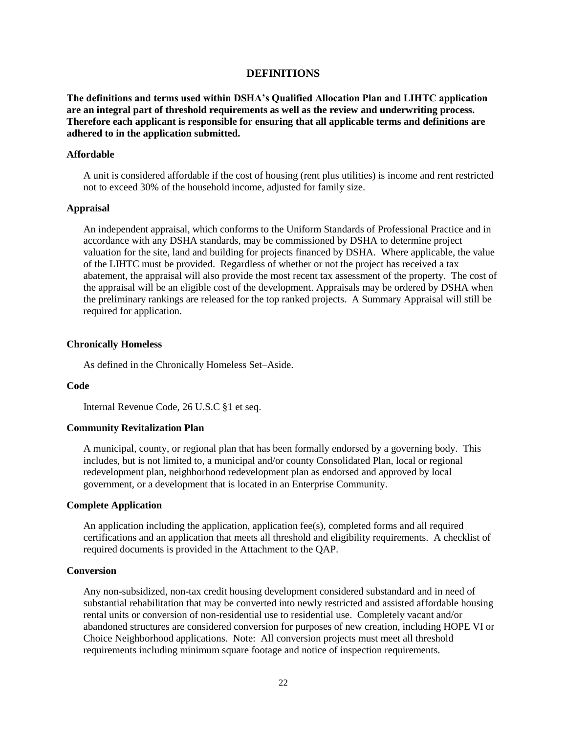#### **DEFINITIONS**

<span id="page-21-0"></span>**The definitions and terms used within DSHA's Qualified Allocation Plan and LIHTC application are an integral part of threshold requirements as well as the review and underwriting process. Therefore each applicant is responsible for ensuring that all applicable terms and definitions are adhered to in the application submitted.**

#### **Affordable**

A unit is considered affordable if the cost of housing (rent plus utilities) is income and rent restricted not to exceed 30% of the household income, adjusted for family size.

#### **Appraisal**

An independent appraisal, which conforms to the Uniform Standards of Professional Practice and in accordance with any DSHA standards, may be commissioned by DSHA to determine project valuation for the site, land and building for projects financed by DSHA. Where applicable, the value of the LIHTC must be provided. Regardless of whether or not the project has received a tax abatement, the appraisal will also provide the most recent tax assessment of the property. The cost of the appraisal will be an eligible cost of the development. Appraisals may be ordered by DSHA when the preliminary rankings are released for the top ranked projects. A Summary Appraisal will still be required for application.

#### **Chronically Homeless**

As defined in the Chronically Homeless Set–Aside.

#### **Code**

Internal Revenue Code, 26 U.S.C §1 et seq.

#### **Community Revitalization Plan**

A municipal, county, or regional plan that has been formally endorsed by a governing body. This includes, but is not limited to, a municipal and/or county Consolidated Plan, local or regional redevelopment plan, neighborhood redevelopment plan as endorsed and approved by local government, or a development that is located in an Enterprise Community.

#### **Complete Application**

An application including the application, application fee(s), completed forms and all required certifications and an application that meets all threshold and eligibility requirements. A checklist of required documents is provided in the Attachment to the QAP.

#### **Conversion**

Any non-subsidized, non-tax credit housing development considered substandard and in need of substantial rehabilitation that may be converted into newly restricted and assisted affordable housing rental units or conversion of non-residential use to residential use. Completely vacant and/or abandoned structures are considered conversion for purposes of new creation, including HOPE VI or Choice Neighborhood applications. Note: All conversion projects must meet all threshold requirements including minimum square footage and notice of inspection requirements.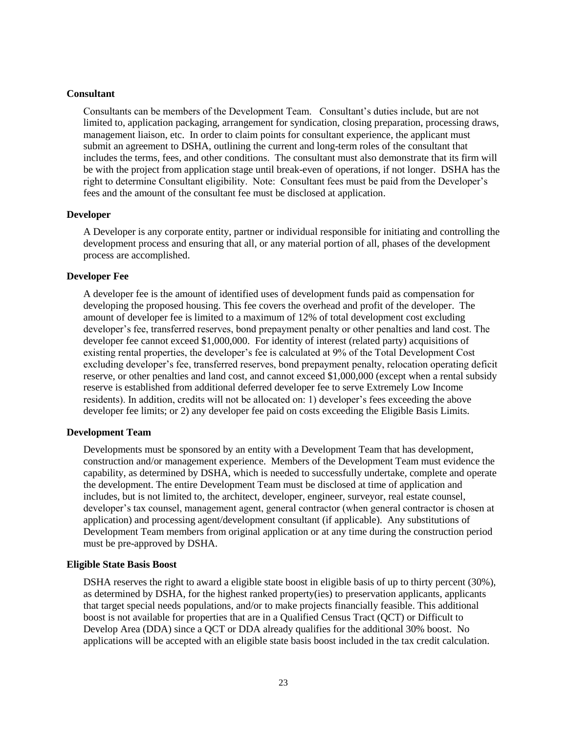#### **Consultant**

Consultants can be members of the Development Team. Consultant's duties include, but are not limited to, application packaging, arrangement for syndication, closing preparation, processing draws, management liaison, etc. In order to claim points for consultant experience, the applicant must submit an agreement to DSHA, outlining the current and long-term roles of the consultant that includes the terms, fees, and other conditions. The consultant must also demonstrate that its firm will be with the project from application stage until break-even of operations, if not longer. DSHA has the right to determine Consultant eligibility. Note: Consultant fees must be paid from the Developer's fees and the amount of the consultant fee must be disclosed at application.

#### **Developer**

A Developer is any corporate entity, partner or individual responsible for initiating and controlling the development process and ensuring that all, or any material portion of all, phases of the development process are accomplished.

#### **Developer Fee**

A developer fee is the amount of identified uses of development funds paid as compensation for developing the proposed housing. This fee covers the overhead and profit of the developer. The amount of developer fee is limited to a maximum of 12% of total development cost excluding developer's fee, transferred reserves, bond prepayment penalty or other penalties and land cost. The developer fee cannot exceed \$1,000,000. For identity of interest (related party) acquisitions of existing rental properties, the developer's fee is calculated at 9% of the Total Development Cost excluding developer's fee, transferred reserves, bond prepayment penalty, relocation operating deficit reserve, or other penalties and land cost, and cannot exceed \$1,000,000 (except when a rental subsidy reserve is established from additional deferred developer fee to serve Extremely Low Income residents). In addition, credits will not be allocated on: 1) developer's fees exceeding the above developer fee limits; or 2) any developer fee paid on costs exceeding the Eligible Basis Limits.

### **Development Team**

Developments must be sponsored by an entity with a Development Team that has development, construction and/or management experience. Members of the Development Team must evidence the capability, as determined by DSHA, which is needed to successfully undertake, complete and operate the development. The entire Development Team must be disclosed at time of application and includes, but is not limited to, the architect, developer, engineer, surveyor, real estate counsel, developer's tax counsel, management agent, general contractor (when general contractor is chosen at application) and processing agent/development consultant (if applicable). Any substitutions of Development Team members from original application or at any time during the construction period must be pre-approved by DSHA.

#### **Eligible State Basis Boost**

DSHA reserves the right to award a eligible state boost in eligible basis of up to thirty percent (30%), as determined by DSHA, for the highest ranked property(ies) to preservation applicants, applicants that target special needs populations, and/or to make projects financially feasible. This additional boost is not available for properties that are in a Qualified Census Tract (QCT) or Difficult to Develop Area (DDA) since a QCT or DDA already qualifies for the additional 30% boost. No applications will be accepted with an eligible state basis boost included in the tax credit calculation.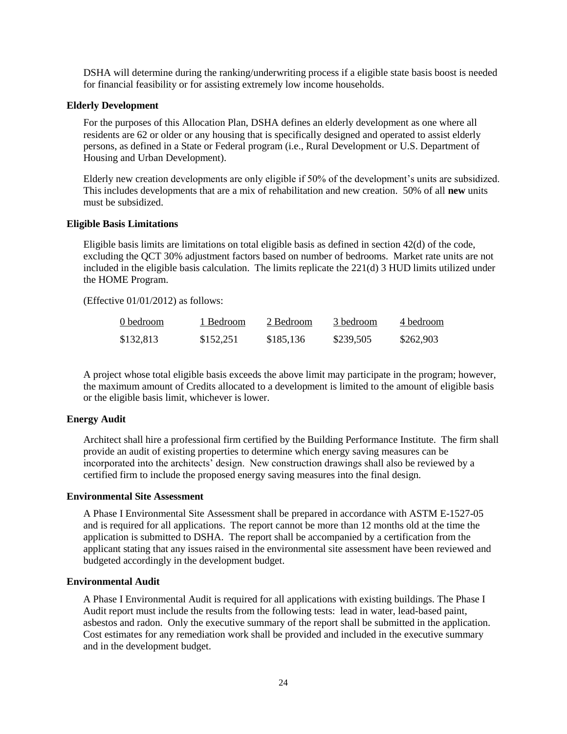DSHA will determine during the ranking/underwriting process if a eligible state basis boost is needed for financial feasibility or for assisting extremely low income households.

#### **Elderly Development**

For the purposes of this Allocation Plan, DSHA defines an elderly development as one where all residents are 62 or older or any housing that is specifically designed and operated to assist elderly persons, as defined in a State or Federal program (i.e., Rural Development or U.S. Department of Housing and Urban Development).

Elderly new creation developments are only eligible if 50% of the development's units are subsidized. This includes developments that are a mix of rehabilitation and new creation. 50% of all **new** units must be subsidized.

#### **Eligible Basis Limitations**

Eligible basis limits are limitations on total eligible basis as defined in section 42(d) of the code, excluding the QCT 30% adjustment factors based on number of bedrooms. Market rate units are not included in the eligible basis calculation. The limits replicate the 221(d) 3 HUD limits utilized under the HOME Program.

(Effective 01/01/2012) as follows:

| 0 bedroom | 1 Bedroom | 2 Bedroom | 3 bedroom | 4 bedroom |
|-----------|-----------|-----------|-----------|-----------|
| \$132,813 | \$152,251 | \$185,136 | \$239,505 | \$262,903 |

A project whose total eligible basis exceeds the above limit may participate in the program; however, the maximum amount of Credits allocated to a development is limited to the amount of eligible basis or the eligible basis limit, whichever is lower.

#### **Energy Audit**

Architect shall hire a professional firm certified by the Building Performance Institute. The firm shall provide an audit of existing properties to determine which energy saving measures can be incorporated into the architects' design. New construction drawings shall also be reviewed by a certified firm to include the proposed energy saving measures into the final design.

#### **Environmental Site Assessment**

A Phase I Environmental Site Assessment shall be prepared in accordance with ASTM E-1527-05 and is required for all applications. The report cannot be more than 12 months old at the time the application is submitted to DSHA. The report shall be accompanied by a certification from the applicant stating that any issues raised in the environmental site assessment have been reviewed and budgeted accordingly in the development budget.

#### **Environmental Audit**

A Phase I Environmental Audit is required for all applications with existing buildings. The Phase I Audit report must include the results from the following tests: lead in water, lead-based paint, asbestos and radon. Only the executive summary of the report shall be submitted in the application. Cost estimates for any remediation work shall be provided and included in the executive summary and in the development budget.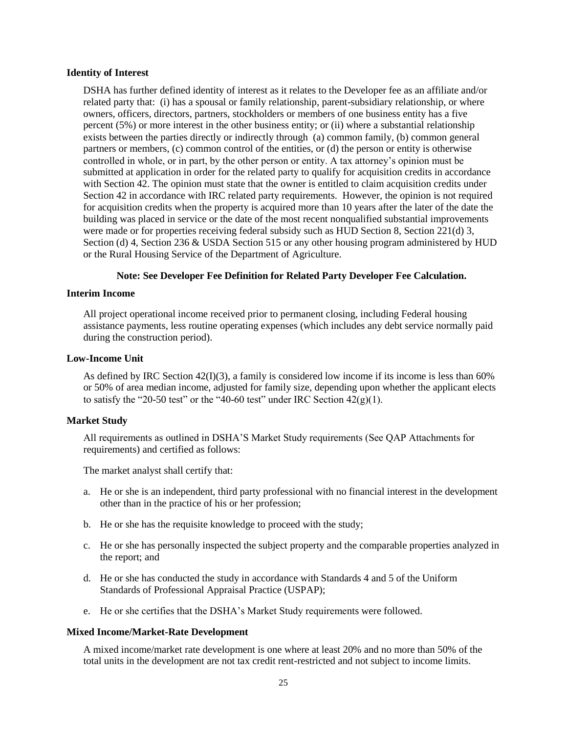#### **Identity of Interest**

DSHA has further defined identity of interest as it relates to the Developer fee as an affiliate and/or related party that: (i) has a spousal or family relationship, parent-subsidiary relationship, or where owners, officers, directors, partners, stockholders or members of one business entity has a five percent (5%) or more interest in the other business entity; or (ii) where a substantial relationship exists between the parties directly or indirectly through (a) common family, (b) common general partners or members, (c) common control of the entities, or (d) the person or entity is otherwise controlled in whole, or in part, by the other person or entity. A tax attorney's opinion must be submitted at application in order for the related party to qualify for acquisition credits in accordance with Section 42. The opinion must state that the owner is entitled to claim acquisition credits under Section 42 in accordance with IRC related party requirements. However, the opinion is not required for acquisition credits when the property is acquired more than 10 years after the later of the date the building was placed in service or the date of the most recent nonqualified substantial improvements were made or for properties receiving federal subsidy such as HUD Section 8, Section 221(d) 3, Section (d) 4, Section 236 & USDA Section 515 or any other housing program administered by HUD or the Rural Housing Service of the Department of Agriculture.

#### **Note: See Developer Fee Definition for Related Party Developer Fee Calculation.**

#### **Interim Income**

All project operational income received prior to permanent closing, including Federal housing assistance payments, less routine operating expenses (which includes any debt service normally paid during the construction period).

#### **Low-Income Unit**

As defined by IRC Section  $42(I)(3)$ , a family is considered low income if its income is less than 60% or 50% of area median income, adjusted for family size, depending upon whether the applicant elects to satisfy the "20-50 test" or the "40-60 test" under IRC Section  $42(g)(1)$ .

#### **Market Study**

All requirements as outlined in DSHA'S Market Study requirements (See QAP Attachments for requirements) and certified as follows:

The market analyst shall certify that:

- a. He or she is an independent, third party professional with no financial interest in the development other than in the practice of his or her profession;
- b. He or she has the requisite knowledge to proceed with the study;
- c. He or she has personally inspected the subject property and the comparable properties analyzed in the report; and
- d. He or she has conducted the study in accordance with Standards 4 and 5 of the Uniform Standards of Professional Appraisal Practice (USPAP);
- e. He or she certifies that the DSHA's Market Study requirements were followed.

#### **Mixed Income/Market-Rate Development**

A mixed income/market rate development is one where at least 20% and no more than 50% of the total units in the development are not tax credit rent-restricted and not subject to income limits.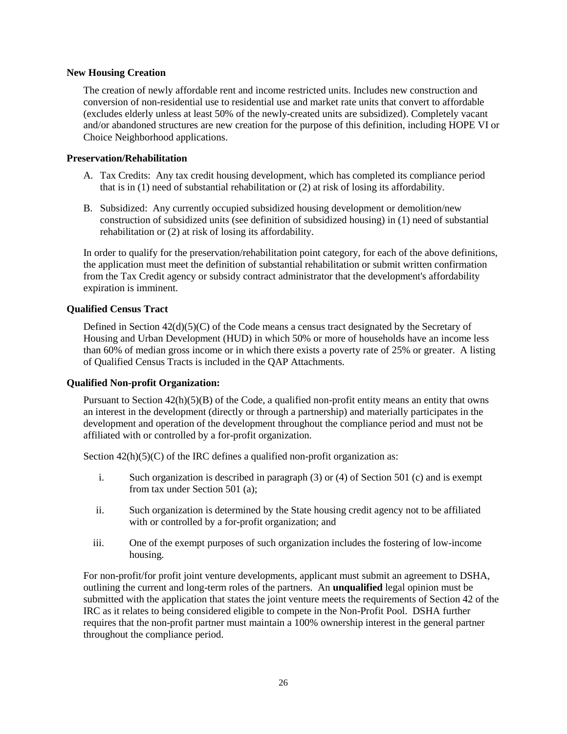#### **New Housing Creation**

The creation of newly affordable rent and income restricted units. Includes new construction and conversion of non-residential use to residential use and market rate units that convert to affordable (excludes elderly unless at least 50% of the newly-created units are subsidized). Completely vacant and/or abandoned structures are new creation for the purpose of this definition, including HOPE VI or Choice Neighborhood applications.

#### **Preservation/Rehabilitation**

- A. Tax Credits: Any tax credit housing development, which has completed its compliance period that is in (1) need of substantial rehabilitation or (2) at risk of losing its affordability.
- B. Subsidized: Any currently occupied subsidized housing development or demolition/new construction of subsidized units (see definition of subsidized housing) in (1) need of substantial rehabilitation or (2) at risk of losing its affordability.

In order to qualify for the preservation/rehabilitation point category, for each of the above definitions, the application must meet the definition of substantial rehabilitation or submit written confirmation from the Tax Credit agency or subsidy contract administrator that the development's affordability expiration is imminent.

### **Qualified Census Tract**

Defined in Section  $42(d)(5)(C)$  of the Code means a census tract designated by the Secretary of Housing and Urban Development (HUD) in which 50% or more of households have an income less than 60% of median gross income or in which there exists a poverty rate of 25% or greater. A listing of Qualified Census Tracts is included in the QAP Attachments.

### **Qualified Non-profit Organization:**

Pursuant to Section  $42(h)(5)(B)$  of the Code, a qualified non-profit entity means an entity that owns an interest in the development (directly or through a partnership) and materially participates in the development and operation of the development throughout the compliance period and must not be affiliated with or controlled by a for-profit organization.

Section  $42(h)(5)(C)$  of the IRC defines a qualified non-profit organization as:

- i. Such organization is described in paragraph (3) or (4) of Section 501 (c) and is exempt from tax under Section 501 (a);
- ii. Such organization is determined by the State housing credit agency not to be affiliated with or controlled by a for-profit organization; and
- iii. One of the exempt purposes of such organization includes the fostering of low-income housing.

For non-profit/for profit joint venture developments, applicant must submit an agreement to DSHA, outlining the current and long-term roles of the partners. An **unqualified** legal opinion must be submitted with the application that states the joint venture meets the requirements of Section 42 of the IRC as it relates to being considered eligible to compete in the Non-Profit Pool. DSHA further requires that the non-profit partner must maintain a 100% ownership interest in the general partner throughout the compliance period.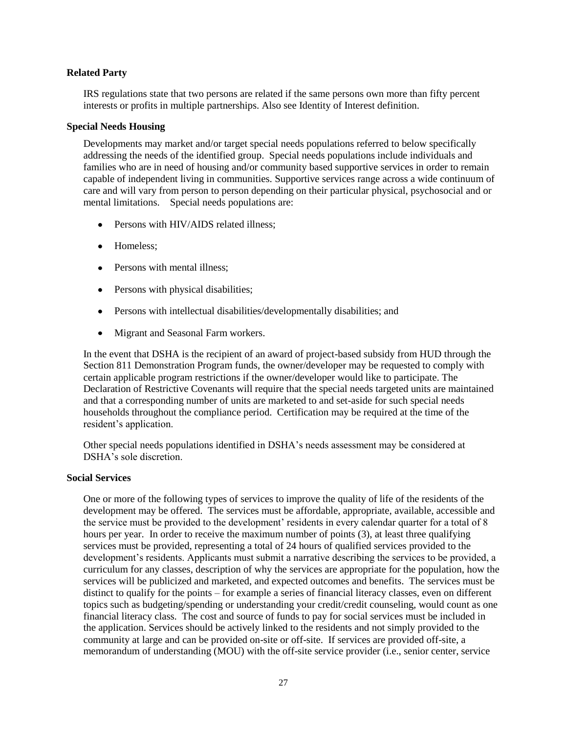#### **Related Party**

IRS regulations state that two persons are related if the same persons own more than fifty percent interests or profits in multiple partnerships. Also see Identity of Interest definition.

#### **Special Needs Housing**

Developments may market and/or target special needs populations referred to below specifically addressing the needs of the identified group. Special needs populations include individuals and families who are in need of housing and/or community based supportive services in order to remain capable of independent living in communities. Supportive services range across a wide continuum of care and will vary from person to person depending on their particular physical, psychosocial and or mental limitations. Special needs populations are:

- Persons with HIV/AIDS related illness;
- Homeless:
- Persons with mental illness;
- Persons with physical disabilities;
- Persons with intellectual disabilities/developmentally disabilities; and
- $\bullet$ Migrant and Seasonal Farm workers.

In the event that DSHA is the recipient of an award of project-based subsidy from HUD through the Section 811 Demonstration Program funds, the owner/developer may be requested to comply with certain applicable program restrictions if the owner/developer would like to participate. The Declaration of Restrictive Covenants will require that the special needs targeted units are maintained and that a corresponding number of units are marketed to and set-aside for such special needs households throughout the compliance period. Certification may be required at the time of the resident's application.

Other special needs populations identified in DSHA's needs assessment may be considered at DSHA's sole discretion.

#### **Social Services**

One or more of the following types of services to improve the quality of life of the residents of the development may be offered. The services must be affordable, appropriate, available, accessible and the service must be provided to the development' residents in every calendar quarter for a total of 8 hours per year. In order to receive the maximum number of points (3), at least three qualifying services must be provided, representing a total of 24 hours of qualified services provided to the development's residents. Applicants must submit a narrative describing the services to be provided, a curriculum for any classes, description of why the services are appropriate for the population, how the services will be publicized and marketed, and expected outcomes and benefits. The services must be distinct to qualify for the points – for example a series of financial literacy classes, even on different topics such as budgeting/spending or understanding your credit/credit counseling, would count as one financial literacy class. The cost and source of funds to pay for social services must be included in the application. Services should be actively linked to the residents and not simply provided to the community at large and can be provided on-site or off-site. If services are provided off-site, a memorandum of understanding (MOU) with the off-site service provider (i.e., senior center, service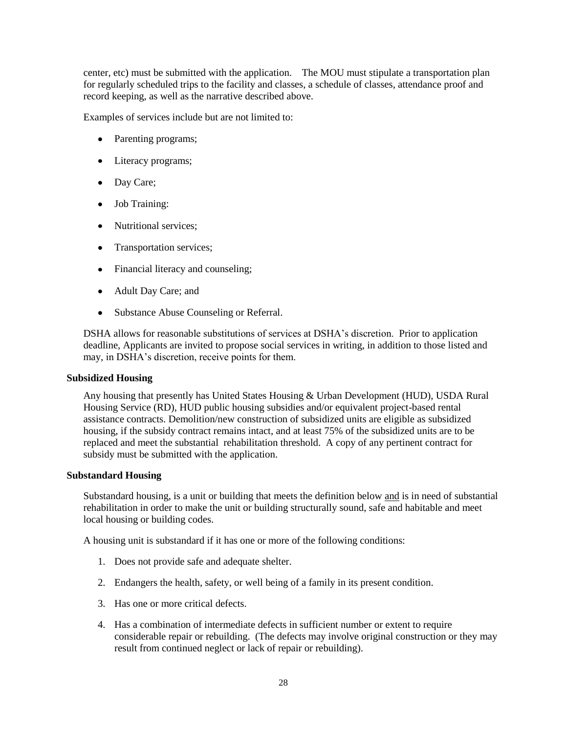center, etc) must be submitted with the application. The MOU must stipulate a transportation plan for regularly scheduled trips to the facility and classes, a schedule of classes, attendance proof and record keeping, as well as the narrative described above.

Examples of services include but are not limited to:

- Parenting programs;
- Literacy programs;
- Day Care;
- Job Training:
- Nutritional services;
- Transportation services:
- Financial literacy and counseling;
- Adult Day Care; and
- Substance Abuse Counseling or Referral.

DSHA allows for reasonable substitutions of services at DSHA's discretion. Prior to application deadline, Applicants are invited to propose social services in writing, in addition to those listed and may, in DSHA's discretion, receive points for them.

#### **Subsidized Housing**

Any housing that presently has United States Housing & Urban Development (HUD), USDA Rural Housing Service (RD), HUD public housing subsidies and/or equivalent project-based rental assistance contracts. Demolition/new construction of subsidized units are eligible as subsidized housing, if the subsidy contract remains intact, and at least 75% of the subsidized units are to be replaced and meet the substantial rehabilitation threshold. A copy of any pertinent contract for subsidy must be submitted with the application.

### **Substandard Housing**

Substandard housing, is a unit or building that meets the definition below and is in need of substantial rehabilitation in order to make the unit or building structurally sound, safe and habitable and meet local housing or building codes.

A housing unit is substandard if it has one or more of the following conditions:

- 1. Does not provide safe and adequate shelter.
- 2. Endangers the health, safety, or well being of a family in its present condition.
- 3. Has one or more critical defects.
- 4. Has a combination of intermediate defects in sufficient number or extent to require considerable repair or rebuilding. (The defects may involve original construction or they may result from continued neglect or lack of repair or rebuilding).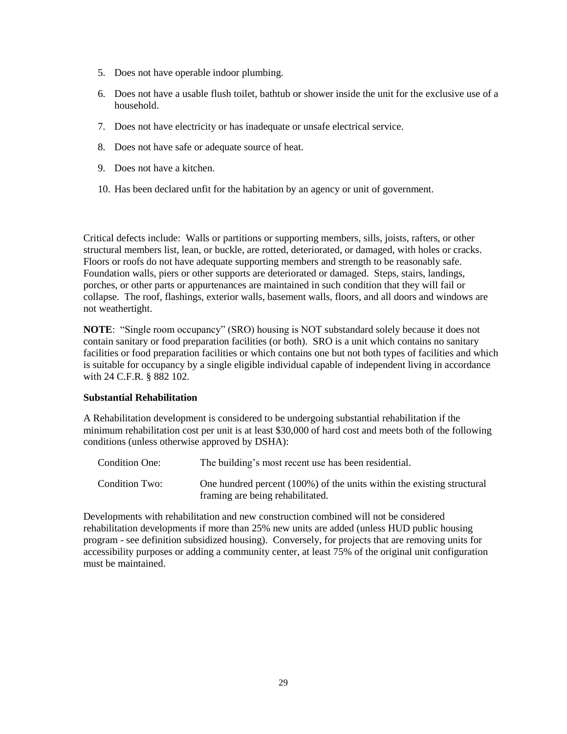- 5. Does not have operable indoor plumbing.
- 6. Does not have a usable flush toilet, bathtub or shower inside the unit for the exclusive use of a household.
- 7. Does not have electricity or has inadequate or unsafe electrical service.
- 8. Does not have safe or adequate source of heat.
- 9. Does not have a kitchen.
- 10. Has been declared unfit for the habitation by an agency or unit of government.

Critical defects include: Walls or partitions or supporting members, sills, joists, rafters, or other structural members list, lean, or buckle, are rotted, deteriorated, or damaged, with holes or cracks. Floors or roofs do not have adequate supporting members and strength to be reasonably safe. Foundation walls, piers or other supports are deteriorated or damaged. Steps, stairs, landings, porches, or other parts or appurtenances are maintained in such condition that they will fail or collapse. The roof, flashings, exterior walls, basement walls, floors, and all doors and windows are not weathertight.

**NOTE**: "Single room occupancy" (SRO) housing is NOT substandard solely because it does not contain sanitary or food preparation facilities (or both). SRO is a unit which contains no sanitary facilities or food preparation facilities or which contains one but not both types of facilities and which is suitable for occupancy by a single eligible individual capable of independent living in accordance with 24 C.F.R. § 882 102.

#### **Substantial Rehabilitation**

A Rehabilitation development is considered to be undergoing substantial rehabilitation if the minimum rehabilitation cost per unit is at least \$30,000 of hard cost and meets both of the following conditions (unless otherwise approved by DSHA):

| <b>Condition One:</b> | The building's most recent use has been residential.                                                       |
|-----------------------|------------------------------------------------------------------------------------------------------------|
| Condition Two:        | One hundred percent (100%) of the units within the existing structural<br>framing are being rehabilitated. |

Developments with rehabilitation and new construction combined will not be considered rehabilitation developments if more than 25% new units are added (unless HUD public housing program - see definition subsidized housing). Conversely, for projects that are removing units for accessibility purposes or adding a community center, at least 75% of the original unit configuration must be maintained.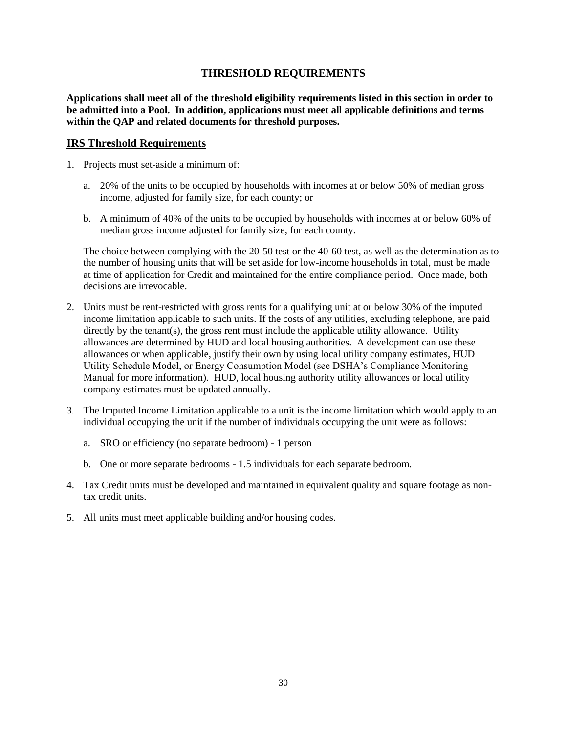# **THRESHOLD REQUIREMENTS**

<span id="page-29-0"></span>**Applications shall meet all of the threshold eligibility requirements listed in this section in order to be admitted into a Pool. In addition, applications must meet all applicable definitions and terms within the QAP and related documents for threshold purposes.** 

#### **IRS Threshold Requirements**

- 1. Projects must set-aside a minimum of:
	- a. 20% of the units to be occupied by households with incomes at or below 50% of median gross income, adjusted for family size, for each county; or
	- b. A minimum of 40% of the units to be occupied by households with incomes at or below 60% of median gross income adjusted for family size, for each county.

The choice between complying with the 20-50 test or the 40-60 test, as well as the determination as to the number of housing units that will be set aside for low-income households in total, must be made at time of application for Credit and maintained for the entire compliance period. Once made, both decisions are irrevocable.

- 2. Units must be rent-restricted with gross rents for a qualifying unit at or below 30% of the imputed income limitation applicable to such units. If the costs of any utilities, excluding telephone, are paid directly by the tenant(s), the gross rent must include the applicable utility allowance. Utility allowances are determined by HUD and local housing authorities. A development can use these allowances or when applicable, justify their own by using local utility company estimates, HUD Utility Schedule Model, or Energy Consumption Model (see DSHA's Compliance Monitoring Manual for more information). HUD, local housing authority utility allowances or local utility company estimates must be updated annually.
- 3. The Imputed Income Limitation applicable to a unit is the income limitation which would apply to an individual occupying the unit if the number of individuals occupying the unit were as follows:
	- a. SRO or efficiency (no separate bedroom) 1 person
	- b. One or more separate bedrooms 1.5 individuals for each separate bedroom.
- 4. Tax Credit units must be developed and maintained in equivalent quality and square footage as nontax credit units.
- 5. All units must meet applicable building and/or housing codes.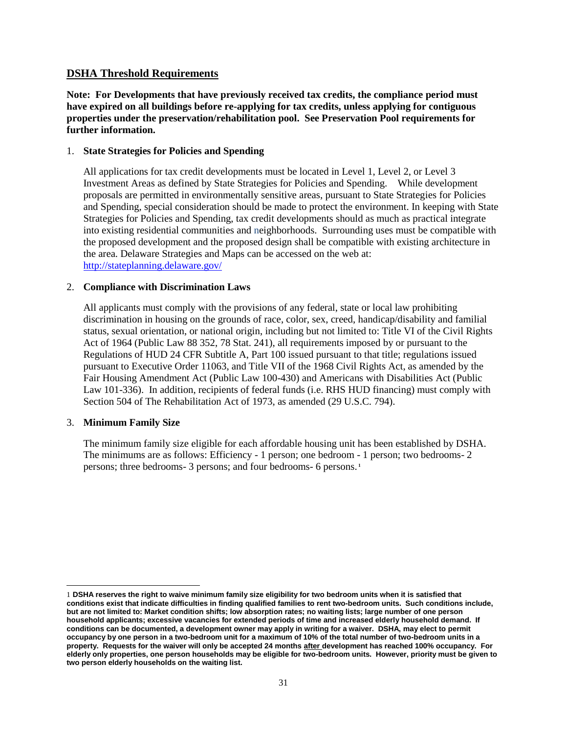# **DSHA Threshold Requirements**

**Note: For Developments that have previously received tax credits, the compliance period must have expired on all buildings before re-applying for tax credits, unless applying for contiguous properties under the preservation/rehabilitation pool. See Preservation Pool requirements for further information.** 

#### 1. **State Strategies for Policies and Spending**

All applications for tax credit developments must be located in Level 1, Level 2, or Level 3 Investment Areas as defined by State Strategies for Policies and Spending. While development proposals are permitted in environmentally sensitive areas, pursuant to State Strategies for Policies and Spending, special consideration should be made to protect the environment. In keeping with State Strategies for Policies and Spending, tax credit developments should as much as practical integrate into existing residential communities and neighborhoods. Surrounding uses must be compatible with the proposed development and the proposed design shall be compatible with existing architecture in the area. Delaware Strategies and Maps can be accessed on the web at: <http://stateplanning.delaware.gov/>

#### 2. **Compliance with Discrimination Laws**

All applicants must comply with the provisions of any federal, state or local law prohibiting discrimination in housing on the grounds of race, color, sex, creed, handicap/disability and familial status, sexual orientation, or national origin, including but not limited to: Title VI of the Civil Rights Act of 1964 (Public Law 88 352, 78 Stat. 241), all requirements imposed by or pursuant to the Regulations of HUD 24 CFR Subtitle A, Part 100 issued pursuant to that title; regulations issued pursuant to Executive Order 11063, and Title VII of the 1968 Civil Rights Act, as amended by the Fair Housing Amendment Act (Public Law 100-430) and Americans with Disabilities Act (Public Law 101-336). In addition, recipients of federal funds (i.e. RHS HUD financing) must comply with Section 504 of The Rehabilitation Act of 1973, as amended (29 U.S.C. 794).

### 3. **Minimum Family Size**

 $\overline{\phantom{a}}$ 

The minimum family size eligible for each affordable housing unit has been established by DSHA. The minimums are as follows: Efficiency - 1 person; one bedroom - 1 person; two bedrooms- 2 persons; three bedrooms- 3 persons; and four bedrooms- 6 persons. **<sup>1</sup>**

<sup>1</sup> **DSHA reserves the right to waive minimum family size eligibility for two bedroom units when it is satisfied that conditions exist that indicate difficulties in finding qualified families to rent two-bedroom units. Such conditions include, but are not limited to: Market condition shifts; low absorption rates; no waiting lists; large number of one person household applicants; excessive vacancies for extended periods of time and increased elderly household demand. If conditions can be documented, a development owner may apply in writing for a waiver. DSHA, may elect to permit occupancy by one person in a two-bedroom unit for a maximum of 10% of the total number of two-bedroom units in a property. Requests for the waiver will only be accepted 24 months after development has reached 100% occupancy. For elderly only properties, one person households may be eligible for two-bedroom units. However, priority must be given to two person elderly households on the waiting list.**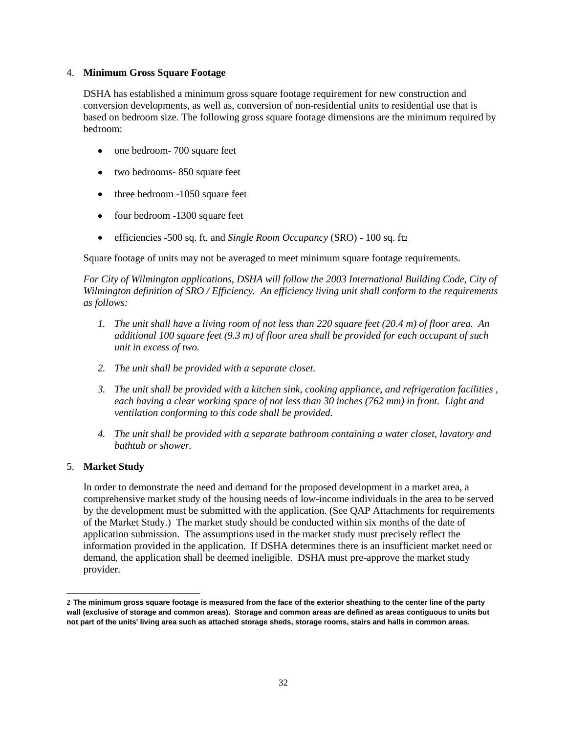#### 4. **Minimum Gross Square Footage**

DSHA has established a minimum gross square footage requirement for new construction and conversion developments, as well as, conversion of non-residential units to residential use that is based on bedroom size. The following gross square footage dimensions are the minimum required by bedroom:

- one bedroom- 700 square feet
- two bedrooms- 850 square feet
- three bedroom -1050 square feet
- four bedroom -1300 square feet
- efficiencies -500 sq. ft. and *Single Room Occupancy* (SRO) 100 sq. ft2

Square footage of units may not be averaged to meet minimum square footage requirements.

*For City of Wilmington applications, DSHA will follow the 2003 International Building Code, City of Wilmington definition of SRO / Efficiency. An efficiency living unit shall conform to the requirements as follows:*

- *1. The unit shall have a living room of not less than 220 square feet (20.4 m) of floor area. An additional 100 square feet (9.3 m) of floor area shall be provided for each occupant of such unit in excess of two.*
- *2. The unit shall be provided with a separate closet.*
- *3. The unit shall be provided with a kitchen sink, cooking appliance, and refrigeration facilities , each having a clear working space of not less than 30 inches (762 mm) in front. Light and ventilation conforming to this code shall be provided.*
- *4. The unit shall be provided with a separate bathroom containing a water closet, lavatory and bathtub or shower.*

### 5. **Market Study**

In order to demonstrate the need and demand for the proposed development in a market area, a comprehensive market study of the housing needs of low-income individuals in the area to be served by the development must be submitted with the application. (See QAP Attachments for requirements of the Market Study.) The market study should be conducted within six months of the date of application submission. The assumptions used in the market study must precisely reflect the information provided in the application. If DSHA determines there is an insufficient market need or demand, the application shall be deemed ineligible. DSHA must pre-approve the market study provider.

 $\overline{\phantom{a}}$ **2 The minimum gross square footage is measured from the face of the exterior sheathing to the center line of the party wall (exclusive of storage and common areas). Storage and common areas are defined as areas contiguous to units but not part of the units' living area such as attached storage sheds, storage rooms, stairs and halls in common areas.**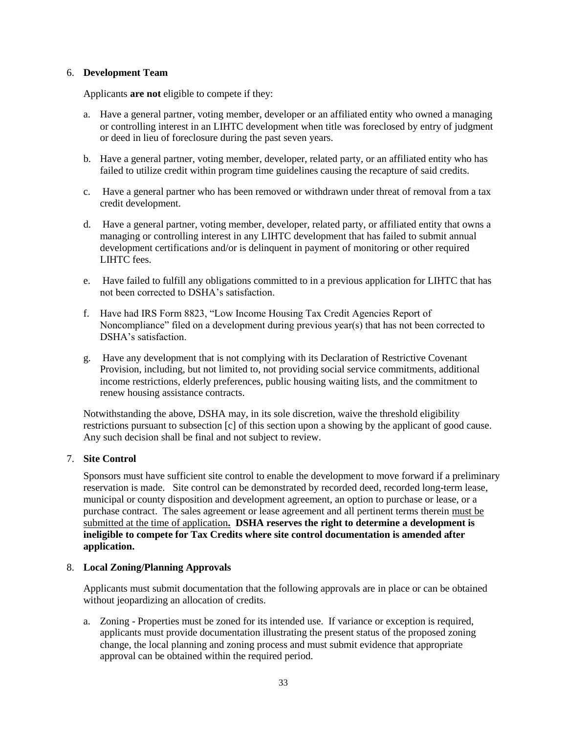#### 6. **Development Team**

Applicants **are not** eligible to compete if they:

- a. Have a general partner, voting member, developer or an affiliated entity who owned a managing or controlling interest in an LIHTC development when title was foreclosed by entry of judgment or deed in lieu of foreclosure during the past seven years.
- b. Have a general partner, voting member, developer, related party, or an affiliated entity who has failed to utilize credit within program time guidelines causing the recapture of said credits.
- c. Have a general partner who has been removed or withdrawn under threat of removal from a tax credit development.
- d. Have a general partner, voting member, developer, related party, or affiliated entity that owns a managing or controlling interest in any LIHTC development that has failed to submit annual development certifications and/or is delinquent in payment of monitoring or other required LIHTC fees.
- e. Have failed to fulfill any obligations committed to in a previous application for LIHTC that has not been corrected to DSHA's satisfaction.
- f. Have had IRS Form 8823, "Low Income Housing Tax Credit Agencies Report of Noncompliance" filed on a development during previous year(s) that has not been corrected to DSHA's satisfaction.
- g. Have any development that is not complying with its Declaration of Restrictive Covenant Provision, including, but not limited to, not providing social service commitments, additional income restrictions, elderly preferences, public housing waiting lists, and the commitment to renew housing assistance contracts.

Notwithstanding the above, DSHA may, in its sole discretion, waive the threshold eligibility restrictions pursuant to subsection [c] of this section upon a showing by the applicant of good cause. Any such decision shall be final and not subject to review.

### 7. **Site Control**

Sponsors must have sufficient site control to enable the development to move forward if a preliminary reservation is made. Site control can be demonstrated by recorded deed, recorded long-term lease, municipal or county disposition and development agreement, an option to purchase or lease, or a purchase contract. The sales agreement or lease agreement and all pertinent terms therein must be submitted at the time of application**. DSHA reserves the right to determine a development is ineligible to compete for Tax Credits where site control documentation is amended after application.**

#### 8. **Local Zoning/Planning Approvals**

Applicants must submit documentation that the following approvals are in place or can be obtained without jeopardizing an allocation of credits.

a. Zoning - Properties must be zoned for its intended use. If variance or exception is required, applicants must provide documentation illustrating the present status of the proposed zoning change, the local planning and zoning process and must submit evidence that appropriate approval can be obtained within the required period.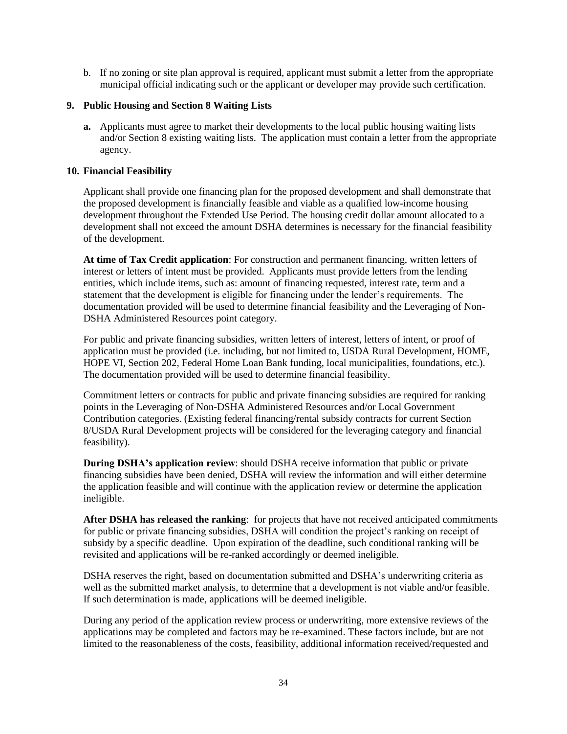b. If no zoning or site plan approval is required, applicant must submit a letter from the appropriate municipal official indicating such or the applicant or developer may provide such certification.

### **9. Public Housing and Section 8 Waiting Lists**

**a.** Applicants must agree to market their developments to the local public housing waiting lists and/or Section 8 existing waiting lists. The application must contain a letter from the appropriate agency.

#### **10. Financial Feasibility**

Applicant shall provide one financing plan for the proposed development and shall demonstrate that the proposed development is financially feasible and viable as a qualified low-income housing development throughout the Extended Use Period. The housing credit dollar amount allocated to a development shall not exceed the amount DSHA determines is necessary for the financial feasibility of the development.

**At time of Tax Credit application**: For construction and permanent financing, written letters of interest or letters of intent must be provided. Applicants must provide letters from the lending entities, which include items, such as: amount of financing requested, interest rate, term and a statement that the development is eligible for financing under the lender's requirements. The documentation provided will be used to determine financial feasibility and the Leveraging of Non-DSHA Administered Resources point category.

For public and private financing subsidies, written letters of interest, letters of intent, or proof of application must be provided (i.e. including, but not limited to, USDA Rural Development, HOME, HOPE VI, Section 202, Federal Home Loan Bank funding, local municipalities, foundations, etc.). The documentation provided will be used to determine financial feasibility.

Commitment letters or contracts for public and private financing subsidies are required for ranking points in the Leveraging of Non-DSHA Administered Resources and/or Local Government Contribution categories. (Existing federal financing/rental subsidy contracts for current Section 8/USDA Rural Development projects will be considered for the leveraging category and financial feasibility).

**During DSHA's application review**: should DSHA receive information that public or private financing subsidies have been denied, DSHA will review the information and will either determine the application feasible and will continue with the application review or determine the application ineligible.

**After DSHA has released the ranking**: for projects that have not received anticipated commitments for public or private financing subsidies, DSHA will condition the project's ranking on receipt of subsidy by a specific deadline. Upon expiration of the deadline, such conditional ranking will be revisited and applications will be re-ranked accordingly or deemed ineligible.

DSHA reserves the right, based on documentation submitted and DSHA's underwriting criteria as well as the submitted market analysis, to determine that a development is not viable and/or feasible. If such determination is made, applications will be deemed ineligible.

During any period of the application review process or underwriting, more extensive reviews of the applications may be completed and factors may be re-examined. These factors include, but are not limited to the reasonableness of the costs, feasibility, additional information received/requested and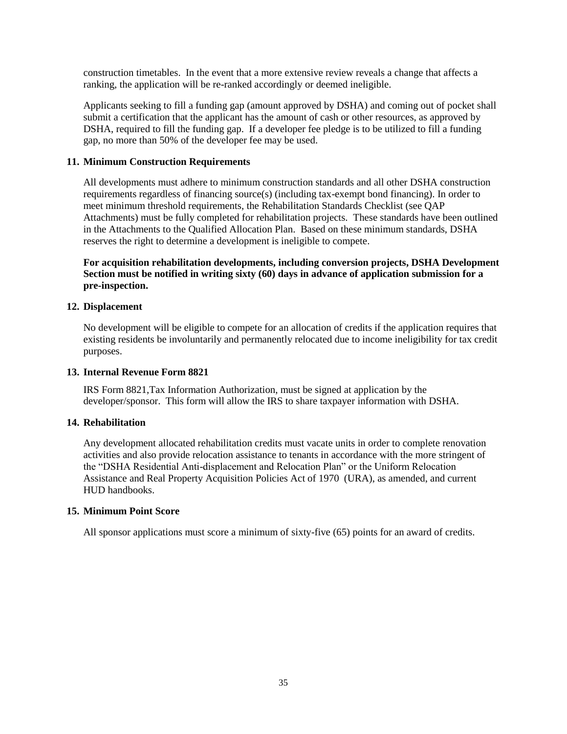construction timetables. In the event that a more extensive review reveals a change that affects a ranking, the application will be re-ranked accordingly or deemed ineligible.

Applicants seeking to fill a funding gap (amount approved by DSHA) and coming out of pocket shall submit a certification that the applicant has the amount of cash or other resources, as approved by DSHA, required to fill the funding gap. If a developer fee pledge is to be utilized to fill a funding gap, no more than 50% of the developer fee may be used.

### **11. Minimum Construction Requirements**

All developments must adhere to minimum construction standards and all other DSHA construction requirements regardless of financing source(s) (including tax-exempt bond financing). In order to meet minimum threshold requirements, the Rehabilitation Standards Checklist (see QAP Attachments) must be fully completed for rehabilitation projects. These standards have been outlined in the Attachments to the Qualified Allocation Plan. Based on these minimum standards, DSHA reserves the right to determine a development is ineligible to compete.

**For acquisition rehabilitation developments, including conversion projects, DSHA Development Section must be notified in writing sixty (60) days in advance of application submission for a pre-inspection.**

### **12. Displacement**

No development will be eligible to compete for an allocation of credits if the application requires that existing residents be involuntarily and permanently relocated due to income ineligibility for tax credit purposes.

### **13. Internal Revenue Form 8821**

IRS Form 8821,Tax Information Authorization, must be signed at application by the developer/sponsor. This form will allow the IRS to share taxpayer information with DSHA.

### **14. Rehabilitation**

Any development allocated rehabilitation credits must vacate units in order to complete renovation activities and also provide relocation assistance to tenants in accordance with the more stringent of the "DSHA Residential Anti-displacement and Relocation Plan" or the Uniform Relocation Assistance and Real Property Acquisition Policies Act of 1970 (URA), as amended, and current HUD handbooks.

### **15. Minimum Point Score**

All sponsor applications must score a minimum of sixty-five (65) points for an award of credits.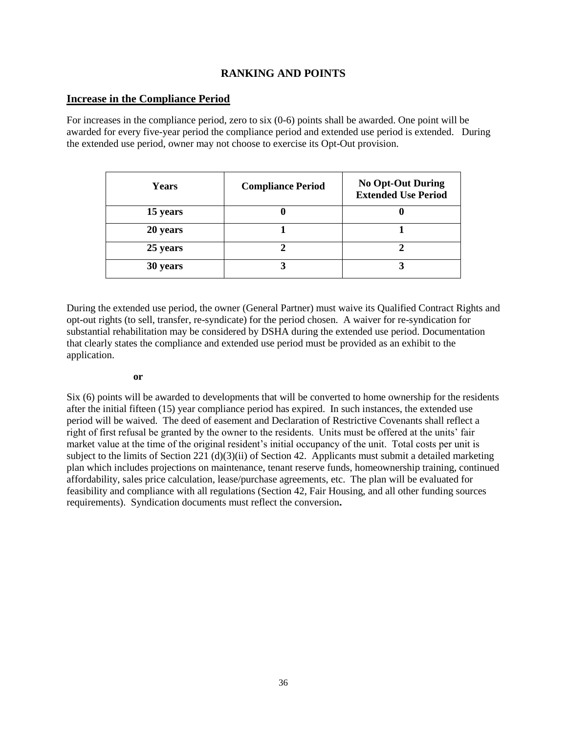# **RANKING AND POINTS**

### <span id="page-35-0"></span>**Increase in the Compliance Period**

For increases in the compliance period, zero to six (0-6) points shall be awarded. One point will be awarded for every five-year period the compliance period and extended use period is extended. During the extended use period, owner may not choose to exercise its Opt-Out provision.

| Years    | <b>Compliance Period</b> | <b>No Opt-Out During</b><br><b>Extended Use Period</b> |
|----------|--------------------------|--------------------------------------------------------|
| 15 years |                          |                                                        |
| 20 years |                          |                                                        |
| 25 years |                          |                                                        |
| 30 years |                          |                                                        |

During the extended use period, the owner (General Partner) must waive its Qualified Contract Rights and opt-out rights (to sell, transfer, re-syndicate) for the period chosen. A waiver for re-syndication for substantial rehabilitation may be considered by DSHA during the extended use period. Documentation that clearly states the compliance and extended use period must be provided as an exhibit to the application.

#### **or**

Six (6) points will be awarded to developments that will be converted to home ownership for the residents after the initial fifteen (15) year compliance period has expired. In such instances, the extended use period will be waived. The deed of easement and Declaration of Restrictive Covenants shall reflect a right of first refusal be granted by the owner to the residents. Units must be offered at the units' fair market value at the time of the original resident's initial occupancy of the unit. Total costs per unit is subject to the limits of Section 221 (d)(3)(ii) of Section 42. Applicants must submit a detailed marketing plan which includes projections on maintenance, tenant reserve funds, homeownership training, continued affordability, sales price calculation, lease/purchase agreements, etc. The plan will be evaluated for feasibility and compliance with all regulations (Section 42, Fair Housing, and all other funding sources requirements). Syndication documents must reflect the conversion**.**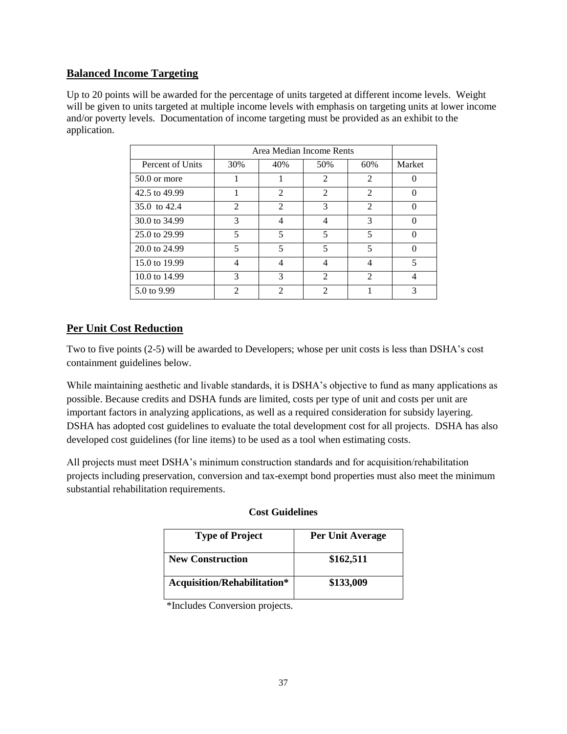# **Balanced Income Targeting**

Up to 20 points will be awarded for the percentage of units targeted at different income levels. Weight will be given to units targeted at multiple income levels with emphasis on targeting units at lower income and/or poverty levels. Documentation of income targeting must be provided as an exhibit to the application.

|                  | Area Median Income Rents |                             |                |                             |                |
|------------------|--------------------------|-----------------------------|----------------|-----------------------------|----------------|
| Percent of Units | 30%                      | 40%                         | 50%            | 60%                         | Market         |
| $50.0$ or more   |                          |                             | $\mathfrak{D}$ | $\mathcal{D}_{\mathcal{L}}$ |                |
| 42.5 to 49.99    |                          | $\mathcal{D}_{\mathcal{L}}$ | $\mathfrak{D}$ | $\mathcal{D}_{\mathcal{L}}$ |                |
| 35.0 to 42.4     | 2                        | $\mathfrak{D}$              | 3              | $\mathfrak{D}$              |                |
| 30.0 to 34.99    | 3                        |                             | 4              | 3                           | 0              |
| 25.0 to 29.99    | 5                        | 5                           | 5              | 5                           |                |
| 20.0 to 24.99    | 5                        | $\overline{\phantom{0}}$    | 5              | 5                           |                |
| 15.0 to 19.99    | 4                        |                             | 4              | 4                           | 5              |
| 10.0 to 14.99    | 3                        | 3                           | $\mathfrak{D}$ | $\mathfrak{D}$              | $\overline{4}$ |
| 5.0 to 9.99      | 2                        | $\mathfrak{D}$              | $\mathfrak{D}$ |                             | 3              |

# **Per Unit Cost Reduction**

Two to five points (2-5) will be awarded to Developers; whose per unit costs is less than DSHA's cost containment guidelines below.

While maintaining aesthetic and livable standards, it is DSHA's objective to fund as many applications as possible. Because credits and DSHA funds are limited, costs per type of unit and costs per unit are important factors in analyzing applications, as well as a required consideration for subsidy layering. DSHA has adopted cost guidelines to evaluate the total development cost for all projects. DSHA has also developed cost guidelines (for line items) to be used as a tool when estimating costs.

All projects must meet DSHA's minimum construction standards and for acquisition/rehabilitation projects including preservation, conversion and tax-exempt bond properties must also meet the minimum substantial rehabilitation requirements.

| <b>Type of Project</b>      | Per Unit Average |
|-----------------------------|------------------|
| <b>New Construction</b>     | \$162,511        |
| Acquisition/Rehabilitation* | \$133,009        |

# **Cost Guidelines**

\*Includes Conversion projects.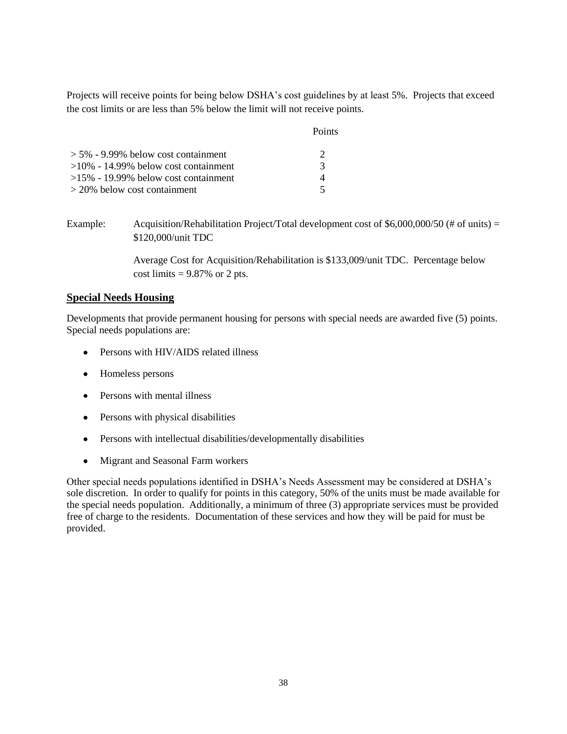Projects will receive points for being below DSHA's cost guidelines by at least 5%. Projects that exceed the cost limits or are less than 5% below the limit will not receive points.

|                                         | Points        |
|-----------------------------------------|---------------|
| $> 5\%$ - 9.99% below cost containment  |               |
| $>10\%$ - 14.99% below cost containment | $\mathcal{R}$ |
| $>15\%$ - 19.99% below cost containment |               |
| $>$ 20% below cost containment          | ↸             |

Example: Acquisition/Rehabilitation Project/Total development cost of \$6,000,000/50 (# of units) = \$120,000/unit TDC

> Average Cost for Acquisition/Rehabilitation is \$133,009/unit TDC. Percentage below cost limits  $= 9.87\%$  or 2 pts.

### **Special Needs Housing**

Developments that provide permanent housing for persons with special needs are awarded five (5) points. Special needs populations are:

- Persons with HIV/AIDS related illness
- Homeless persons
- Persons with mental illness
- Persons with physical disabilities
- Persons with intellectual disabilities/developmentally disabilities
- Migrant and Seasonal Farm workers

Other special needs populations identified in DSHA's Needs Assessment may be considered at DSHA's sole discretion. In order to qualify for points in this category, 50% of the units must be made available for the special needs population. Additionally, a minimum of three (3) appropriate services must be provided free of charge to the residents. Documentation of these services and how they will be paid for must be provided.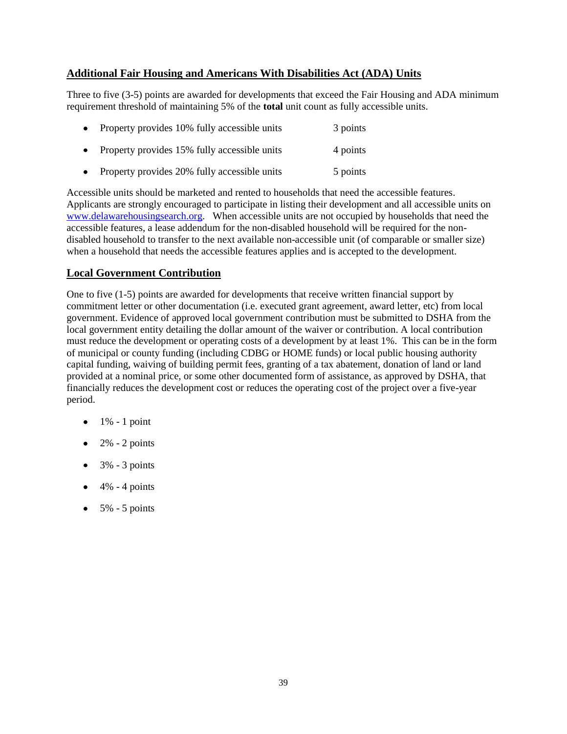# **Additional Fair Housing and Americans With Disabilities Act (ADA) Units**

Three to five (3-5) points are awarded for developments that exceed the Fair Housing and ADA minimum requirement threshold of maintaining 5% of the **total** unit count as fully accessible units.

| $\bullet$ | Property provides 10% fully accessible units | 3 points |
|-----------|----------------------------------------------|----------|
| $\bullet$ | Property provides 15% fully accessible units | 4 points |
| $\bullet$ | Property provides 20% fully accessible units | 5 points |

Accessible units should be marketed and rented to households that need the accessible features. Applicants are strongly encouraged to participate in listing their development and all accessible units on [www.delawarehousingsearch.org.](http://www.delawarehousingsearch.org/) When accessible units are not occupied by households that need the accessible features, a lease addendum for the non-disabled household will be required for the nondisabled household to transfer to the next available non-accessible unit (of comparable or smaller size) when a household that needs the accessible features applies and is accepted to the development.

# **Local Government Contribution**

One to five (1-5) points are awarded for developments that receive written financial support by commitment letter or other documentation (i.e. executed grant agreement, award letter, etc) from local government. Evidence of approved local government contribution must be submitted to DSHA from the local government entity detailing the dollar amount of the waiver or contribution. A local contribution must reduce the development or operating costs of a development by at least 1%. This can be in the form of municipal or county funding (including CDBG or HOME funds) or local public housing authority capital funding, waiving of building permit fees, granting of a tax abatement, donation of land or land provided at a nominal price, or some other documented form of assistance, as approved by DSHA, that financially reduces the development cost or reduces the operating cost of the project over a five-year period.

- $\bullet$  1% 1 point
- $\bullet$  2% 2 points
- $\bullet$  3% 3 points
- $\bullet$  4% 4 points
- $\bullet$  5% 5 points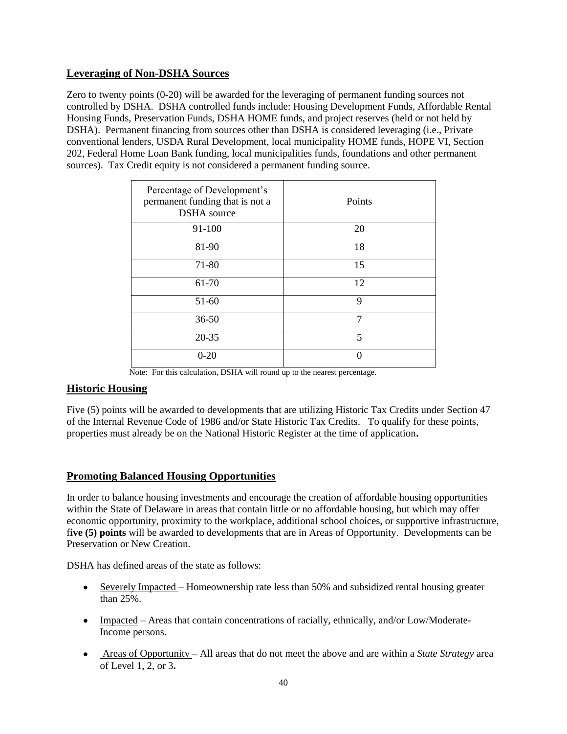# **Leveraging of Non-DSHA Sources**

Zero to twenty points (0-20) will be awarded for the leveraging of permanent funding sources not controlled by DSHA. DSHA controlled funds include: Housing Development Funds, Affordable Rental Housing Funds, Preservation Funds, DSHA HOME funds, and project reserves (held or not held by DSHA). Permanent financing from sources other than DSHA is considered leveraging (i.e., Private conventional lenders, USDA Rural Development, local municipality HOME funds, HOPE VI, Section 202, Federal Home Loan Bank funding, local municipalities funds, foundations and other permanent sources). Tax Credit equity is not considered a permanent funding source.

| Percentage of Development's<br>permanent funding that is not a<br><b>DSHA</b> source | Points |
|--------------------------------------------------------------------------------------|--------|
| 91-100                                                                               | 20     |
| 81-90                                                                                | 18     |
| 71-80                                                                                | 15     |
| 61-70                                                                                | 12     |
| $51-60$                                                                              | 9      |
| $36 - 50$                                                                            | 7      |
| $20 - 35$                                                                            | 5      |
| $0 - 20$                                                                             |        |

Note: For this calculation, DSHA will round up to the nearest percentage.

# **Historic Housing**

Five (5) points will be awarded to developments that are utilizing Historic Tax Credits under Section 47 of the Internal Revenue Code of 1986 and/or State Historic Tax Credits. To qualify for these points, properties must already be on the National Historic Register at the time of application**.**

# **Promoting Balanced Housing Opportunities**

In order to balance housing investments and encourage the creation of affordable housing opportunities within the State of Delaware in areas that contain little or no affordable housing, but which may offer economic opportunity, proximity to the workplace, additional school choices, or supportive infrastructure, f**ive (5) points** will be awarded to developments that are in Areas of Opportunity. Developments can be Preservation or New Creation.

DSHA has defined areas of the state as follows:

- Severely Impacted Homeownership rate less than 50% and subsidized rental housing greater than 25%.
- Impacted Areas that contain concentrations of racially, ethnically, and/or Low/Moderate-Income persons.
- Areas of Opportunity All areas that do not meet the above and are within a *State Strategy* area of Level 1, 2, or 3**.**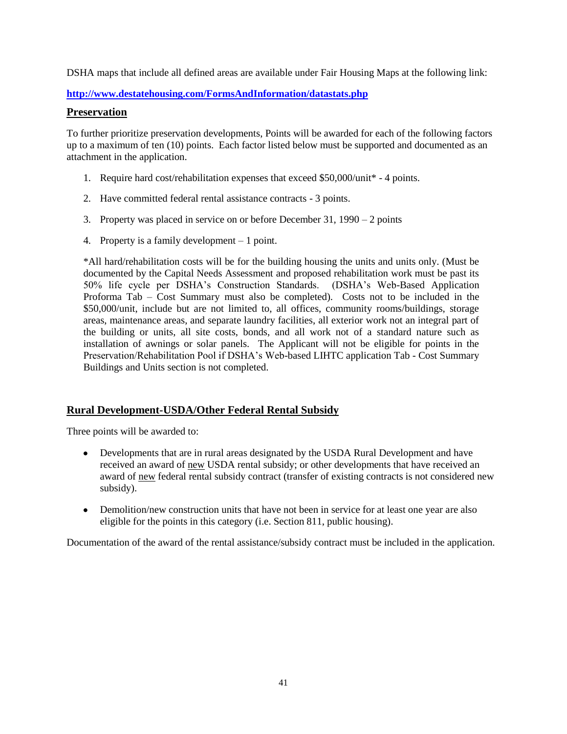DSHA maps that include all defined areas are available under Fair Housing Maps at the following link:

**<http://www.destatehousing.com/FormsAndInformation/datastats.php>**

### **Preservation**

To further prioritize preservation developments, Points will be awarded for each of the following factors up to a maximum of ten (10) points. Each factor listed below must be supported and documented as an attachment in the application.

- 1. Require hard cost/rehabilitation expenses that exceed \$50,000/unit\* 4 points.
- 2. Have committed federal rental assistance contracts 3 points.
- 3. Property was placed in service on or before December 31, 1990 2 points
- 4. Property is a family development 1 point.

\*All hard/rehabilitation costs will be for the building housing the units and units only. (Must be documented by the Capital Needs Assessment and proposed rehabilitation work must be past its 50% life cycle per DSHA's Construction Standards. (DSHA's Web-Based Application Proforma Tab – Cost Summary must also be completed). Costs not to be included in the \$50,000/unit, include but are not limited to, all offices, community rooms/buildings, storage areas, maintenance areas, and separate laundry facilities, all exterior work not an integral part of the building or units, all site costs, bonds, and all work not of a standard nature such as installation of awnings or solar panels. The Applicant will not be eligible for points in the Preservation/Rehabilitation Pool if DSHA's Web-based LIHTC application Tab - Cost Summary Buildings and Units section is not completed.

# **Rural Development-USDA/Other Federal Rental Subsidy**

Three points will be awarded to:

- Developments that are in rural areas designated by the USDA Rural Development and have received an award of new USDA rental subsidy; or other developments that have received an award of new federal rental subsidy contract (transfer of existing contracts is not considered new subsidy).
- Demolition/new construction units that have not been in service for at least one year are also eligible for the points in this category (i.e. Section 811, public housing).

Documentation of the award of the rental assistance/subsidy contract must be included in the application.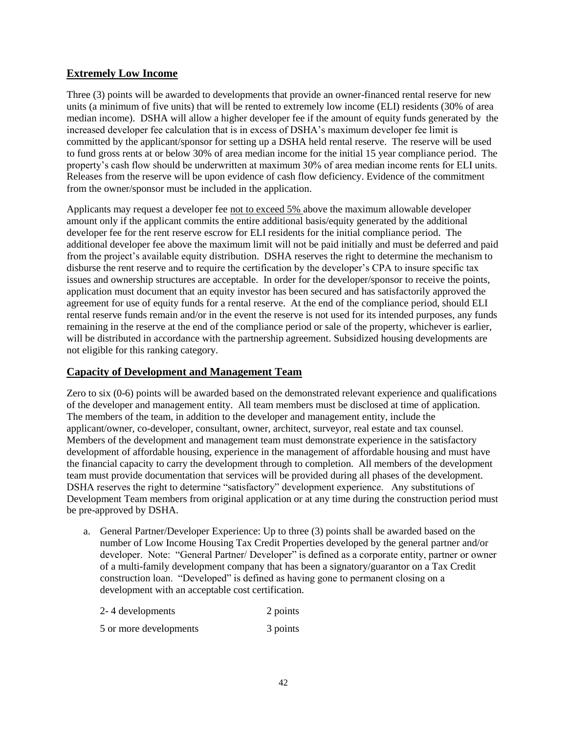# **Extremely Low Income**

Three (3) points will be awarded to developments that provide an owner-financed rental reserve for new units (a minimum of five units) that will be rented to extremely low income (ELI) residents (30% of area median income). DSHA will allow a higher developer fee if the amount of equity funds generated by the increased developer fee calculation that is in excess of DSHA's maximum developer fee limit is committed by the applicant/sponsor for setting up a DSHA held rental reserve. The reserve will be used to fund gross rents at or below 30% of area median income for the initial 15 year compliance period. The property's cash flow should be underwritten at maximum 30% of area median income rents for ELI units. Releases from the reserve will be upon evidence of cash flow deficiency. Evidence of the commitment from the owner/sponsor must be included in the application.

Applicants may request a developer fee not to exceed 5% above the maximum allowable developer amount only if the applicant commits the entire additional basis/equity generated by the additional developer fee for the rent reserve escrow for ELI residents for the initial compliance period. The additional developer fee above the maximum limit will not be paid initially and must be deferred and paid from the project's available equity distribution. DSHA reserves the right to determine the mechanism to disburse the rent reserve and to require the certification by the developer's CPA to insure specific tax issues and ownership structures are acceptable. In order for the developer/sponsor to receive the points, application must document that an equity investor has been secured and has satisfactorily approved the agreement for use of equity funds for a rental reserve. At the end of the compliance period, should ELI rental reserve funds remain and/or in the event the reserve is not used for its intended purposes, any funds remaining in the reserve at the end of the compliance period or sale of the property, whichever is earlier, will be distributed in accordance with the partnership agreement. Subsidized housing developments are not eligible for this ranking category.

# **Capacity of Development and Management Team**

Zero to six (0-6) points will be awarded based on the demonstrated relevant experience and qualifications of the developer and management entity. All team members must be disclosed at time of application. The members of the team, in addition to the developer and management entity, include the applicant/owner, co-developer, consultant, owner, architect, surveyor, real estate and tax counsel. Members of the development and management team must demonstrate experience in the satisfactory development of affordable housing, experience in the management of affordable housing and must have the financial capacity to carry the development through to completion. All members of the development team must provide documentation that services will be provided during all phases of the development. DSHA reserves the right to determine "satisfactory" development experience. Any substitutions of Development Team members from original application or at any time during the construction period must be pre-approved by DSHA.

a. General Partner/Developer Experience: Up to three (3) points shall be awarded based on the number of Low Income Housing Tax Credit Properties developed by the general partner and/or developer. Note: "General Partner/ Developer" is defined as a corporate entity, partner or owner of a multi-family development company that has been a signatory/guarantor on a Tax Credit construction loan. "Developed" is defined as having gone to permanent closing on a development with an acceptable cost certification.

| 2-4 developments       | 2 points |
|------------------------|----------|
| 5 or more developments | 3 points |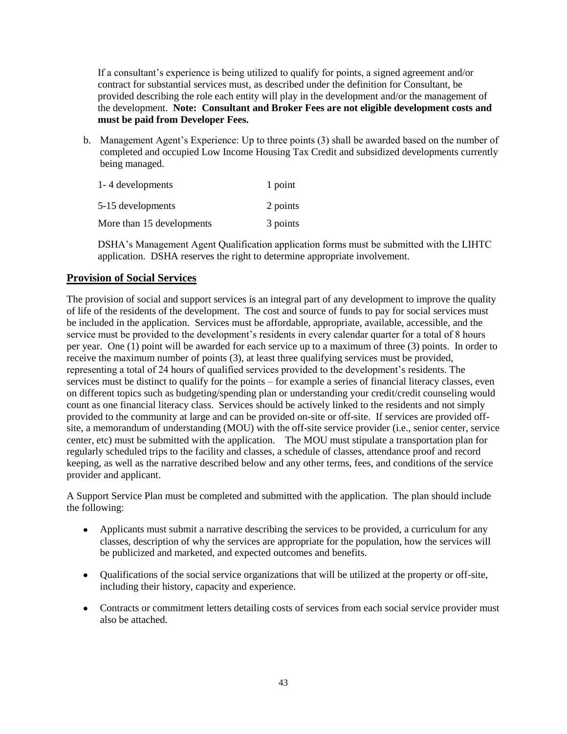If a consultant's experience is being utilized to qualify for points, a signed agreement and/or contract for substantial services must, as described under the definition for Consultant, be provided describing the role each entity will play in the development and/or the management of the development. **Note: Consultant and Broker Fees are not eligible development costs and must be paid from Developer Fees.**

b. Management Agent's Experience: Up to three points (3) shall be awarded based on the number of completed and occupied Low Income Housing Tax Credit and subsidized developments currently being managed.

| 1-4 developments          | 1 point  |
|---------------------------|----------|
| 5-15 developments         | 2 points |
| More than 15 developments | 3 points |

DSHA's Management Agent Qualification application forms must be submitted with the LIHTC application. DSHA reserves the right to determine appropriate involvement.

# **Provision of Social Services**

The provision of social and support services is an integral part of any development to improve the quality of life of the residents of the development. The cost and source of funds to pay for social services must be included in the application. Services must be affordable, appropriate, available, accessible, and the service must be provided to the development's residents in every calendar quarter for a total of 8 hours per year. One (1) point will be awarded for each service up to a maximum of three (3) points. In order to receive the maximum number of points (3), at least three qualifying services must be provided, representing a total of 24 hours of qualified services provided to the development's residents. The services must be distinct to qualify for the points – for example a series of financial literacy classes, even on different topics such as budgeting/spending plan or understanding your credit/credit counseling would count as one financial literacy class. Services should be actively linked to the residents and not simply provided to the community at large and can be provided on-site or off-site. If services are provided offsite, a memorandum of understanding (MOU) with the off-site service provider (i.e., senior center, service center, etc) must be submitted with the application. The MOU must stipulate a transportation plan for regularly scheduled trips to the facility and classes, a schedule of classes, attendance proof and record keeping, as well as the narrative described below and any other terms, fees, and conditions of the service provider and applicant.

A Support Service Plan must be completed and submitted with the application. The plan should include the following:

- Applicants must submit a narrative describing the services to be provided, a curriculum for any classes, description of why the services are appropriate for the population, how the services will be publicized and marketed, and expected outcomes and benefits.
- Qualifications of the social service organizations that will be utilized at the property or off-site, including their history, capacity and experience.
- Contracts or commitment letters detailing costs of services from each social service provider must also be attached.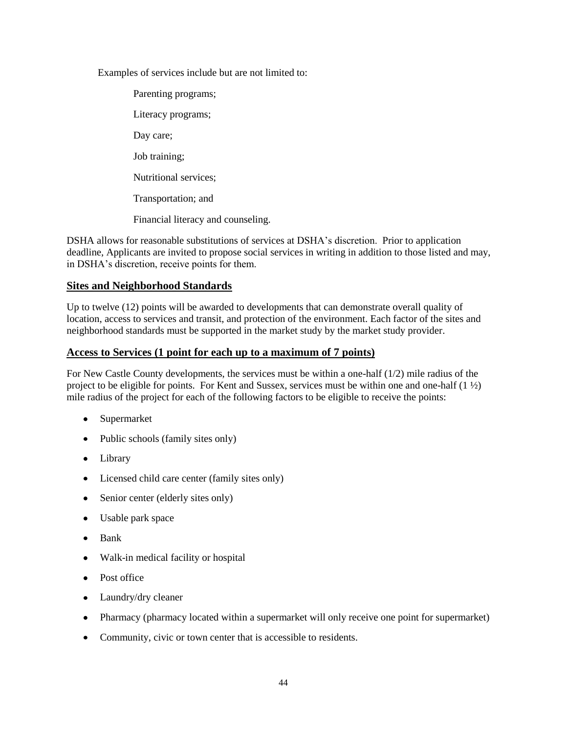Examples of services include but are not limited to:

Parenting programs; Literacy programs; Day care; Job training; Nutritional services; Transportation; and Financial literacy and counseling.

DSHA allows for reasonable substitutions of services at DSHA's discretion. Prior to application deadline, Applicants are invited to propose social services in writing in addition to those listed and may, in DSHA's discretion, receive points for them.

### **Sites and Neighborhood Standards**

Up to twelve (12) points will be awarded to developments that can demonstrate overall quality of location, access to services and transit, and protection of the environment. Each factor of the sites and neighborhood standards must be supported in the market study by the market study provider.

### **Access to Services (1 point for each up to a maximum of 7 points)**

For New Castle County developments, the services must be within a one-half (1/2) mile radius of the project to be eligible for points. For Kent and Sussex, services must be within one and one-half  $(1 \frac{1}{2})$ mile radius of the project for each of the following factors to be eligible to receive the points:

- Supermarket
- Public schools (family sites only)
- Library
- Licensed child care center (family sites only)
- Senior center (elderly sites only)
- Usable park space
- Bank
- Walk-in medical facility or hospital
- Post office
- Laundry/dry cleaner
- Pharmacy (pharmacy located within a supermarket will only receive one point for supermarket)
- Community, civic or town center that is accessible to residents.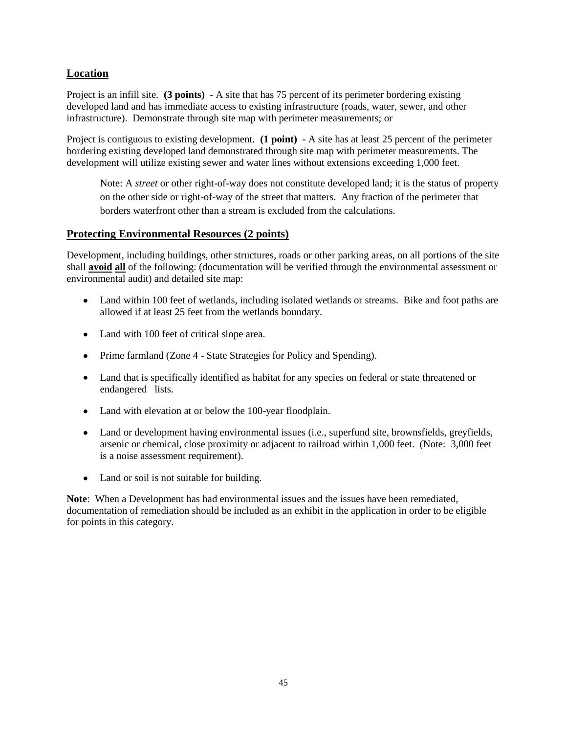# **Location**

Project is an infill site. **(3 points)** - A site that has 75 percent of its perimeter bordering existing developed land and has immediate access to existing infrastructure (roads, water, sewer, and other infrastructure). Demonstrate through site map with perimeter measurements; or

Project is contiguous to existing development. **(1 point) -** A site has at least 25 percent of the perimeter bordering existing developed land demonstrated through site map with perimeter measurements. The development will utilize existing sewer and water lines without extensions exceeding 1,000 feet.

Note: A *street* or other right-of-way does not constitute developed land; it is the status of property on the other side or right-of-way of the street that matters. Any fraction of the perimeter that borders waterfront other than a stream is excluded from the calculations.

### **Protecting Environmental Resources (2 points)**

Development, including buildings, other structures, roads or other parking areas, on all portions of the site shall **avoid all** of the following: (documentation will be verified through the environmental assessment or environmental audit) and detailed site map:

- Land within 100 feet of wetlands, including isolated wetlands or streams. Bike and foot paths are allowed if at least 25 feet from the wetlands boundary.
- Land with 100 feet of critical slope area.
- Prime farmland (Zone 4 State Strategies for Policy and Spending).
- Land that is specifically identified as habitat for any species on federal or state threatened or endangered lists.
- Land with elevation at or below the 100-year floodplain.
- Land or development having environmental issues (i.e., superfund site, brownsfields, greyfields, arsenic or chemical, close proximity or adjacent to railroad within 1,000 feet. (Note: 3,000 feet is a noise assessment requirement).
- Land or soil is not suitable for building.

**Note**: When a Development has had environmental issues and the issues have been remediated, documentation of remediation should be included as an exhibit in the application in order to be eligible for points in this category.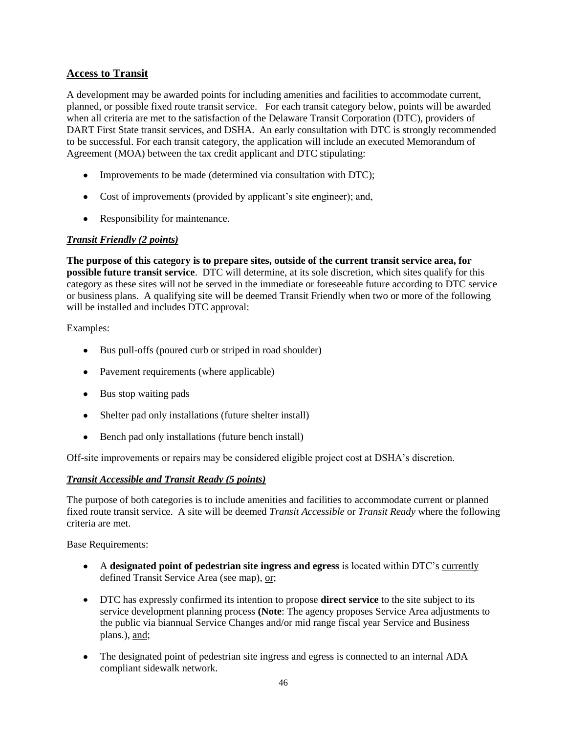# **Access to Transit**

A development may be awarded points for including amenities and facilities to accommodate current, planned, or possible fixed route transit service. For each transit category below, points will be awarded when all criteria are met to the satisfaction of the Delaware Transit Corporation (DTC), providers of DART First State transit services, and DSHA. An early consultation with DTC is strongly recommended to be successful. For each transit category, the application will include an executed Memorandum of Agreement (MOA) between the tax credit applicant and DTC stipulating:

- Improvements to be made (determined via consultation with DTC);
- Cost of improvements (provided by applicant's site engineer); and,
- Responsibility for maintenance.

### *Transit Friendly (2 points)*

**The purpose of this category is to prepare sites, outside of the current transit service area, for possible future transit service**. DTC will determine, at its sole discretion, which sites qualify for this category as these sites will not be served in the immediate or foreseeable future according to DTC service or business plans. A qualifying site will be deemed Transit Friendly when two or more of the following will be installed and includes DTC approval:

Examples:

- Bus pull-offs (poured curb or striped in road shoulder)
- Pavement requirements (where applicable)
- Bus stop waiting pads
- Shelter pad only installations (future shelter install)
- Bench pad only installations (future bench install)

Off-site improvements or repairs may be considered eligible project cost at DSHA's discretion.

### *Transit Accessible and Transit Ready (5 points)*

The purpose of both categories is to include amenities and facilities to accommodate current or planned fixed route transit service. A site will be deemed *Transit Accessible* or *Transit Ready* where the following criteria are met.

Base Requirements:

- A **designated point of pedestrian site ingress and egress** is located within DTC's currently defined Transit Service Area (see map), or;
- DTC has expressly confirmed its intention to propose **direct service** to the site subject to its service development planning process **(Note**: The agency proposes Service Area adjustments to the public via biannual Service Changes and/or mid range fiscal year Service and Business plans.), and;
- The designated point of pedestrian site ingress and egress is connected to an internal ADA compliant sidewalk network.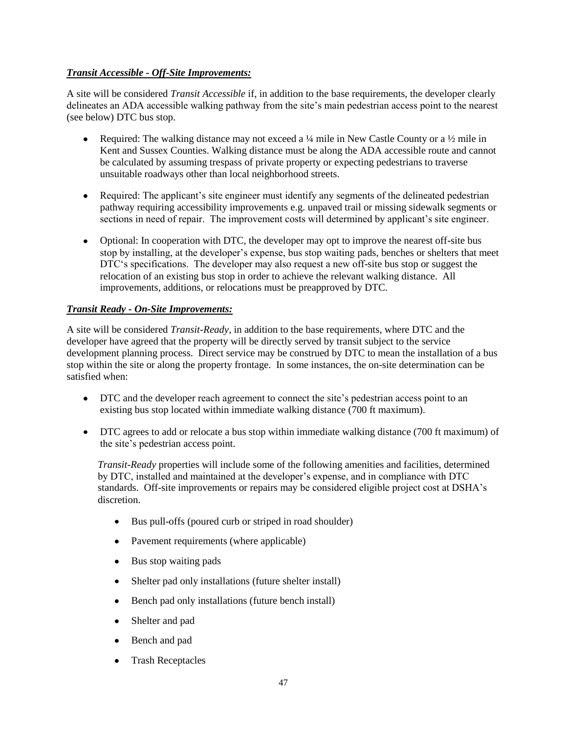### *Transit Accessible - Off-Site Improvements:*

A site will be considered *Transit Accessible* if, in addition to the base requirements, the developer clearly delineates an ADA accessible walking pathway from the site's main pedestrian access point to the nearest (see below) DTC bus stop.

- Required: The walking distance may not exceed a  $\frac{1}{4}$  mile in New Castle County or a  $\frac{1}{2}$  mile in Kent and Sussex Counties. Walking distance must be along the ADA accessible route and cannot be calculated by assuming trespass of private property or expecting pedestrians to traverse unsuitable roadways other than local neighborhood streets.
- Required: The applicant's site engineer must identify any segments of the delineated pedestrian  $\bullet$ pathway requiring accessibility improvements e.g. unpaved trail or missing sidewalk segments or sections in need of repair. The improvement costs will determined by applicant's site engineer.
- Optional: In cooperation with DTC, the developer may opt to improve the nearest off-site bus stop by installing, at the developer's expense, bus stop waiting pads, benches or shelters that meet DTC's specifications. The developer may also request a new off-site bus stop or suggest the relocation of an existing bus stop in order to achieve the relevant walking distance. All improvements, additions, or relocations must be preapproved by DTC.

# *Transit Ready - On-Site Improvements:*

A site will be considered *Transit-Ready*, in addition to the base requirements, where DTC and the developer have agreed that the property will be directly served by transit subject to the service development planning process. Direct service may be construed by DTC to mean the installation of a bus stop within the site or along the property frontage. In some instances, the on-site determination can be satisfied when:

- DTC and the developer reach agreement to connect the site's pedestrian access point to an  $\bullet$ existing bus stop located within immediate walking distance (700 ft maximum).
- DTC agrees to add or relocate a bus stop within immediate walking distance (700 ft maximum) of the site's pedestrian access point.

*Transit-Ready* properties will include some of the following amenities and facilities, determined by DTC, installed and maintained at the developer's expense, and in compliance with DTC standards. Off-site improvements or repairs may be considered eligible project cost at DSHA's discretion.

- Bus pull-offs (poured curb or striped in road shoulder)
- Pavement requirements (where applicable)
- Bus stop waiting pads
- $\bullet$ Shelter pad only installations (future shelter install)
- Bench pad only installations (future bench install)
- Shelter and pad
- Bench and pad
- Trash Receptacles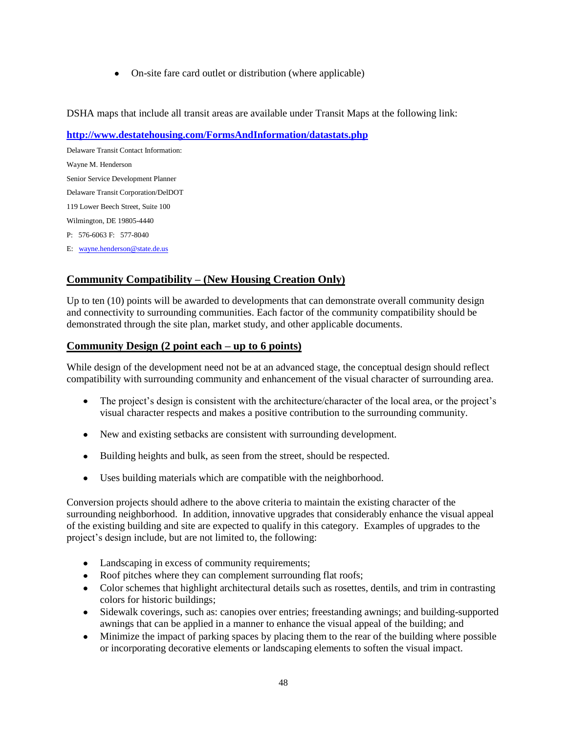On-site fare card outlet or distribution (where applicable)

DSHA maps that include all transit areas are available under Transit Maps at the following link:

### **<http://www.destatehousing.com/FormsAndInformation/datastats.php>**

Delaware Transit Contact Information: Wayne M. Henderson Senior Service Development Planner Delaware Transit Corporation/DelDOT 119 Lower Beech Street, Suite 100 Wilmington, DE 19805-4440 P: 576-6063 F: 577-8040 E: [wayne.henderson@state.de.us](mailto:wayne.henderson@state.de.us)

# **Community Compatibility – (New Housing Creation Only)**

Up to ten (10) points will be awarded to developments that can demonstrate overall community design and connectivity to surrounding communities. Each factor of the community compatibility should be demonstrated through the site plan, market study, and other applicable documents.

### **Community Design (2 point each – up to 6 points)**

While design of the development need not be at an advanced stage, the conceptual design should reflect compatibility with surrounding community and enhancement of the visual character of surrounding area.

- The project's design is consistent with the architecture/character of the local area, or the project's visual character respects and makes a positive contribution to the surrounding community.
- New and existing setbacks are consistent with surrounding development.
- Building heights and bulk, as seen from the street, should be respected.
- Uses building materials which are compatible with the neighborhood.

Conversion projects should adhere to the above criteria to maintain the existing character of the surrounding neighborhood. In addition, innovative upgrades that considerably enhance the visual appeal of the existing building and site are expected to qualify in this category. Examples of upgrades to the project's design include, but are not limited to, the following:

- Landscaping in excess of community requirements;
- Roof pitches where they can complement surrounding flat roofs;
- Color schemes that highlight architectural details such as rosettes, dentils, and trim in contrasting colors for historic buildings;
- Sidewalk coverings, such as: canopies over entries; freestanding awnings; and building-supported awnings that can be applied in a manner to enhance the visual appeal of the building; and
- Minimize the impact of parking spaces by placing them to the rear of the building where possible or incorporating decorative elements or landscaping elements to soften the visual impact.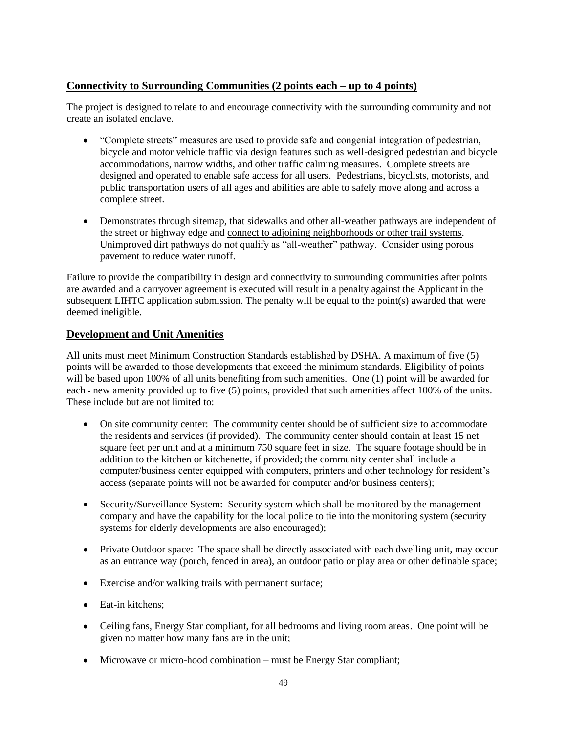# **Connectivity to Surrounding Communities (2 points each – up to 4 points)**

The project is designed to relate to and encourage connectivity with the surrounding community and not create an isolated enclave.

- "Complete streets" measures are used to provide safe and congenial integration of pedestrian, bicycle and motor vehicle traffic via design features such as well-designed pedestrian and bicycle accommodations, narrow widths, and other traffic calming measures. Complete streets are designed and operated to enable safe access for all users. Pedestrians, bicyclists, motorists, and public transportation users of all ages and abilities are able to safely move along and across a complete street.
- Demonstrates through sitemap, that sidewalks and other all-weather pathways are independent of the street or highway edge and connect to adjoining neighborhoods or other trail systems. Unimproved dirt pathways do not qualify as "all-weather" pathway. Consider using porous pavement to reduce water runoff.

Failure to provide the compatibility in design and connectivity to surrounding communities after points are awarded and a carryover agreement is executed will result in a penalty against the Applicant in the subsequent LIHTC application submission. The penalty will be equal to the point(s) awarded that were deemed ineligible.

# **Development and Unit Amenities**

All units must meet Minimum Construction Standards established by DSHA. A maximum of five (5) points will be awarded to those developments that exceed the minimum standards. Eligibility of points will be based upon 100% of all units benefiting from such amenities. One (1) point will be awarded for each - new amenity provided up to five (5) points, provided that such amenities affect 100% of the units. These include but are not limited to:

- On site community center: The community center should be of sufficient size to accommodate  $\bullet$ the residents and services (if provided). The community center should contain at least 15 net square feet per unit and at a minimum 750 square feet in size. The square footage should be in addition to the kitchen or kitchenette, if provided; the community center shall include a computer/business center equipped with computers, printers and other technology for resident's access (separate points will not be awarded for computer and/or business centers);
- Security/Surveillance System: Security system which shall be monitored by the management company and have the capability for the local police to tie into the monitoring system (security systems for elderly developments are also encouraged);
- Private Outdoor space: The space shall be directly associated with each dwelling unit, may occur as an entrance way (porch, fenced in area), an outdoor patio or play area or other definable space;
- Exercise and/or walking trails with permanent surface;
- Eat-in kitchens;
- Ceiling fans, Energy Star compliant, for all bedrooms and living room areas. One point will be given no matter how many fans are in the unit;
- Microwave or micro-hood combination must be Energy Star compliant;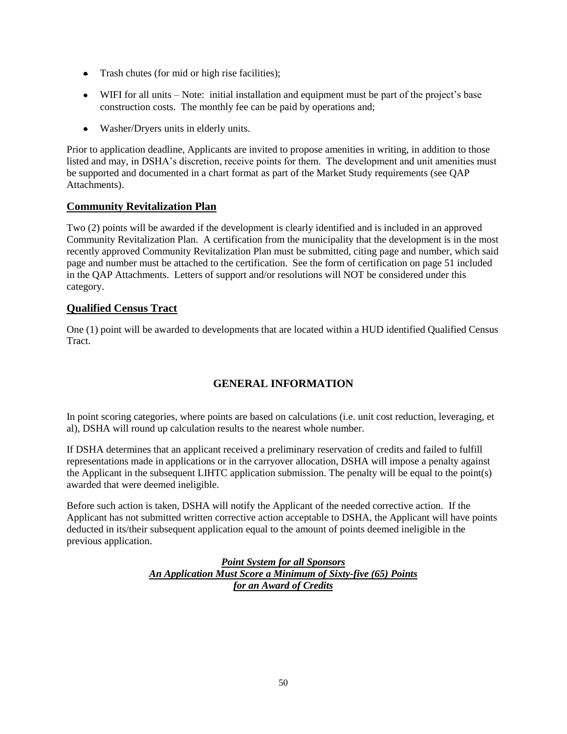- Trash chutes (for mid or high rise facilities);
- WIFI for all units Note: initial installation and equipment must be part of the project's base construction costs. The monthly fee can be paid by operations and;
- Washer/Dryers units in elderly units.

Prior to application deadline, Applicants are invited to propose amenities in writing, in addition to those listed and may, in DSHA's discretion, receive points for them. The development and unit amenities must be supported and documented in a chart format as part of the Market Study requirements (see QAP Attachments).

# **Community Revitalization Plan**

Two (2) points will be awarded if the development is clearly identified and is included in an approved Community Revitalization Plan. A certification from the municipality that the development is in the most recently approved Community Revitalization Plan must be submitted, citing page and number, which said page and number must be attached to the certification. See the form of certification on page 51 included in the QAP Attachments. Letters of support and/or resolutions will NOT be considered under this category.

### **Qualified Census Tract**

One (1) point will be awarded to developments that are located within a HUD identified Qualified Census Tract.

# **GENERAL INFORMATION**

<span id="page-49-0"></span>In point scoring categories, where points are based on calculations (i.e. unit cost reduction, leveraging, et al), DSHA will round up calculation results to the nearest whole number.

If DSHA determines that an applicant received a preliminary reservation of credits and failed to fulfill representations made in applications or in the carryover allocation, DSHA will impose a penalty against the Applicant in the subsequent LIHTC application submission. The penalty will be equal to the point(s) awarded that were deemed ineligible.

Before such action is taken, DSHA will notify the Applicant of the needed corrective action. If the Applicant has not submitted written corrective action acceptable to DSHA, the Applicant will have points deducted in its/their subsequent application equal to the amount of points deemed ineligible in the previous application.

> *Point System for all Sponsors An Application Must Score a Minimum of Sixty-five (65) Points for an Award of Credits*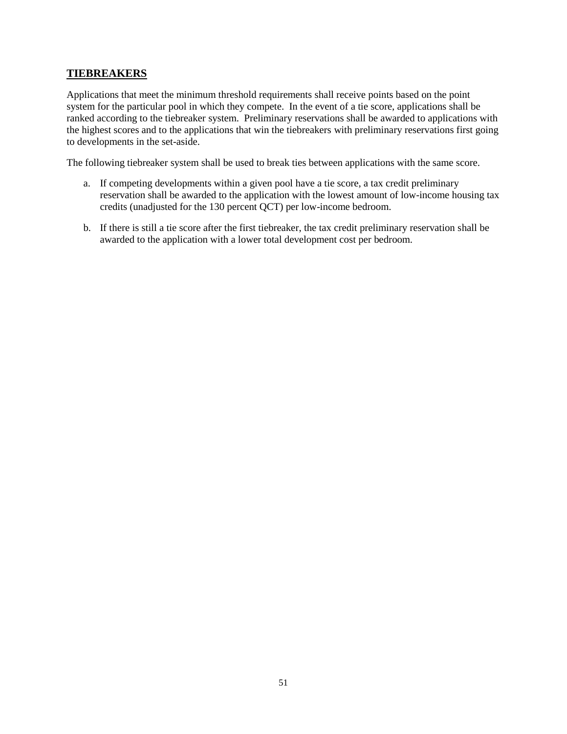# **TIEBREAKERS**

Applications that meet the minimum threshold requirements shall receive points based on the point system for the particular pool in which they compete. In the event of a tie score, applications shall be ranked according to the tiebreaker system. Preliminary reservations shall be awarded to applications with the highest scores and to the applications that win the tiebreakers with preliminary reservations first going to developments in the set-aside.

The following tiebreaker system shall be used to break ties between applications with the same score.

- a. If competing developments within a given pool have a tie score, a tax credit preliminary reservation shall be awarded to the application with the lowest amount of low-income housing tax credits (unadjusted for the 130 percent QCT) per low-income bedroom.
- b. If there is still a tie score after the first tiebreaker, the tax credit preliminary reservation shall be awarded to the application with a lower total development cost per bedroom.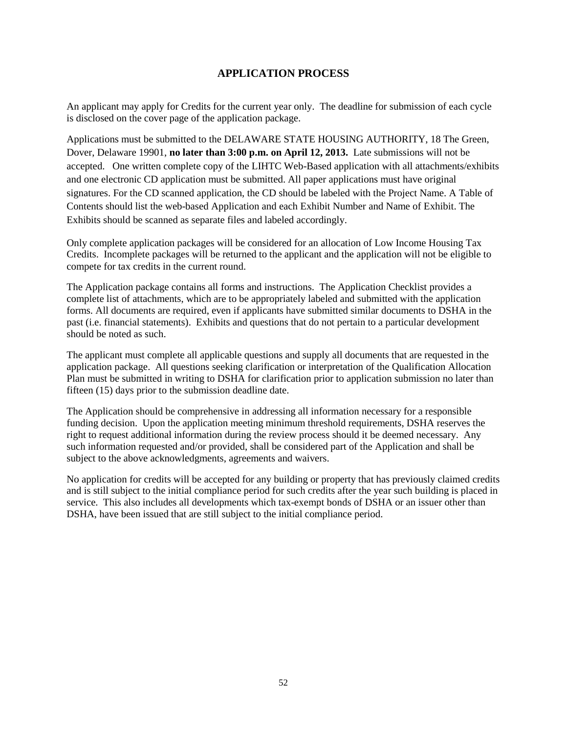# **APPLICATION PROCESS**

<span id="page-51-0"></span>An applicant may apply for Credits for the current year only. The deadline for submission of each cycle is disclosed on the cover page of the application package.

Applications must be submitted to the DELAWARE STATE HOUSING AUTHORITY, 18 The Green, Dover, Delaware 19901, **no later than 3:00 p.m. on April 12, 2013.** Late submissions will not be accepted. One written complete copy of the LIHTC Web-Based application with all attachments/exhibits and one electronic CD application must be submitted. All paper applications must have original signatures. For the CD scanned application, the CD should be labeled with the Project Name. A Table of Contents should list the web-based Application and each Exhibit Number and Name of Exhibit. The Exhibits should be scanned as separate files and labeled accordingly.

Only complete application packages will be considered for an allocation of Low Income Housing Tax Credits. Incomplete packages will be returned to the applicant and the application will not be eligible to compete for tax credits in the current round.

The Application package contains all forms and instructions. The Application Checklist provides a complete list of attachments, which are to be appropriately labeled and submitted with the application forms. All documents are required, even if applicants have submitted similar documents to DSHA in the past (i.e. financial statements). Exhibits and questions that do not pertain to a particular development should be noted as such.

The applicant must complete all applicable questions and supply all documents that are requested in the application package. All questions seeking clarification or interpretation of the Qualification Allocation Plan must be submitted in writing to DSHA for clarification prior to application submission no later than fifteen (15) days prior to the submission deadline date.

The Application should be comprehensive in addressing all information necessary for a responsible funding decision. Upon the application meeting minimum threshold requirements, DSHA reserves the right to request additional information during the review process should it be deemed necessary. Any such information requested and/or provided, shall be considered part of the Application and shall be subject to the above acknowledgments, agreements and waivers.

No application for credits will be accepted for any building or property that has previously claimed credits and is still subject to the initial compliance period for such credits after the year such building is placed in service. This also includes all developments which tax-exempt bonds of DSHA or an issuer other than DSHA, have been issued that are still subject to the initial compliance period.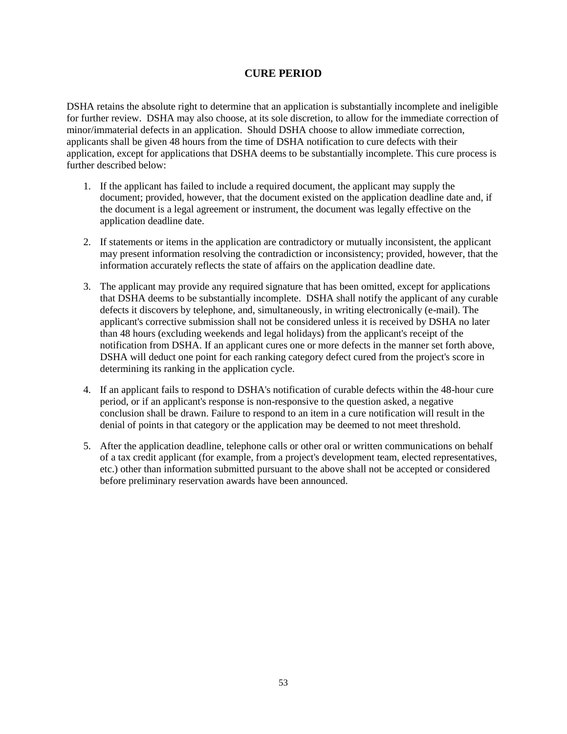# **CURE PERIOD**

<span id="page-52-0"></span>DSHA retains the absolute right to determine that an application is substantially incomplete and ineligible for further review. DSHA may also choose, at its sole discretion, to allow for the immediate correction of minor/immaterial defects in an application. Should DSHA choose to allow immediate correction, applicants shall be given 48 hours from the time of DSHA notification to cure defects with their application, except for applications that DSHA deems to be substantially incomplete. This cure process is further described below:

- 1. If the applicant has failed to include a required document, the applicant may supply the document; provided, however, that the document existed on the application deadline date and, if the document is a legal agreement or instrument, the document was legally effective on the application deadline date.
- 2. If statements or items in the application are contradictory or mutually inconsistent, the applicant may present information resolving the contradiction or inconsistency; provided, however, that the information accurately reflects the state of affairs on the application deadline date.
- 3. The applicant may provide any required signature that has been omitted, except for applications that DSHA deems to be substantially incomplete. DSHA shall notify the applicant of any curable defects it discovers by telephone, and, simultaneously, in writing electronically (e-mail). The applicant's corrective submission shall not be considered unless it is received by DSHA no later than 48 hours (excluding weekends and legal holidays) from the applicant's receipt of the notification from DSHA. If an applicant cures one or more defects in the manner set forth above, DSHA will deduct one point for each ranking category defect cured from the project's score in determining its ranking in the application cycle.
- 4. If an applicant fails to respond to DSHA's notification of curable defects within the 48-hour cure period, or if an applicant's response is non-responsive to the question asked, a negative conclusion shall be drawn. Failure to respond to an item in a cure notification will result in the denial of points in that category or the application may be deemed to not meet threshold.
- 5. After the application deadline, telephone calls or other oral or written communications on behalf of a tax credit applicant (for example, from a project's development team, elected representatives, etc.) other than information submitted pursuant to the above shall not be accepted or considered before preliminary reservation awards have been announced.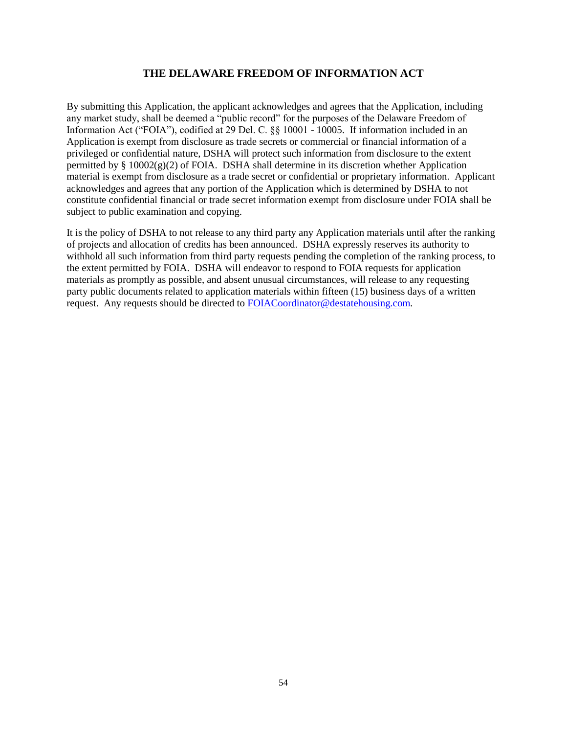### **THE DELAWARE FREEDOM OF INFORMATION ACT**

<span id="page-53-0"></span>By submitting this Application, the applicant acknowledges and agrees that the Application, including any market study, shall be deemed a "public record" for the purposes of the Delaware Freedom of Information Act ("FOIA"), codified at 29 Del. C. §§ 10001 - 10005. If information included in an Application is exempt from disclosure as trade secrets or commercial or financial information of a privileged or confidential nature, DSHA will protect such information from disclosure to the extent permitted by  $\S$  10002(g)(2) of FOIA. DSHA shall determine in its discretion whether Application material is exempt from disclosure as a trade secret or confidential or proprietary information. Applicant acknowledges and agrees that any portion of the Application which is determined by DSHA to not constitute confidential financial or trade secret information exempt from disclosure under FOIA shall be subject to public examination and copying.

It is the policy of DSHA to not release to any third party any Application materials until after the ranking of projects and allocation of credits has been announced. DSHA expressly reserves its authority to withhold all such information from third party requests pending the completion of the ranking process, to the extent permitted by FOIA. DSHA will endeavor to respond to FOIA requests for application materials as promptly as possible, and absent unusual circumstances, will release to any requesting party public documents related to application materials within fifteen (15) business days of a written request. Any requests should be directed to [FOIACoordinator@destatehousing.com.](mailto:FOIACoordinator@destatehousing.com)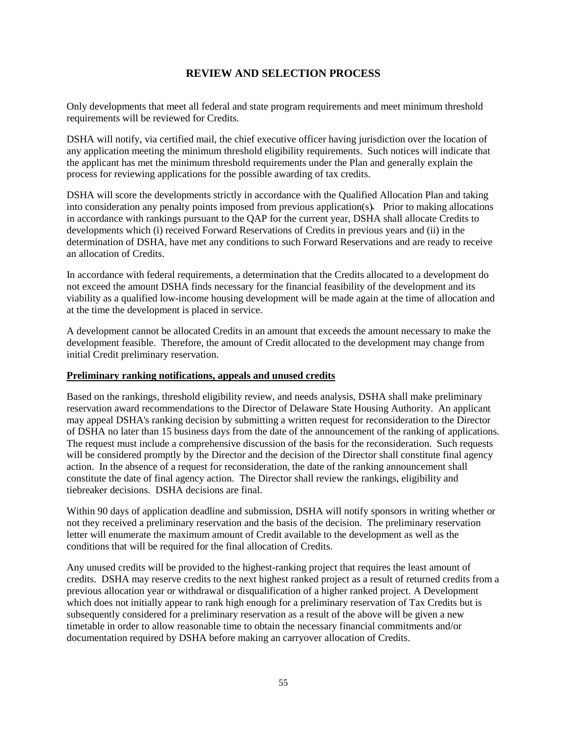# **REVIEW AND SELECTION PROCESS**

<span id="page-54-0"></span>Only developments that meet all federal and state program requirements and meet minimum threshold requirements will be reviewed for Credits.

DSHA will notify, via certified mail, the chief executive officer having jurisdiction over the location of any application meeting the minimum threshold eligibility requirements. Such notices will indicate that the applicant has met the minimum threshold requirements under the Plan and generally explain the process for reviewing applications for the possible awarding of tax credits.

DSHA will score the developments strictly in accordance with the Qualified Allocation Plan and taking into consideration any penalty points imposed from previous application(s). Prior to making allocations in accordance with rankings pursuant to the QAP for the current year, DSHA shall allocate Credits to developments which (i) received Forward Reservations of Credits in previous years and (ii) in the determination of DSHA, have met any conditions to such Forward Reservations and are ready to receive an allocation of Credits.

In accordance with federal requirements, a determination that the Credits allocated to a development do not exceed the amount DSHA finds necessary for the financial feasibility of the development and its viability as a qualified low-income housing development will be made again at the time of allocation and at the time the development is placed in service.

A development cannot be allocated Credits in an amount that exceeds the amount necessary to make the development feasible. Therefore, the amount of Credit allocated to the development may change from initial Credit preliminary reservation.

#### **Preliminary ranking notifications, appeals and unused credits**

Based on the rankings, threshold eligibility review, and needs analysis, DSHA shall make preliminary reservation award recommendations to the Director of Delaware State Housing Authority. An applicant may appeal DSHA's ranking decision by submitting a written request for reconsideration to the Director of DSHA no later than 15 business days from the date of the announcement of the ranking of applications. The request must include a comprehensive discussion of the basis for the reconsideration. Such requests will be considered promptly by the Director and the decision of the Director shall constitute final agency action. In the absence of a request for reconsideration, the date of the ranking announcement shall constitute the date of final agency action. The Director shall review the rankings, eligibility and tiebreaker decisions. DSHA decisions are final.

Within 90 days of application deadline and submission, DSHA will notify sponsors in writing whether or not they received a preliminary reservation and the basis of the decision. The preliminary reservation letter will enumerate the maximum amount of Credit available to the development as well as the conditions that will be required for the final allocation of Credits.

Any unused credits will be provided to the highest-ranking project that requires the least amount of credits. DSHA may reserve credits to the next highest ranked project as a result of returned credits from a previous allocation year or withdrawal or disqualification of a higher ranked project. A Development which does not initially appear to rank high enough for a preliminary reservation of Tax Credits but is subsequently considered for a preliminary reservation as a result of the above will be given a new timetable in order to allow reasonable time to obtain the necessary financial commitments and/or documentation required by DSHA before making an carryover allocation of Credits.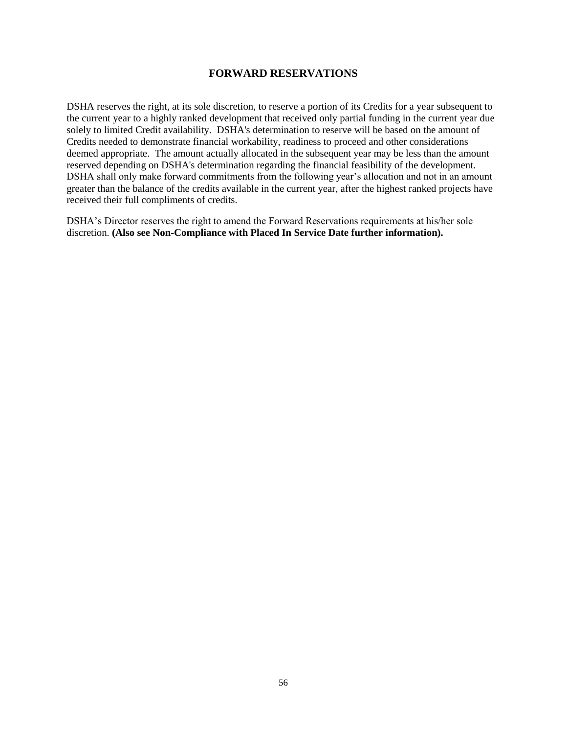### **FORWARD RESERVATIONS**

<span id="page-55-0"></span>DSHA reserves the right, at its sole discretion, to reserve a portion of its Credits for a year subsequent to the current year to a highly ranked development that received only partial funding in the current year due solely to limited Credit availability. DSHA's determination to reserve will be based on the amount of Credits needed to demonstrate financial workability, readiness to proceed and other considerations deemed appropriate. The amount actually allocated in the subsequent year may be less than the amount reserved depending on DSHA's determination regarding the financial feasibility of the development. DSHA shall only make forward commitments from the following year's allocation and not in an amount greater than the balance of the credits available in the current year, after the highest ranked projects have received their full compliments of credits.

DSHA's Director reserves the right to amend the Forward Reservations requirements at his/her sole discretion. **(Also see Non-Compliance with Placed In Service Date further information).**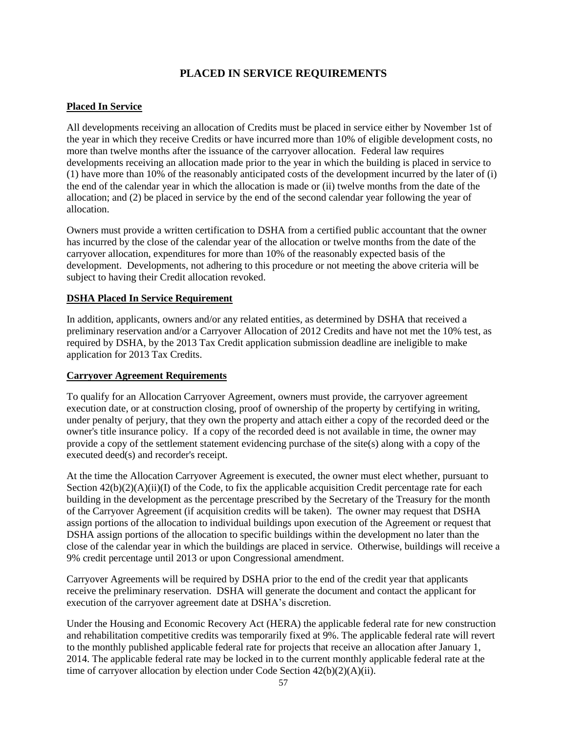# **PLACED IN SERVICE REQUIREMENTS**

# <span id="page-56-0"></span>**Placed In Service**

All developments receiving an allocation of Credits must be placed in service either by November 1st of the year in which they receive Credits or have incurred more than 10% of eligible development costs, no more than twelve months after the issuance of the carryover allocation. Federal law requires developments receiving an allocation made prior to the year in which the building is placed in service to (1) have more than 10% of the reasonably anticipated costs of the development incurred by the later of (i) the end of the calendar year in which the allocation is made or (ii) twelve months from the date of the allocation; and (2) be placed in service by the end of the second calendar year following the year of allocation.

Owners must provide a written certification to DSHA from a certified public accountant that the owner has incurred by the close of the calendar year of the allocation or twelve months from the date of the carryover allocation, expenditures for more than 10% of the reasonably expected basis of the development. Developments, not adhering to this procedure or not meeting the above criteria will be subject to having their Credit allocation revoked.

# **DSHA Placed In Service Requirement**

In addition, applicants, owners and/or any related entities, as determined by DSHA that received a preliminary reservation and/or a Carryover Allocation of 2012 Credits and have not met the 10% test, as required by DSHA, by the 2013 Tax Credit application submission deadline are ineligible to make application for 2013 Tax Credits.

### **Carryover Agreement Requirements**

To qualify for an Allocation Carryover Agreement, owners must provide, the carryover agreement execution date, or at construction closing, proof of ownership of the property by certifying in writing, under penalty of perjury, that they own the property and attach either a copy of the recorded deed or the owner's title insurance policy. If a copy of the recorded deed is not available in time, the owner may provide a copy of the settlement statement evidencing purchase of the site(s) along with a copy of the executed deed(s) and recorder's receipt.

At the time the Allocation Carryover Agreement is executed, the owner must elect whether, pursuant to Section  $42(b)(2)(A)(ii)(I)$  of the Code, to fix the applicable acquisition Credit percentage rate for each building in the development as the percentage prescribed by the Secretary of the Treasury for the month of the Carryover Agreement (if acquisition credits will be taken). The owner may request that DSHA assign portions of the allocation to individual buildings upon execution of the Agreement or request that DSHA assign portions of the allocation to specific buildings within the development no later than the close of the calendar year in which the buildings are placed in service. Otherwise, buildings will receive a 9% credit percentage until 2013 or upon Congressional amendment.

Carryover Agreements will be required by DSHA prior to the end of the credit year that applicants receive the preliminary reservation. DSHA will generate the document and contact the applicant for execution of the carryover agreement date at DSHA's discretion.

Under the Housing and Economic Recovery Act (HERA) the applicable federal rate for new construction and rehabilitation competitive credits was temporarily fixed at 9%. The applicable federal rate will revert to the monthly published applicable federal rate for projects that receive an allocation after January 1, 2014. The applicable federal rate may be locked in to the current monthly applicable federal rate at the time of carryover allocation by election under Code Section 42(b)(2)(A)(ii).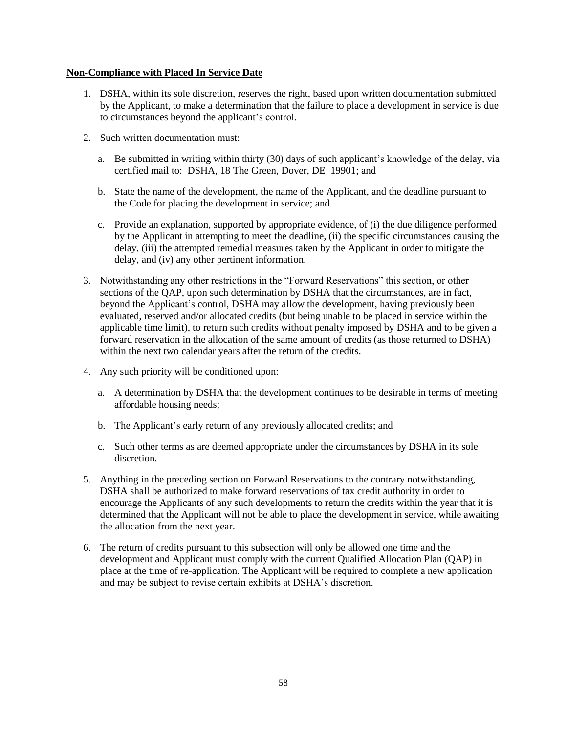#### **Non-Compliance with Placed In Service Date**

- 1. DSHA, within its sole discretion, reserves the right, based upon written documentation submitted by the Applicant, to make a determination that the failure to place a development in service is due to circumstances beyond the applicant's control.
- 2. Such written documentation must:
	- a. Be submitted in writing within thirty (30) days of such applicant's knowledge of the delay, via certified mail to: DSHA, 18 The Green, Dover, DE 19901; and
	- b. State the name of the development, the name of the Applicant, and the deadline pursuant to the Code for placing the development in service; and
	- c. Provide an explanation, supported by appropriate evidence, of (i) the due diligence performed by the Applicant in attempting to meet the deadline, (ii) the specific circumstances causing the delay, (iii) the attempted remedial measures taken by the Applicant in order to mitigate the delay, and (iv) any other pertinent information.
- 3. Notwithstanding any other restrictions in the "Forward Reservations" this section, or other sections of the QAP, upon such determination by DSHA that the circumstances, are in fact, beyond the Applicant's control, DSHA may allow the development, having previously been evaluated, reserved and/or allocated credits (but being unable to be placed in service within the applicable time limit), to return such credits without penalty imposed by DSHA and to be given a forward reservation in the allocation of the same amount of credits (as those returned to DSHA) within the next two calendar years after the return of the credits.
- 4. Any such priority will be conditioned upon:
	- a. A determination by DSHA that the development continues to be desirable in terms of meeting affordable housing needs;
	- b. The Applicant's early return of any previously allocated credits; and
	- c. Such other terms as are deemed appropriate under the circumstances by DSHA in its sole discretion.
- 5. Anything in the preceding section on Forward Reservations to the contrary notwithstanding, DSHA shall be authorized to make forward reservations of tax credit authority in order to encourage the Applicants of any such developments to return the credits within the year that it is determined that the Applicant will not be able to place the development in service, while awaiting the allocation from the next year.
- 6. The return of credits pursuant to this subsection will only be allowed one time and the development and Applicant must comply with the current Qualified Allocation Plan (QAP) in place at the time of re-application. The Applicant will be required to complete a new application and may be subject to revise certain exhibits at DSHA's discretion.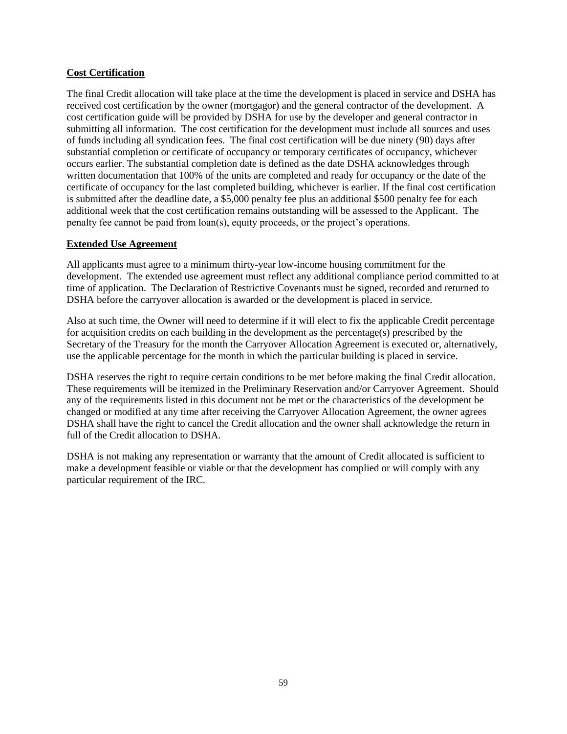### **Cost Certification**

The final Credit allocation will take place at the time the development is placed in service and DSHA has received cost certification by the owner (mortgagor) and the general contractor of the development. A cost certification guide will be provided by DSHA for use by the developer and general contractor in submitting all information. The cost certification for the development must include all sources and uses of funds including all syndication fees. The final cost certification will be due ninety (90) days after substantial completion or certificate of occupancy or temporary certificates of occupancy, whichever occurs earlier. The substantial completion date is defined as the date DSHA acknowledges through written documentation that 100% of the units are completed and ready for occupancy or the date of the certificate of occupancy for the last completed building, whichever is earlier. If the final cost certification is submitted after the deadline date, a \$5,000 penalty fee plus an additional \$500 penalty fee for each additional week that the cost certification remains outstanding will be assessed to the Applicant. The penalty fee cannot be paid from loan(s), equity proceeds, or the project's operations.

### **Extended Use Agreement**

All applicants must agree to a minimum thirty-year low-income housing commitment for the development. The extended use agreement must reflect any additional compliance period committed to at time of application. The Declaration of Restrictive Covenants must be signed, recorded and returned to DSHA before the carryover allocation is awarded or the development is placed in service.

Also at such time, the Owner will need to determine if it will elect to fix the applicable Credit percentage for acquisition credits on each building in the development as the percentage(s) prescribed by the Secretary of the Treasury for the month the Carryover Allocation Agreement is executed or, alternatively, use the applicable percentage for the month in which the particular building is placed in service.

DSHA reserves the right to require certain conditions to be met before making the final Credit allocation. These requirements will be itemized in the Preliminary Reservation and/or Carryover Agreement. Should any of the requirements listed in this document not be met or the characteristics of the development be changed or modified at any time after receiving the Carryover Allocation Agreement, the owner agrees DSHA shall have the right to cancel the Credit allocation and the owner shall acknowledge the return in full of the Credit allocation to DSHA.

DSHA is not making any representation or warranty that the amount of Credit allocated is sufficient to make a development feasible or viable or that the development has complied or will comply with any particular requirement of the IRC.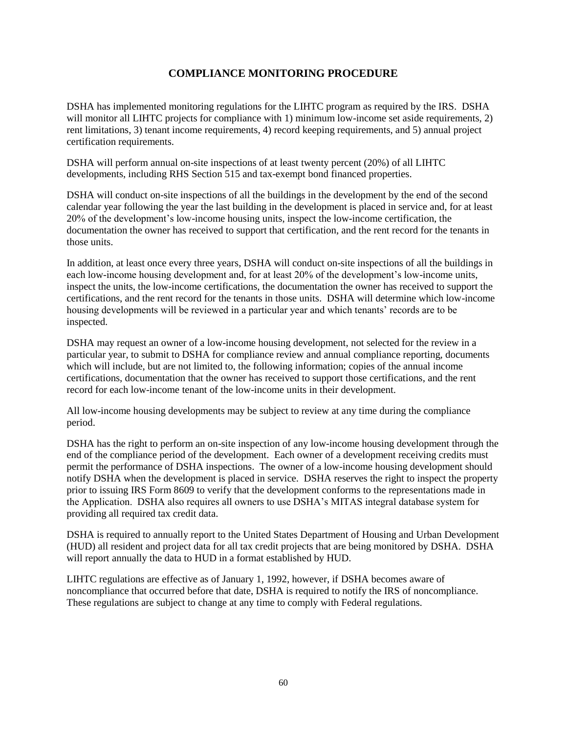# **COMPLIANCE MONITORING PROCEDURE**

<span id="page-59-0"></span>DSHA has implemented monitoring regulations for the LIHTC program as required by the IRS. DSHA will monitor all LIHTC projects for compliance with 1) minimum low-income set aside requirements, 2) rent limitations, 3) tenant income requirements, 4) record keeping requirements, and 5) annual project certification requirements.

DSHA will perform annual on-site inspections of at least twenty percent (20%) of all LIHTC developments, including RHS Section 515 and tax-exempt bond financed properties.

DSHA will conduct on-site inspections of all the buildings in the development by the end of the second calendar year following the year the last building in the development is placed in service and, for at least 20% of the development's low-income housing units, inspect the low-income certification, the documentation the owner has received to support that certification, and the rent record for the tenants in those units.

In addition, at least once every three years, DSHA will conduct on-site inspections of all the buildings in each low-income housing development and, for at least 20% of the development's low-income units, inspect the units, the low-income certifications, the documentation the owner has received to support the certifications, and the rent record for the tenants in those units. DSHA will determine which low-income housing developments will be reviewed in a particular year and which tenants' records are to be inspected.

DSHA may request an owner of a low-income housing development, not selected for the review in a particular year, to submit to DSHA for compliance review and annual compliance reporting, documents which will include, but are not limited to, the following information; copies of the annual income certifications, documentation that the owner has received to support those certifications, and the rent record for each low-income tenant of the low-income units in their development.

All low-income housing developments may be subject to review at any time during the compliance period.

DSHA has the right to perform an on-site inspection of any low-income housing development through the end of the compliance period of the development. Each owner of a development receiving credits must permit the performance of DSHA inspections. The owner of a low-income housing development should notify DSHA when the development is placed in service. DSHA reserves the right to inspect the property prior to issuing IRS Form 8609 to verify that the development conforms to the representations made in the Application. DSHA also requires all owners to use DSHA's MITAS integral database system for providing all required tax credit data.

DSHA is required to annually report to the United States Department of Housing and Urban Development (HUD) all resident and project data for all tax credit projects that are being monitored by DSHA. DSHA will report annually the data to HUD in a format established by HUD.

LIHTC regulations are effective as of January 1, 1992, however, if DSHA becomes aware of noncompliance that occurred before that date, DSHA is required to notify the IRS of noncompliance. These regulations are subject to change at any time to comply with Federal regulations.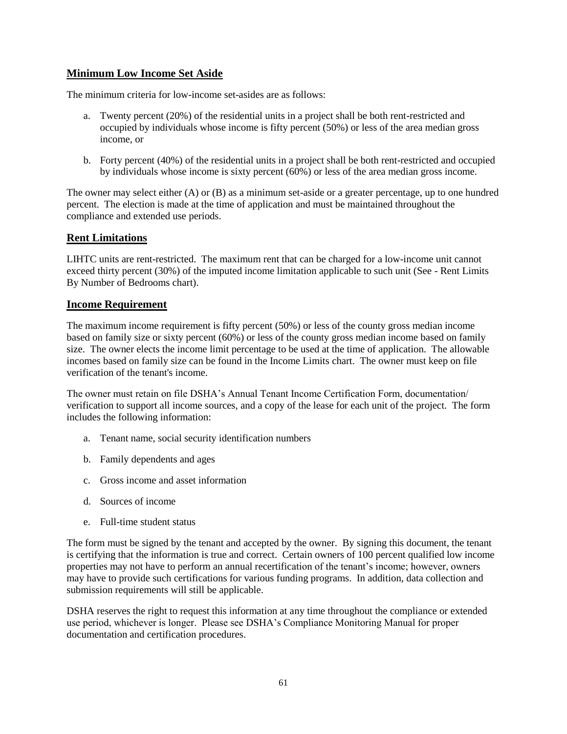# **Minimum Low Income Set Aside**

The minimum criteria for low-income set-asides are as follows:

- a. Twenty percent (20%) of the residential units in a project shall be both rent-restricted and occupied by individuals whose income is fifty percent (50%) or less of the area median gross income, or
- b. Forty percent (40%) of the residential units in a project shall be both rent-restricted and occupied by individuals whose income is sixty percent (60%) or less of the area median gross income.

The owner may select either (A) or (B) as a minimum set-aside or a greater percentage, up to one hundred percent. The election is made at the time of application and must be maintained throughout the compliance and extended use periods.

# **Rent Limitations**

LIHTC units are rent-restricted. The maximum rent that can be charged for a low-income unit cannot exceed thirty percent (30%) of the imputed income limitation applicable to such unit (See - Rent Limits By Number of Bedrooms chart).

# **Income Requirement**

The maximum income requirement is fifty percent (50%) or less of the county gross median income based on family size or sixty percent (60%) or less of the county gross median income based on family size. The owner elects the income limit percentage to be used at the time of application. The allowable incomes based on family size can be found in the Income Limits chart. The owner must keep on file verification of the tenant's income.

The owner must retain on file DSHA's Annual Tenant Income Certification Form, documentation/ verification to support all income sources, and a copy of the lease for each unit of the project. The form includes the following information:

- a. Tenant name, social security identification numbers
- b. Family dependents and ages
- c. Gross income and asset information
- d. Sources of income
- e. Full-time student status

The form must be signed by the tenant and accepted by the owner. By signing this document, the tenant is certifying that the information is true and correct. Certain owners of 100 percent qualified low income properties may not have to perform an annual recertification of the tenant's income; however, owners may have to provide such certifications for various funding programs. In addition, data collection and submission requirements will still be applicable.

DSHA reserves the right to request this information at any time throughout the compliance or extended use period, whichever is longer. Please see DSHA's Compliance Monitoring Manual for proper documentation and certification procedures.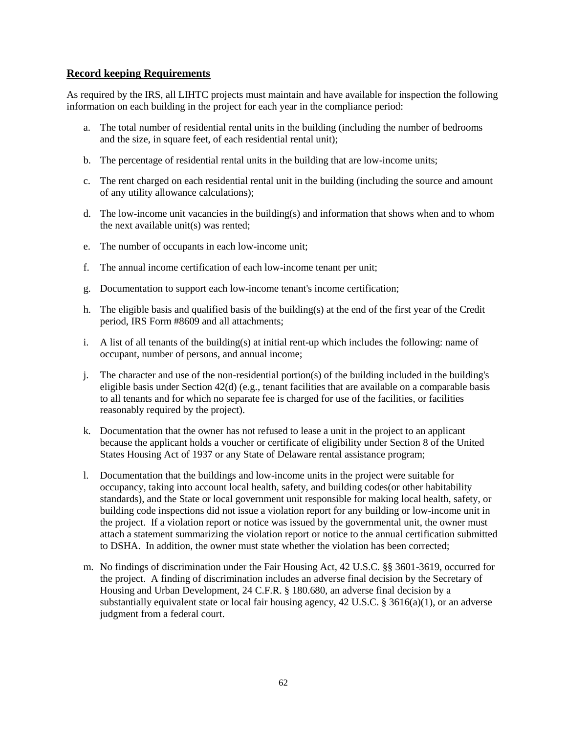### **Record keeping Requirements**

As required by the IRS, all LIHTC projects must maintain and have available for inspection the following information on each building in the project for each year in the compliance period:

- a. The total number of residential rental units in the building (including the number of bedrooms and the size, in square feet, of each residential rental unit);
- b. The percentage of residential rental units in the building that are low-income units;
- c. The rent charged on each residential rental unit in the building (including the source and amount of any utility allowance calculations);
- d. The low-income unit vacancies in the building(s) and information that shows when and to whom the next available unit(s) was rented;
- e. The number of occupants in each low-income unit;
- f. The annual income certification of each low-income tenant per unit;
- g. Documentation to support each low-income tenant's income certification;
- h. The eligible basis and qualified basis of the building(s) at the end of the first year of the Credit period, IRS Form #8609 and all attachments;
- i. A list of all tenants of the building(s) at initial rent-up which includes the following: name of occupant, number of persons, and annual income;
- j. The character and use of the non-residential portion(s) of the building included in the building's eligible basis under Section  $42(d)$  (e.g., tenant facilities that are available on a comparable basis to all tenants and for which no separate fee is charged for use of the facilities, or facilities reasonably required by the project).
- k. Documentation that the owner has not refused to lease a unit in the project to an applicant because the applicant holds a voucher or certificate of eligibility under Section 8 of the United States Housing Act of 1937 or any State of Delaware rental assistance program;
- l. Documentation that the buildings and low-income units in the project were suitable for occupancy, taking into account local health, safety, and building codes(or other habitability standards), and the State or local government unit responsible for making local health, safety, or building code inspections did not issue a violation report for any building or low-income unit in the project. If a violation report or notice was issued by the governmental unit, the owner must attach a statement summarizing the violation report or notice to the annual certification submitted to DSHA. In addition, the owner must state whether the violation has been corrected;
- m. No findings of discrimination under the Fair Housing Act, 42 U.S.C. §§ 3601-3619, occurred for the project. A finding of discrimination includes an adverse final decision by the Secretary of Housing and Urban Development, 24 C.F.R. § 180.680, an adverse final decision by a substantially equivalent state or local fair housing agency,  $42 \text{ U.S.C.}$  §  $3616(a)(1)$ , or an adverse judgment from a federal court.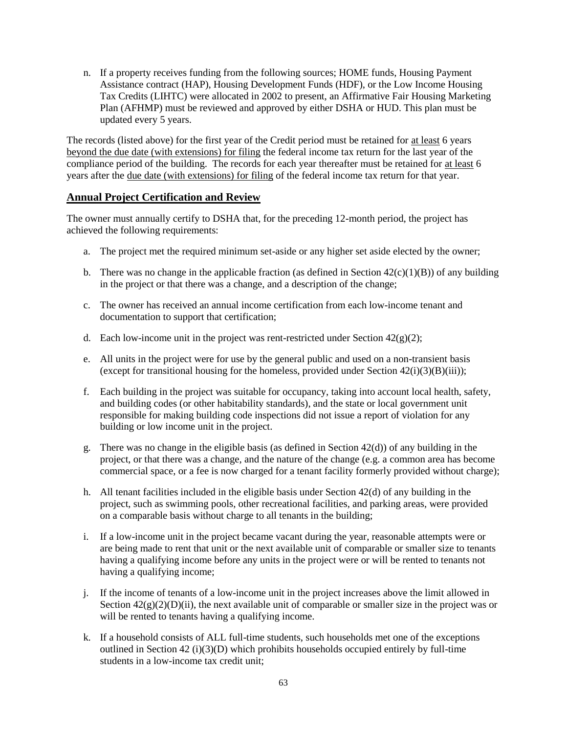n. If a property receives funding from the following sources; HOME funds, Housing Payment Assistance contract (HAP), Housing Development Funds (HDF), or the Low Income Housing Tax Credits (LIHTC) were allocated in 2002 to present, an Affirmative Fair Housing Marketing Plan (AFHMP) must be reviewed and approved by either DSHA or HUD. This plan must be updated every 5 years.

The records (listed above) for the first year of the Credit period must be retained for at least 6 years beyond the due date (with extensions) for filing the federal income tax return for the last year of the compliance period of the building. The records for each year thereafter must be retained for at least 6 years after the due date (with extensions) for filing of the federal income tax return for that year.

### **Annual Project Certification and Review**

The owner must annually certify to DSHA that, for the preceding 12-month period, the project has achieved the following requirements:

- a. The project met the required minimum set-aside or any higher set aside elected by the owner;
- b. There was no change in the applicable fraction (as defined in Section  $42(c)(1)(B)$ ) of any building in the project or that there was a change, and a description of the change;
- c. The owner has received an annual income certification from each low-income tenant and documentation to support that certification;
- d. Each low-income unit in the project was rent-restricted under Section  $42(g)(2)$ ;
- e. All units in the project were for use by the general public and used on a non-transient basis (except for transitional housing for the homeless, provided under Section  $42(i)(3)(B)(iii)$ );
- f. Each building in the project was suitable for occupancy, taking into account local health, safety, and building codes (or other habitability standards), and the state or local government unit responsible for making building code inspections did not issue a report of violation for any building or low income unit in the project.
- g. There was no change in the eligible basis (as defined in Section 42(d)) of any building in the project, or that there was a change, and the nature of the change (e.g. a common area has become commercial space, or a fee is now charged for a tenant facility formerly provided without charge);
- h. All tenant facilities included in the eligible basis under Section 42(d) of any building in the project, such as swimming pools, other recreational facilities, and parking areas, were provided on a comparable basis without charge to all tenants in the building;
- i. If a low-income unit in the project became vacant during the year, reasonable attempts were or are being made to rent that unit or the next available unit of comparable or smaller size to tenants having a qualifying income before any units in the project were or will be rented to tenants not having a qualifying income;
- j. If the income of tenants of a low-income unit in the project increases above the limit allowed in Section  $42(g)(2)(D)(ii)$ , the next available unit of comparable or smaller size in the project was or will be rented to tenants having a qualifying income.
- k. If a household consists of ALL full-time students, such households met one of the exceptions outlined in Section  $42$  (i)(3)(D) which prohibits households occupied entirely by full-time students in a low-income tax credit unit;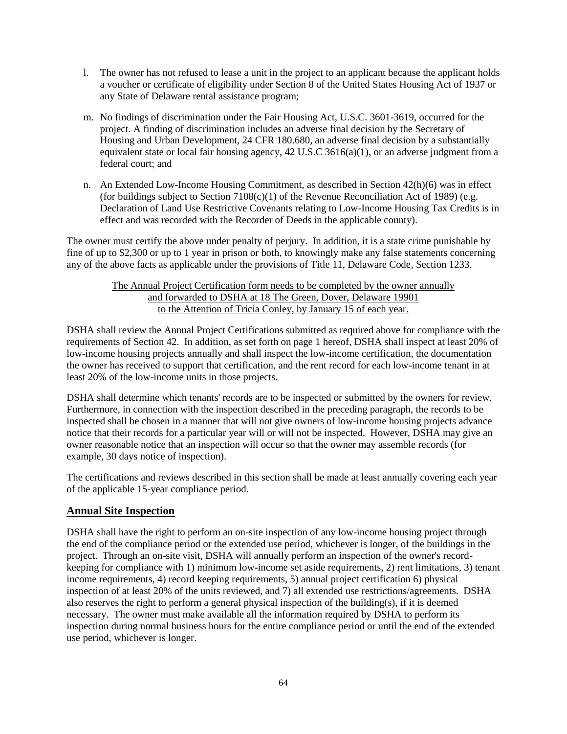- l. The owner has not refused to lease a unit in the project to an applicant because the applicant holds a voucher or certificate of eligibility under Section 8 of the United States Housing Act of 1937 or any State of Delaware rental assistance program;
- m. No findings of discrimination under the Fair Housing Act, U.S.C. 3601-3619, occurred for the project. A finding of discrimination includes an adverse final decision by the Secretary of Housing and Urban Development, 24 CFR 180.680, an adverse final decision by a substantially equivalent state or local fair housing agency, 42 U.S.C 3616(a)(1), or an adverse judgment from a federal court; and
- n. An Extended Low-Income Housing Commitment, as described in Section 42(h)(6) was in effect (for buildings subject to Section  $7108(c)(1)$  of the Revenue Reconciliation Act of 1989) (e.g. Declaration of Land Use Restrictive Covenants relating to Low-Income Housing Tax Credits is in effect and was recorded with the Recorder of Deeds in the applicable county).

The owner must certify the above under penalty of perjury. In addition, it is a state crime punishable by fine of up to \$2,300 or up to 1 year in prison or both, to knowingly make any false statements concerning any of the above facts as applicable under the provisions of Title 11, Delaware Code, Section 1233.

### The Annual Project Certification form needs to be completed by the owner annually and forwarded to DSHA at 18 The Green, Dover, Delaware 19901 to the Attention of Tricia Conley, by January 15 of each year.

DSHA shall review the Annual Project Certifications submitted as required above for compliance with the requirements of Section 42. In addition, as set forth on page 1 hereof, DSHA shall inspect at least 20% of low-income housing projects annually and shall inspect the low-income certification, the documentation the owner has received to support that certification, and the rent record for each low-income tenant in at least 20% of the low-income units in those projects.

DSHA shall determine which tenants' records are to be inspected or submitted by the owners for review. Furthermore, in connection with the inspection described in the preceding paragraph, the records to be inspected shall be chosen in a manner that will not give owners of low-income housing projects advance notice that their records for a particular year will or will not be inspected. However, DSHA may give an owner reasonable notice that an inspection will occur so that the owner may assemble records (for example, 30 days notice of inspection).

The certifications and reviews described in this section shall be made at least annually covering each year of the applicable 15-year compliance period.

# **Annual Site Inspection**

DSHA shall have the right to perform an on-site inspection of any low-income housing project through the end of the compliance period or the extended use period, whichever is longer, of the buildings in the project. Through an on-site visit, DSHA will annually perform an inspection of the owner's recordkeeping for compliance with 1) minimum low-income set aside requirements, 2) rent limitations, 3) tenant income requirements, 4) record keeping requirements, 5) annual project certification 6) physical inspection of at least 20% of the units reviewed, and 7) all extended use restrictions/agreements. DSHA also reserves the right to perform a general physical inspection of the building(s), if it is deemed necessary. The owner must make available all the information required by DSHA to perform its inspection during normal business hours for the entire compliance period or until the end of the extended use period, whichever is longer.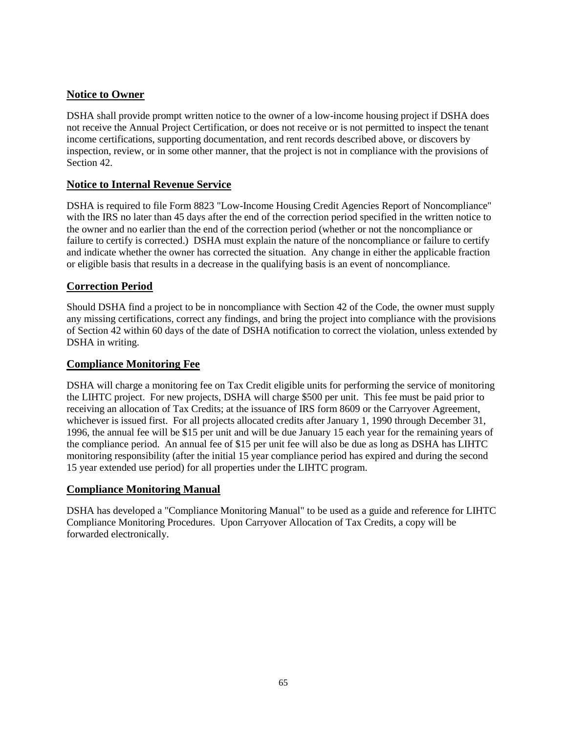# **Notice to Owner**

DSHA shall provide prompt written notice to the owner of a low-income housing project if DSHA does not receive the Annual Project Certification, or does not receive or is not permitted to inspect the tenant income certifications, supporting documentation, and rent records described above, or discovers by inspection, review, or in some other manner, that the project is not in compliance with the provisions of Section 42.

# **Notice to Internal Revenue Service**

DSHA is required to file Form 8823 "Low-Income Housing Credit Agencies Report of Noncompliance" with the IRS no later than 45 days after the end of the correction period specified in the written notice to the owner and no earlier than the end of the correction period (whether or not the noncompliance or failure to certify is corrected.) DSHA must explain the nature of the noncompliance or failure to certify and indicate whether the owner has corrected the situation. Any change in either the applicable fraction or eligible basis that results in a decrease in the qualifying basis is an event of noncompliance.

# **Correction Period**

Should DSHA find a project to be in noncompliance with Section 42 of the Code, the owner must supply any missing certifications, correct any findings, and bring the project into compliance with the provisions of Section 42 within 60 days of the date of DSHA notification to correct the violation, unless extended by DSHA in writing.

# **Compliance Monitoring Fee**

DSHA will charge a monitoring fee on Tax Credit eligible units for performing the service of monitoring the LIHTC project. For new projects, DSHA will charge \$500 per unit. This fee must be paid prior to receiving an allocation of Tax Credits; at the issuance of IRS form 8609 or the Carryover Agreement, whichever is issued first. For all projects allocated credits after January 1, 1990 through December 31, 1996, the annual fee will be \$15 per unit and will be due January 15 each year for the remaining years of the compliance period. An annual fee of \$15 per unit fee will also be due as long as DSHA has LIHTC monitoring responsibility (after the initial 15 year compliance period has expired and during the second 15 year extended use period) for all properties under the LIHTC program.

# **Compliance Monitoring Manual**

DSHA has developed a "Compliance Monitoring Manual" to be used as a guide and reference for LIHTC Compliance Monitoring Procedures. Upon Carryover Allocation of Tax Credits, a copy will be forwarded electronically.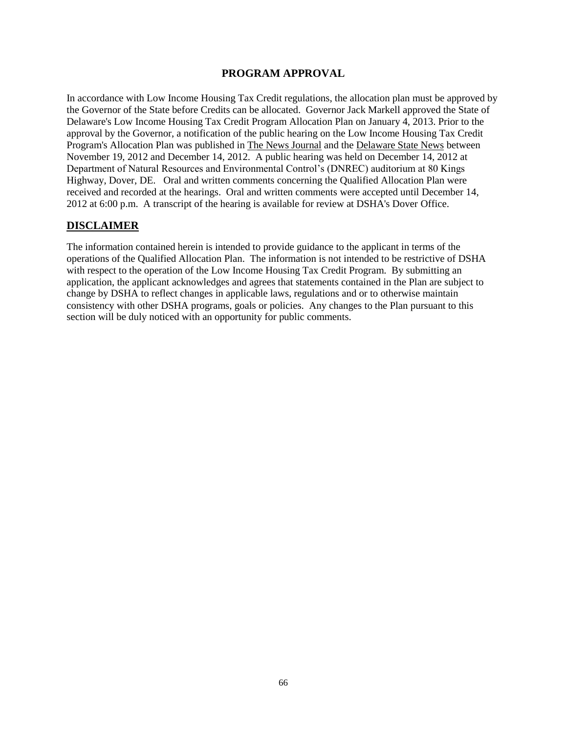### **PROGRAM APPROVAL**

<span id="page-65-0"></span>In accordance with Low Income Housing Tax Credit regulations, the allocation plan must be approved by the Governor of the State before Credits can be allocated. Governor Jack Markell approved the State of Delaware's Low Income Housing Tax Credit Program Allocation Plan on January 4, 2013. Prior to the approval by the Governor, a notification of the public hearing on the Low Income Housing Tax Credit Program's Allocation Plan was published in The News Journal and the Delaware State News between November 19, 2012 and December 14, 2012. A public hearing was held on December 14, 2012 at Department of Natural Resources and Environmental Control's (DNREC) auditorium at 80 Kings Highway, Dover, DE. Oral and written comments concerning the Qualified Allocation Plan were received and recorded at the hearings. Oral and written comments were accepted until December 14, 2012 at 6:00 p.m. A transcript of the hearing is available for review at DSHA's Dover Office.

# **DISCLAIMER**

The information contained herein is intended to provide guidance to the applicant in terms of the operations of the Qualified Allocation Plan. The information is not intended to be restrictive of DSHA with respect to the operation of the Low Income Housing Tax Credit Program. By submitting an application, the applicant acknowledges and agrees that statements contained in the Plan are subject to change by DSHA to reflect changes in applicable laws, regulations and or to otherwise maintain consistency with other DSHA programs, goals or policies. Any changes to the Plan pursuant to this section will be duly noticed with an opportunity for public comments.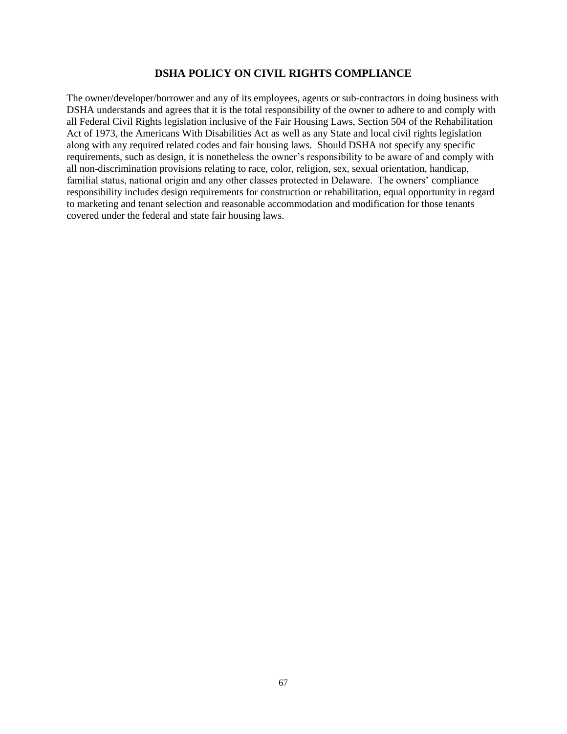### **DSHA POLICY ON CIVIL RIGHTS COMPLIANCE**

<span id="page-66-0"></span>The owner/developer/borrower and any of its employees, agents or sub-contractors in doing business with DSHA understands and agrees that it is the total responsibility of the owner to adhere to and comply with all Federal Civil Rights legislation inclusive of the Fair Housing Laws, Section 504 of the Rehabilitation Act of 1973, the Americans With Disabilities Act as well as any State and local civil rights legislation along with any required related codes and fair housing laws. Should DSHA not specify any specific requirements, such as design, it is nonetheless the owner's responsibility to be aware of and comply with all non-discrimination provisions relating to race, color, religion, sex, sexual orientation, handicap, familial status, national origin and any other classes protected in Delaware. The owners' compliance responsibility includes design requirements for construction or rehabilitation, equal opportunity in regard to marketing and tenant selection and reasonable accommodation and modification for those tenants covered under the federal and state fair housing laws.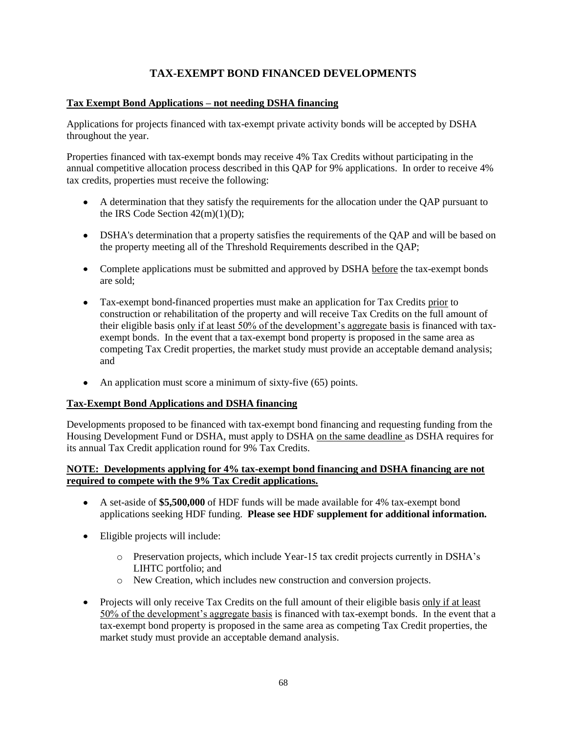# **TAX-EXEMPT BOND FINANCED DEVELOPMENTS**

### <span id="page-67-0"></span>**Tax Exempt Bond Applications – not needing DSHA financing**

Applications for projects financed with tax-exempt private activity bonds will be accepted by DSHA throughout the year.

Properties financed with tax-exempt bonds may receive 4% Tax Credits without participating in the annual competitive allocation process described in this QAP for 9% applications. In order to receive 4% tax credits, properties must receive the following:

- A determination that they satisfy the requirements for the allocation under the QAP pursuant to the IRS Code Section  $42(m)(1)(D)$ ;
- DSHA's determination that a property satisfies the requirements of the QAP and will be based on the property meeting all of the Threshold Requirements described in the QAP;
- Complete applications must be submitted and approved by DSHA before the tax-exempt bonds are sold;
- Tax-exempt bond-financed properties must make an application for Tax Credits prior to construction or rehabilitation of the property and will receive Tax Credits on the full amount of their eligible basis only if at least 50% of the development's aggregate basis is financed with taxexempt bonds. In the event that a tax-exempt bond property is proposed in the same area as competing Tax Credit properties, the market study must provide an acceptable demand analysis; and
- An application must score a minimum of sixty-five (65) points.  $\bullet$

### **Tax-Exempt Bond Applications and DSHA financing**

Developments proposed to be financed with tax-exempt bond financing and requesting funding from the Housing Development Fund or DSHA, must apply to DSHA on the same deadline as DSHA requires for its annual Tax Credit application round for 9% Tax Credits.

### **NOTE: Developments applying for 4% tax-exempt bond financing and DSHA financing are not required to compete with the 9% Tax Credit applications.**

- A set-aside of **\$5,500,000** of HDF funds will be made available for 4% tax-exempt bond applications seeking HDF funding. **Please see HDF supplement for additional information.**
- Eligible projects will include:
	- o Preservation projects, which include Year-15 tax credit projects currently in DSHA's LIHTC portfolio; and
	- o New Creation, which includes new construction and conversion projects.
- Projects will only receive Tax Credits on the full amount of their eligible basis only if at least 50% of the development's aggregate basis is financed with tax-exempt bonds. In the event that a tax-exempt bond property is proposed in the same area as competing Tax Credit properties, the market study must provide an acceptable demand analysis.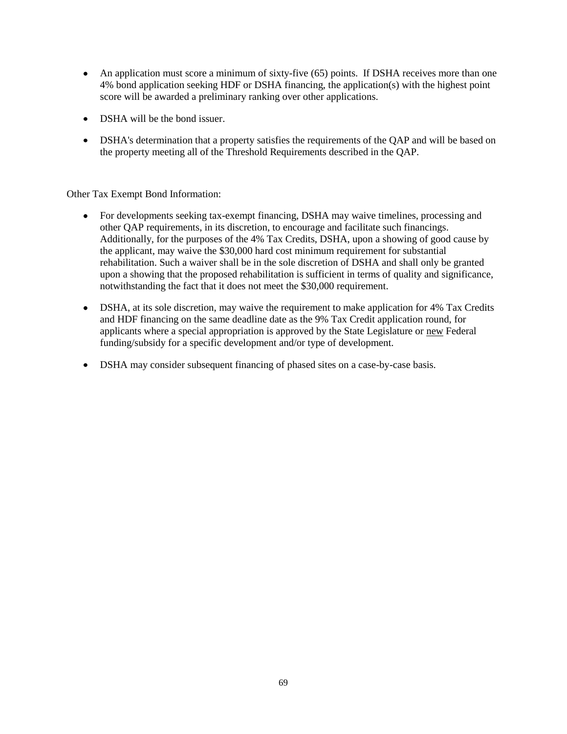- An application must score a minimum of sixty-five (65) points. If DSHA receives more than one 4% bond application seeking HDF or DSHA financing, the application(s) with the highest point score will be awarded a preliminary ranking over other applications.
- DSHA will be the bond issuer.
- DSHA's determination that a property satisfies the requirements of the QAP and will be based on the property meeting all of the Threshold Requirements described in the QAP.

Other Tax Exempt Bond Information:

- For developments seeking tax-exempt financing, DSHA may waive timelines, processing and  $\bullet$ other QAP requirements, in its discretion, to encourage and facilitate such financings. Additionally, for the purposes of the 4% Tax Credits, DSHA, upon a showing of good cause by the applicant, may waive the \$30,000 hard cost minimum requirement for substantial rehabilitation. Such a waiver shall be in the sole discretion of DSHA and shall only be granted upon a showing that the proposed rehabilitation is sufficient in terms of quality and significance, notwithstanding the fact that it does not meet the \$30,000 requirement.
- DSHA, at its sole discretion, may waive the requirement to make application for 4% Tax Credits and HDF financing on the same deadline date as the 9% Tax Credit application round, for applicants where a special appropriation is approved by the State Legislature or new Federal funding/subsidy for a specific development and/or type of development.
- DSHA may consider subsequent financing of phased sites on a case-by-case basis.